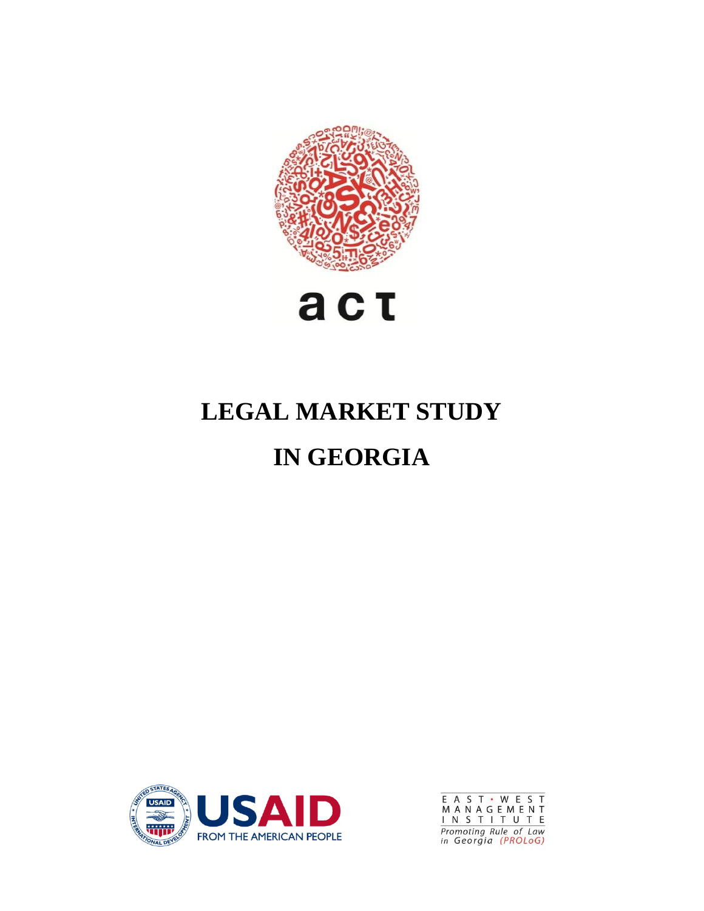



# **LEGAL MARKET STUDY IN GEORGIA**



E A S T • W E S T<br>M A N A G E M E N T<br><u>I N S T I T U T E</u><br>Promoting Rule of Law<br>in Georgia (PROLoG)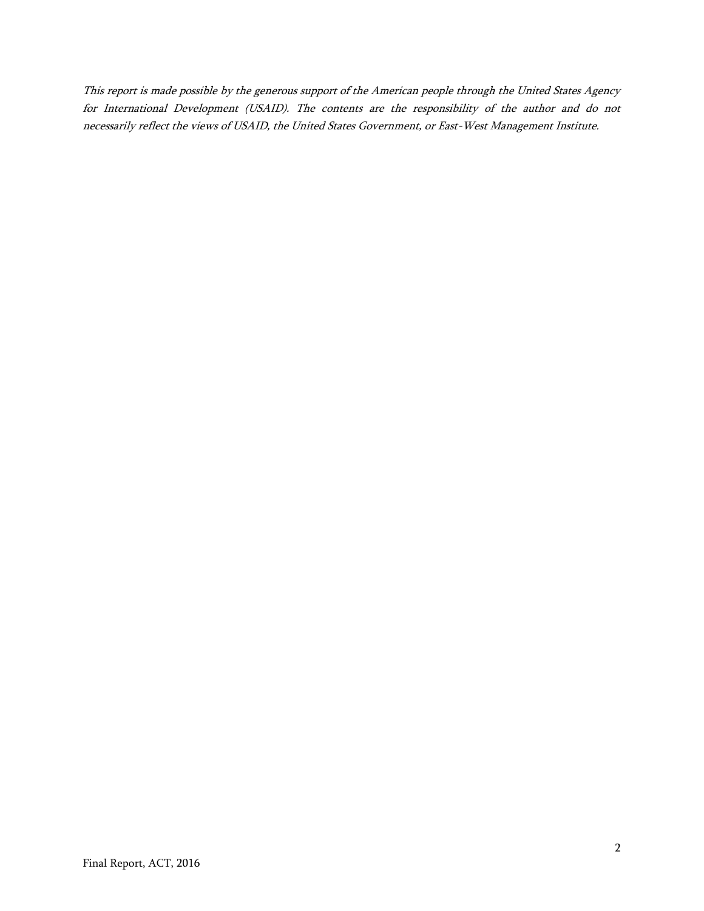This report is made possible by the generous support of the American people through the United States Agency for International Development (USAID). The contents are the responsibility of the author and do not necessarily reflect the views of USAID, the United States Government, or East-West Management Institute.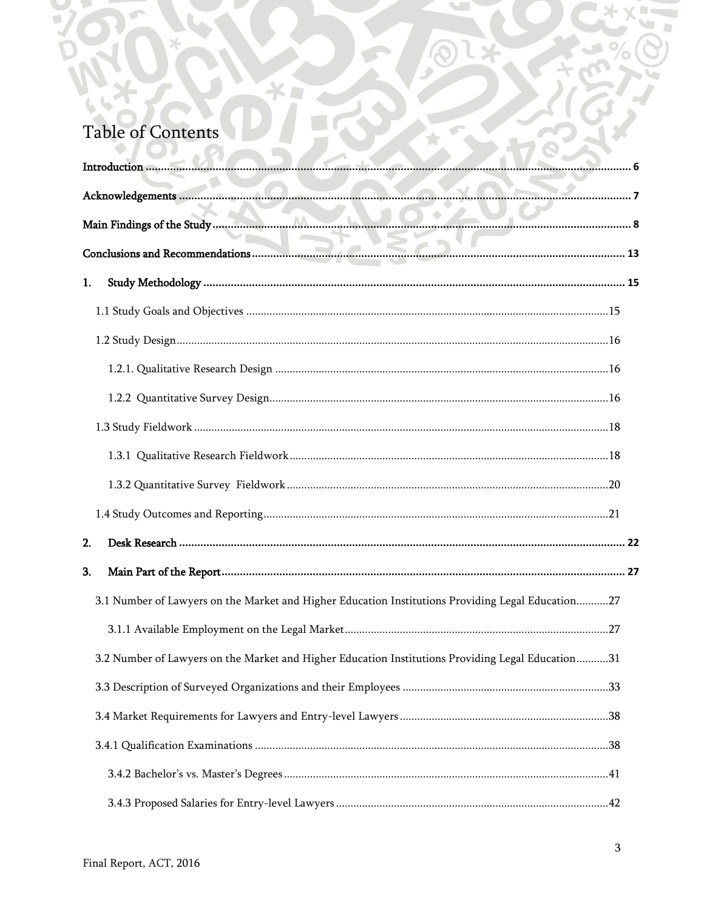# Table of Contents

ג כ

 $\sim$ 

米口

|    | Acknowledgements 2020 and 2020 and 2020 and 2020 and 2020 and 2020 and 2020 and 2020 and 2020 and 20 |  |
|----|------------------------------------------------------------------------------------------------------|--|
|    |                                                                                                      |  |
|    |                                                                                                      |  |
| 1. |                                                                                                      |  |
|    |                                                                                                      |  |
|    |                                                                                                      |  |
|    |                                                                                                      |  |
|    |                                                                                                      |  |
|    |                                                                                                      |  |
|    |                                                                                                      |  |
|    |                                                                                                      |  |
|    |                                                                                                      |  |
| 2. |                                                                                                      |  |
| 3. |                                                                                                      |  |
|    | 3.1 Number of Lawyers on the Market and Higher Education Institutions Providing Legal Education27    |  |
|    |                                                                                                      |  |
|    | 3.2 Number of Lawyers on the Market and Higher Education Institutions Providing Legal Education31    |  |
|    |                                                                                                      |  |
|    |                                                                                                      |  |
|    |                                                                                                      |  |
|    |                                                                                                      |  |
|    |                                                                                                      |  |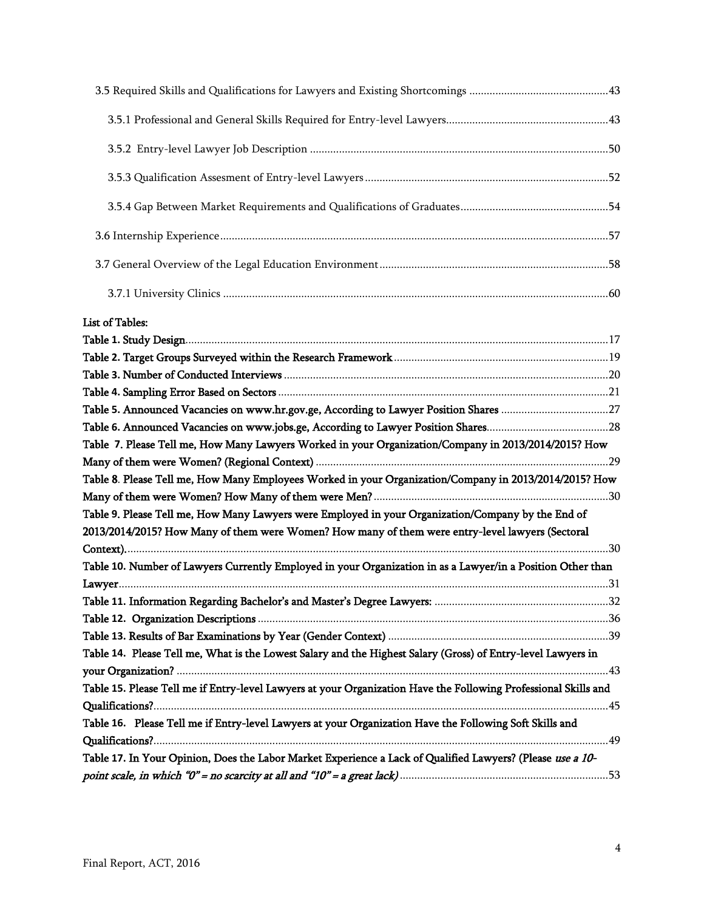| List of Tables:                                                                                                 |  |
|-----------------------------------------------------------------------------------------------------------------|--|
|                                                                                                                 |  |
|                                                                                                                 |  |
|                                                                                                                 |  |
|                                                                                                                 |  |
|                                                                                                                 |  |
|                                                                                                                 |  |
| Table 7. Please Tell me, How Many Lawyers Worked in your Organization/Company in 2013/2014/2015? How            |  |
|                                                                                                                 |  |
| Table 8. Please Tell me, How Many Employees Worked in your Organization/Company in 2013/2014/2015? How          |  |
|                                                                                                                 |  |
| Table 9. Please Tell me, How Many Lawyers were Employed in your Organization/Company by the End of              |  |
| 2013/2014/2015? How Many of them were Women? How many of them were entry-level lawyers (Sectoral                |  |
|                                                                                                                 |  |
| Table 10. Number of Lawyers Currently Employed in your Organization in as a Lawyer/in a Position Other than     |  |
|                                                                                                                 |  |
|                                                                                                                 |  |
|                                                                                                                 |  |
|                                                                                                                 |  |
| Table 14. Please Tell me, What is the Lowest Salary and the Highest Salary (Gross) of Entry-level Lawyers in    |  |
|                                                                                                                 |  |
| Table 15. Please Tell me if Entry-level Lawyers at your Organization Have the Following Professional Skills and |  |
| Table 16. Please Tell me if Entry-level Lawyers at your Organization Have the Following Soft Skills and         |  |
|                                                                                                                 |  |
| Table 17. In Your Opinion, Does the Labor Market Experience a Lack of Qualified Lawyers? (Please use a 10-      |  |
|                                                                                                                 |  |
|                                                                                                                 |  |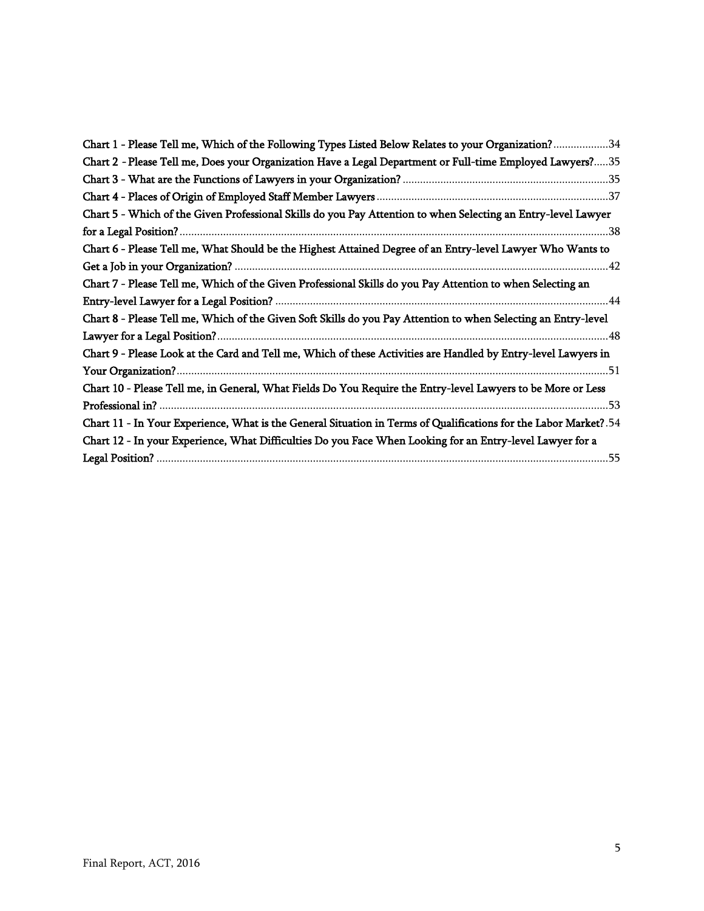| Chart 1 - Please Tell me, Which of the Following Types Listed Below Relates to your Organization?34               |
|-------------------------------------------------------------------------------------------------------------------|
| Chart 2 - Please Tell me, Does your Organization Have a Legal Department or Full-time Employed Lawyers?35         |
|                                                                                                                   |
|                                                                                                                   |
| Chart 5 - Which of the Given Professional Skills do you Pay Attention to when Selecting an Entry-level Lawyer     |
|                                                                                                                   |
| Chart 6 - Please Tell me, What Should be the Highest Attained Degree of an Entry-level Lawyer Who Wants to        |
|                                                                                                                   |
| Chart 7 - Please Tell me, Which of the Given Professional Skills do you Pay Attention to when Selecting an        |
|                                                                                                                   |
| Chart 8 - Please Tell me, Which of the Given Soft Skills do you Pay Attention to when Selecting an Entry-level    |
|                                                                                                                   |
| Chart 9 - Please Look at the Card and Tell me, Which of these Activities are Handled by Entry-level Lawyers in    |
|                                                                                                                   |
| Chart 10 - Please Tell me, in General, What Fields Do You Require the Entry-level Lawyers to be More or Less      |
|                                                                                                                   |
| Chart 11 - In Your Experience, What is the General Situation in Terms of Qualifications for the Labor Market? .54 |
| Chart 12 - In your Experience, What Difficulties Do you Face When Looking for an Entry-level Lawyer for a         |
|                                                                                                                   |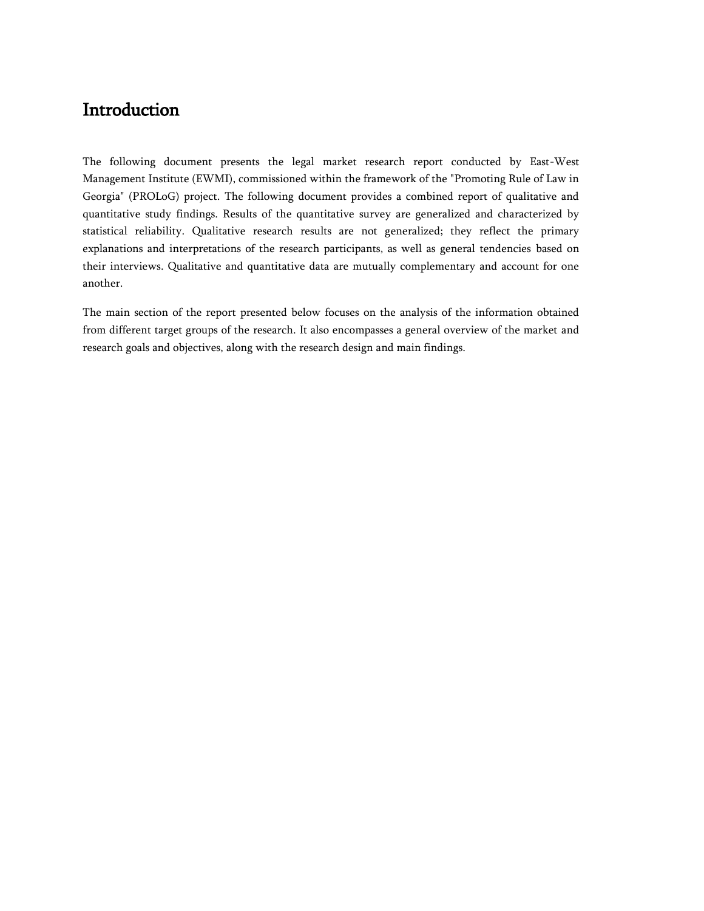# <span id="page-5-0"></span>Introduction

The following document presents the legal market research report conducted by East-West Management Institute (EWMI), commissioned within the framework of the "Promoting Rule of Law in Georgia" (PROLoG) project. The following document provides a combined report of qualitative and quantitative study findings. Results of the quantitative survey are generalized and characterized by statistical reliability. Qualitative research results are not generalized; they reflect the primary explanations and interpretations of the research participants, as well as general tendencies based on their interviews. Qualitative and quantitative data are mutually complementary and account for one another.

The main section of the report presented below focuses on the analysis of the information obtained from different target groups of the research. It also encompasses a general overview of the market and research goals and objectives, along with the research design and main findings.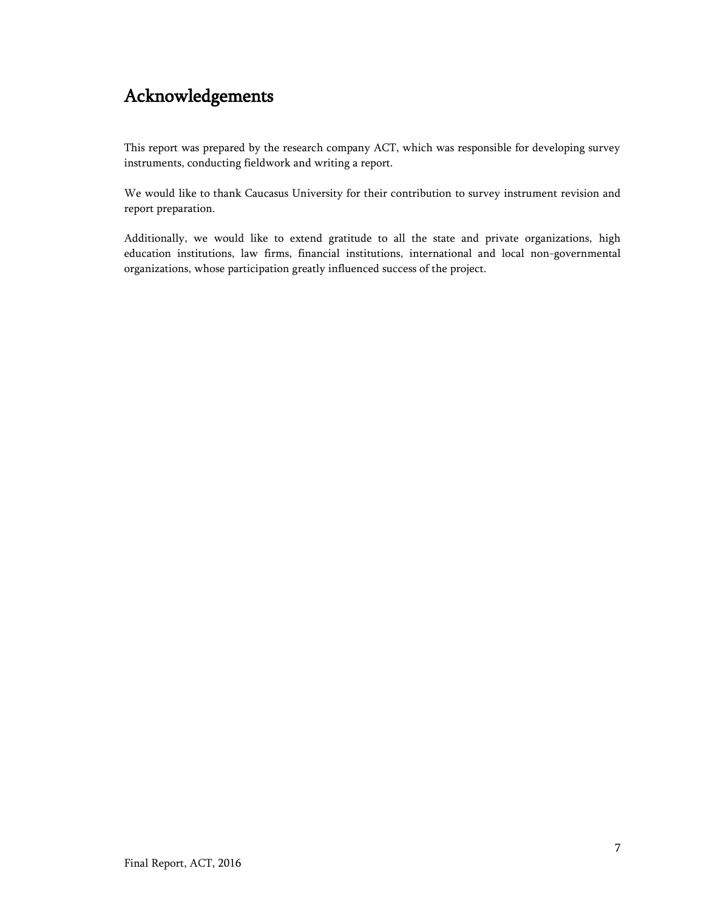# <span id="page-6-0"></span>Acknowledgements

This report was prepared by the research company ACT, which was responsible for developing survey instruments, conducting fieldwork and writing a report.

We would like to thank Caucasus University for their contribution to survey instrument revision and report preparation.

Additionally, we would like to extend gratitude to all the state and private organizations, high education institutions, law firms, financial institutions, international and local non-governmental organizations, whose participation greatly influenced success of the project.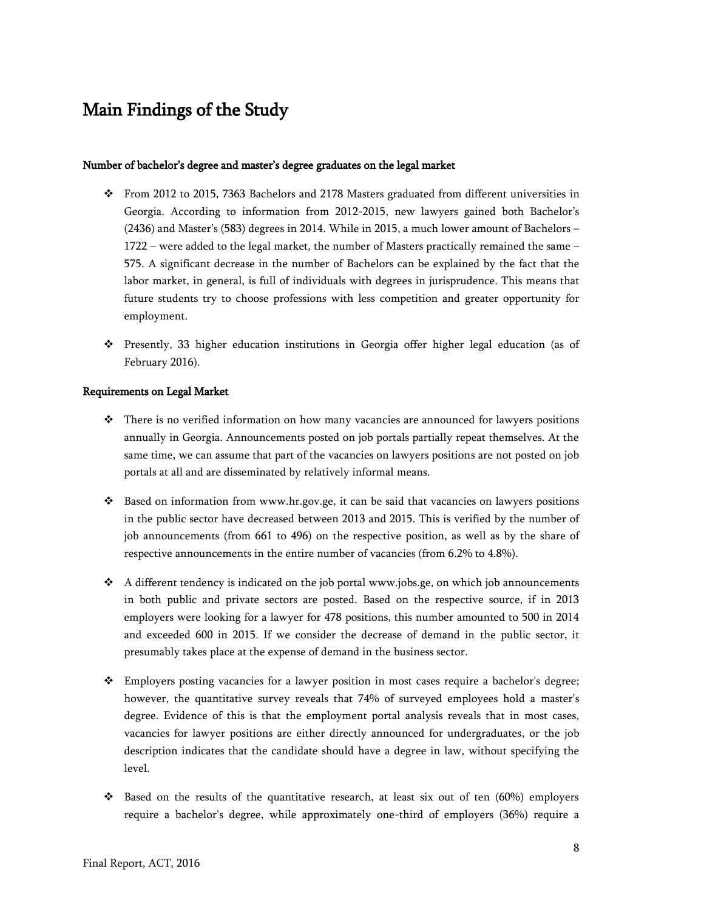# <span id="page-7-0"></span>Main Findings of the Study

#### Number of bachelor's degree and master's degree graduates on the legal market

- From 2012 to 2015, 7363 Bachelors and 2178 Masters graduated from different universities in Georgia. According to information from 2012-2015, new lawyers gained both Bachelor's (2436) and Master's (583) degrees in 2014. While in 2015, a much lower amount of Bachelors – 1722 – were added to the legal market, the number of Masters practically remained the same – 575. A significant decrease in the number of Bachelors can be explained by the fact that the labor market, in general, is full of individuals with degrees in jurisprudence. This means that future students try to choose professions with less competition and greater opportunity for employment.
- Presently, 33 higher education institutions in Georgia offer higher legal education (as of February 2016).

#### Requirements on Legal Market

- $\cdot \cdot$  There is no verified information on how many vacancies are announced for lawyers positions annually in Georgia. Announcements posted on job portals partially repeat themselves. At the same time, we can assume that part of the vacancies on lawyers positions are not posted on job portals at all and are disseminated by relatively informal means.
- Based on information from [www.hr.gov.ge,](http://www.hr.gov.ge/) it can be said that vacancies on lawyers positions in the public sector have decreased between 2013 and 2015. This is verified by the number of job announcements (from 661 to 496) on the respective position, as well as by the share of respective announcements in the entire number of vacancies (from 6.2% to 4.8%).
- A different tendency is indicated on the job portal [www.jobs.ge,](http://www.jobs.ge/) on which job announcements in both public and private sectors are posted. Based on the respective source, if in 2013 employers were looking for a lawyer for 478 positions, this number amounted to 500 in 2014 and exceeded 600 in 2015. If we consider the decrease of demand in the public sector, it presumably takes place at the expense of demand in the business sector.
- Employers posting vacancies for a lawyer position in most cases require a bachelor's degree; however, the quantitative survey reveals that 74% of surveyed employees hold a master's degree. Evidence of this is that the employment portal analysis reveals that in most cases, vacancies for lawyer positions are either directly announced for undergraduates, or the job description indicates that the candidate should have a degree in law, without specifying the level.
- Based on the results of the quantitative research, at least six out of ten (60%) employers require a bachelor's degree, while approximately one-third of employers (36%) require a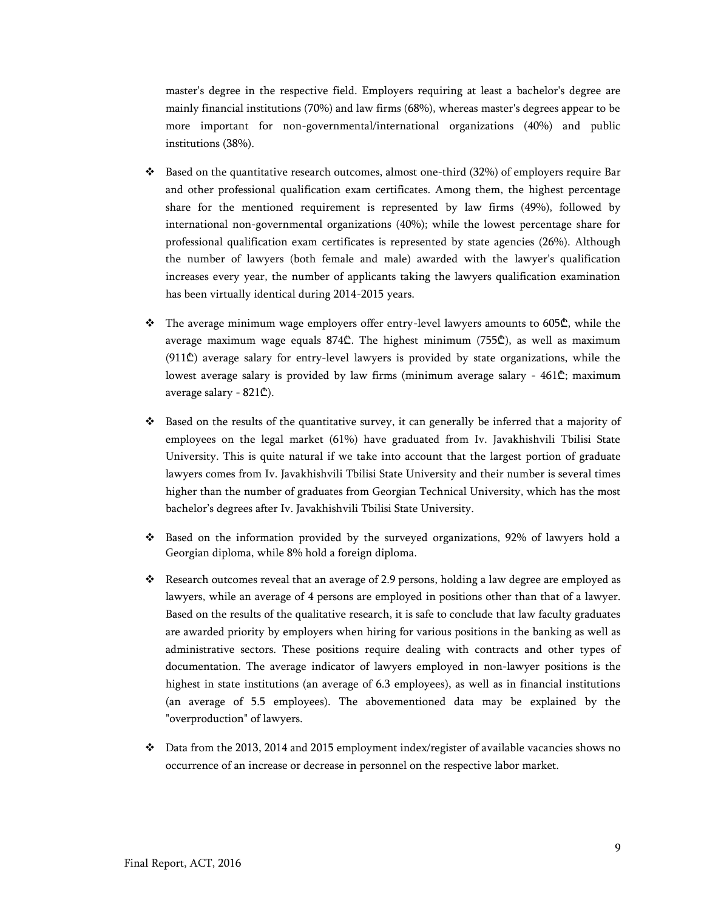master's degree in the respective field. Employers requiring at least a bachelor's degree are mainly financial institutions (70%) and law firms (68%), whereas master's degrees appear to be more important for non-governmental/international organizations (40%) and public institutions (38%).

- $\bullet$  Based on the quantitative research outcomes, almost one-third (32%) of employers require Bar and other professional qualification exam certificates. Among them, the highest percentage share for the mentioned requirement is represented by law firms (49%), followed by international non-governmental organizations (40%); while the lowest percentage share for professional qualification exam certificates is represented by state agencies (26%). Although the number of lawyers (both female and male) awarded with the lawyer's qualification increases every year, the number of applicants taking the lawyers qualification examination has been virtually identical during 2014-2015 years.
- The average minimum wage employers offer entry-level lawyers amounts to 605₾, while the average maximum wage equals 874₾. The highest minimum (755₾), as well as maximum  $(911<sup>°</sup>)$  average salary for entry-level lawyers is provided by state organizations, while the lowest average salary is provided by law firms (minimum average salary - 461₾; maximum average salary - 821₾).
- \* Based on the results of the quantitative survey, it can generally be inferred that a majority of employees on the legal market (61%) have graduated from Iv. Javakhishvili Tbilisi State University. This is quite natural if we take into account that the largest portion of graduate lawyers comes from Iv. Javakhishvili Tbilisi State University and their number is several times higher than the number of graduates from Georgian Technical University, which has the most bachelor's degrees after Iv. Javakhishvili Tbilisi State University.
- $\cdot$  Based on the information provided by the surveyed organizations, 92% of lawyers hold a Georgian diploma, while 8% hold a foreign diploma.
- Research outcomes reveal that an average of 2.9 persons, holding a law degree are employed as lawyers, while an average of 4 persons are employed in positions other than that of a lawyer. Based on the results of the qualitative research, it is safe to conclude that law faculty graduates are awarded priority by employers when hiring for various positions in the banking as well as administrative sectors. These positions require dealing with contracts and other types of documentation. The average indicator of lawyers employed in non-lawyer positions is the highest in state institutions (an average of 6.3 employees), as well as in financial institutions (an average of 5.5 employees). The abovementioned data may be explained by the "overproduction" of lawyers.
- Data from the 2013, 2014 and 2015 employment index/register of available vacancies shows no occurrence of an increase or decrease in personnel on the respective labor market.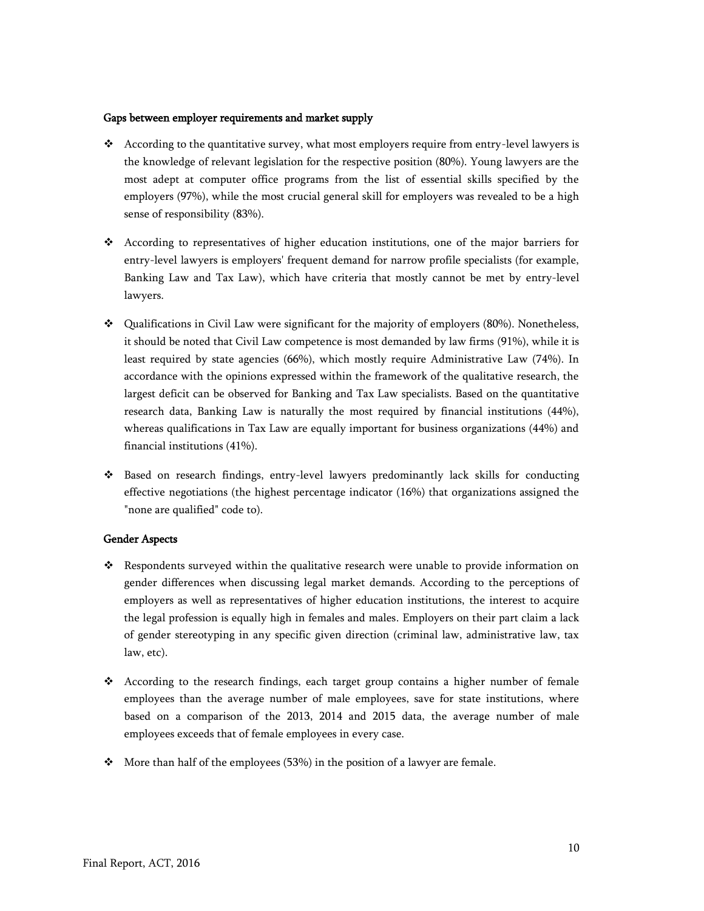#### Gaps between employer requirements and market supply

- According to the quantitative survey, what most employers require from entry-level lawyers is the knowledge of relevant legislation for the respective position (80%). Young lawyers are the most adept at computer office programs from the list of essential skills specified by the employers (97%), while the most crucial general skill for employers was revealed to be a high sense of responsibility (83%).
- According to representatives of higher education institutions, one of the major barriers for entry-level lawyers is employers' frequent demand for narrow profile specialists (for example, Banking Law and Tax Law), which have criteria that mostly cannot be met by entry-level lawyers.
- $\div$  Qualifications in Civil Law were significant for the majority of employers (80%). Nonetheless, it should be noted that Civil Law competence is most demanded by law firms (91%), while it is least required by state agencies (66%), which mostly require Administrative Law (74%). In accordance with the opinions expressed within the framework of the qualitative research, the largest deficit can be observed for Banking and Tax Law specialists. Based on the quantitative research data, Banking Law is naturally the most required by financial institutions (44%), whereas qualifications in Tax Law are equally important for business organizations (44%) and financial institutions (41%).
- Based on research findings, entry-level lawyers predominantly lack skills for conducting effective negotiations (the highest percentage indicator (16%) that organizations assigned the "none are qualified" code to).

#### Gender Aspects

- Respondents surveyed within the qualitative research were unable to provide information on gender differences when discussing legal market demands. According to the perceptions of employers as well as representatives of higher education institutions, the interest to acquire the legal profession is equally high in females and males. Employers on their part claim a lack of gender stereotyping in any specific given direction (criminal law, administrative law, tax law, etc).
- According to the research findings, each target group contains a higher number of female employees than the average number of male employees, save for state institutions, where based on a comparison of the 2013, 2014 and 2015 data, the average number of male employees exceeds that of female employees in every case.
- $\div$  More than half of the employees (53%) in the position of a lawyer are female.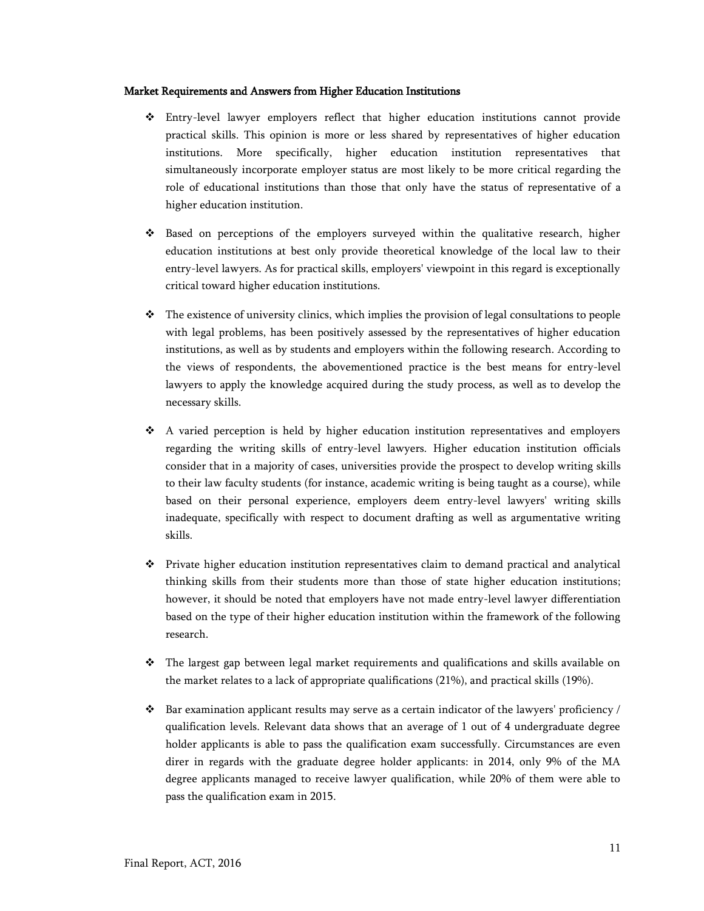#### Market Requirements and Answers from Higher Education Institutions

- Entry-level lawyer employers reflect that higher education institutions cannot provide practical skills. This opinion is more or less shared by representatives of higher education institutions. More specifically, higher education institution representatives that simultaneously incorporate employer status are most likely to be more critical regarding the role of educational institutions than those that only have the status of representative of a higher education institution.
- Based on perceptions of the employers surveyed within the qualitative research, higher education institutions at best only provide theoretical knowledge of the local law to their entry-level lawyers. As for practical skills, employers' viewpoint in this regard is exceptionally critical toward higher education institutions.
- $\hat{\mathbf{v}}$  The existence of university clinics, which implies the provision of legal consultations to people with legal problems, has been positively assessed by the representatives of higher education institutions, as well as by students and employers within the following research. According to the views of respondents, the abovementioned practice is the best means for entry-level lawyers to apply the knowledge acquired during the study process, as well as to develop the necessary skills.
- A varied perception is held by higher education institution representatives and employers regarding the writing skills of entry-level lawyers. Higher education institution officials consider that in a majority of cases, universities provide the prospect to develop writing skills to their law faculty students (for instance, academic writing is being taught as a course), while based on their personal experience, employers deem entry-level lawyers' writing skills inadequate, specifically with respect to document drafting as well as argumentative writing skills.
- Private higher education institution representatives claim to demand practical and analytical thinking skills from their students more than those of state higher education institutions; however, it should be noted that employers have not made entry-level lawyer differentiation based on the type of their higher education institution within the framework of the following research.
- The largest gap between legal market requirements and qualifications and skills available on the market relates to a lack of appropriate qualifications (21%), and practical skills (19%).
- $\bullet$  Bar examination applicant results may serve as a certain indicator of the lawyers' proficiency / qualification levels. Relevant data shows that an average of 1 out of 4 undergraduate degree holder applicants is able to pass the qualification exam successfully. Circumstances are even direr in regards with the graduate degree holder applicants: in 2014, only 9% of the MA degree applicants managed to receive lawyer qualification, while 20% of them were able to pass the qualification exam in 2015.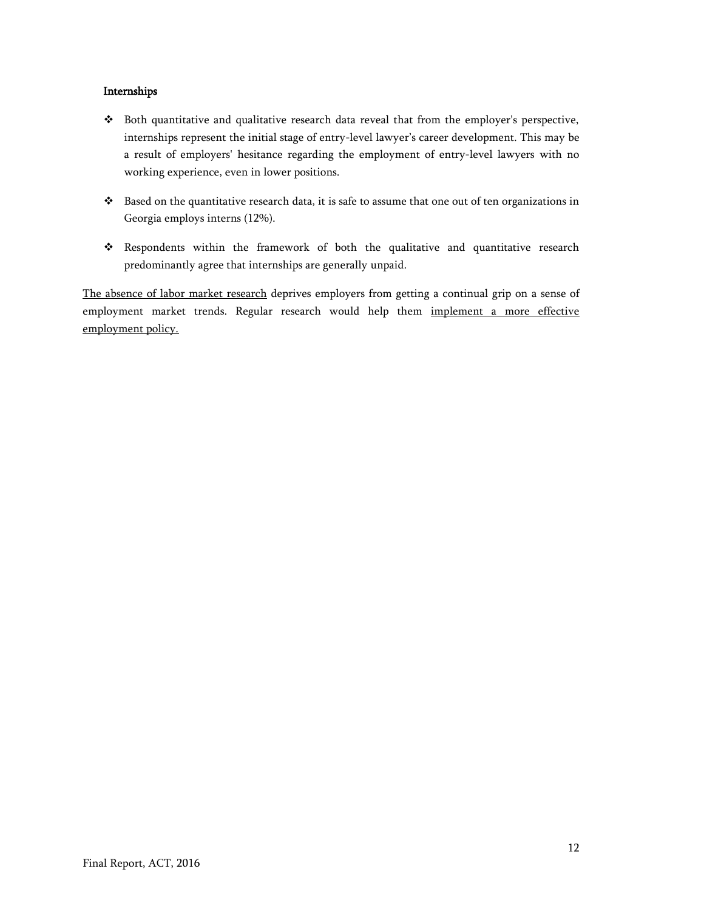## Internships

- Both quantitative and qualitative research data reveal that from the employer's perspective, internships represent the initial stage of entry-level lawyer's career development. This may be a result of employers' hesitance regarding the employment of entry-level lawyers with no working experience, even in lower positions.
- Based on the quantitative research data, it is safe to assume that one out of ten organizations in Georgia employs interns (12%).
- Respondents within the framework of both the qualitative and quantitative research predominantly agree that internships are generally unpaid.

The absence of labor market research deprives employers from getting a continual grip on a sense of employment market trends. Regular research would help them implement a more effective employment policy.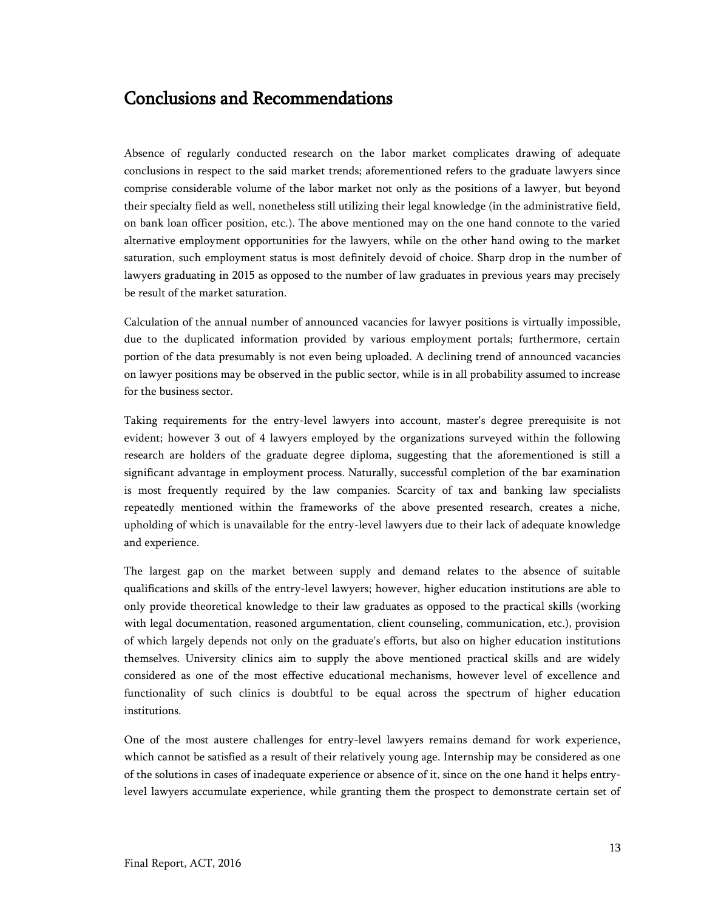# <span id="page-12-0"></span>Conclusions and Recommendations

Absence of regularly conducted research on the labor market complicates drawing of adequate conclusions in respect to the said market trends; aforementioned refers to the graduate lawyers since comprise considerable volume of the labor market not only as the positions of a lawyer, but beyond their specialty field as well, nonetheless still utilizing their legal knowledge (in the administrative field, on bank loan officer position, etc.). The above mentioned may on the one hand connote to the varied alternative employment opportunities for the lawyers, while on the other hand owing to the market saturation, such employment status is most definitely devoid of choice. Sharp drop in the number of lawyers graduating in 2015 as opposed to the number of law graduates in previous years may precisely be result of the market saturation.

Calculation of the annual number of announced vacancies for lawyer positions is virtually impossible, due to the duplicated information provided by various employment portals; furthermore, certain portion of the data presumably is not even being uploaded. A declining trend of announced vacancies on lawyer positions may be observed in the public sector, while is in all probability assumed to increase for the business sector.

Taking requirements for the entry-level lawyers into account, master's degree prerequisite is not evident; however 3 out of 4 lawyers employed by the organizations surveyed within the following research are holders of the graduate degree diploma, suggesting that the aforementioned is still a significant advantage in employment process. Naturally, successful completion of the bar examination is most frequently required by the law companies. Scarcity of tax and banking law specialists repeatedly mentioned within the frameworks of the above presented research, creates a niche, upholding of which is unavailable for the entry-level lawyers due to their lack of adequate knowledge and experience.

The largest gap on the market between supply and demand relates to the absence of suitable qualifications and skills of the entry-level lawyers; however, higher education institutions are able to only provide theoretical knowledge to their law graduates as opposed to the practical skills (working with legal documentation, reasoned argumentation, client counseling, communication, etc.), provision of which largely depends not only on the graduate's efforts, but also on higher education institutions themselves. University clinics aim to supply the above mentioned practical skills and are widely considered as one of the most effective educational mechanisms, however level of excellence and functionality of such clinics is doubtful to be equal across the spectrum of higher education institutions.

One of the most austere challenges for entry-level lawyers remains demand for work experience, which cannot be satisfied as a result of their relatively young age. Internship may be considered as one of the solutions in cases of inadequate experience or absence of it, since on the one hand it helps entrylevel lawyers accumulate experience, while granting them the prospect to demonstrate certain set of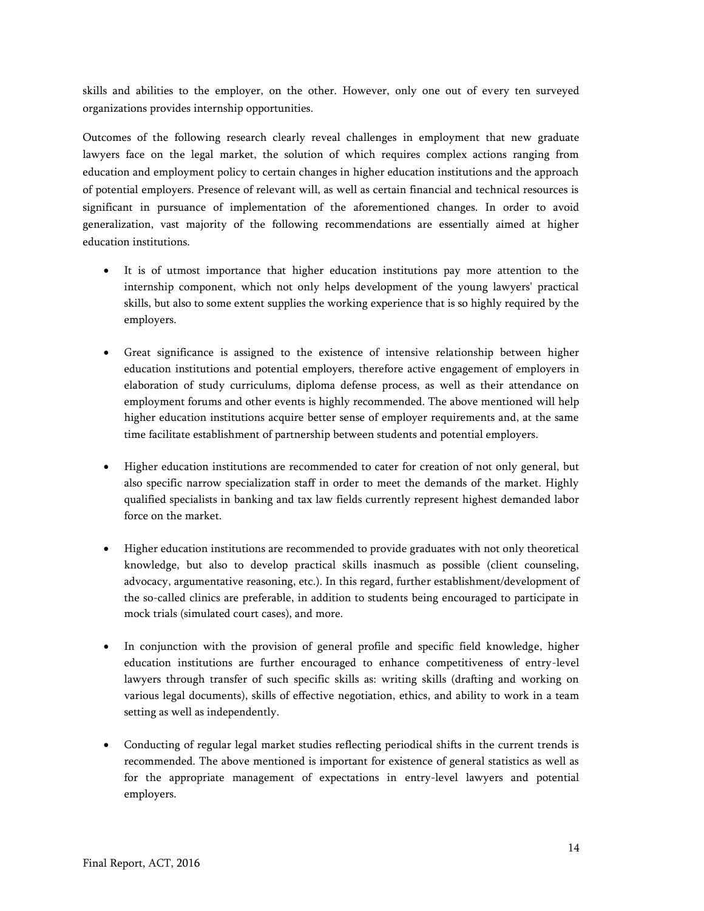skills and abilities to the employer, on the other. However, only one out of every ten surveyed organizations provides internship opportunities.

Outcomes of the following research clearly reveal challenges in employment that new graduate lawyers face on the legal market, the solution of which requires complex actions ranging from education and employment policy to certain changes in higher education institutions and the approach of potential employers. Presence of relevant will, as well as certain financial and technical resources is significant in pursuance of implementation of the aforementioned changes. In order to avoid generalization, vast majority of the following recommendations are essentially aimed at higher education institutions.

- It is of utmost importance that higher education institutions pay more attention to the internship component, which not only helps development of the young lawyers' practical skills, but also to some extent supplies the working experience that is so highly required by the employers.
- Great significance is assigned to the existence of intensive relationship between higher education institutions and potential employers, therefore active engagement of employers in elaboration of study curriculums, diploma defense process, as well as their attendance on employment forums and other events is highly recommended. The above mentioned will help higher education institutions acquire better sense of employer requirements and, at the same time facilitate establishment of partnership between students and potential employers.
- Higher education institutions are recommended to cater for creation of not only general, but also specific narrow specialization staff in order to meet the demands of the market. Highly qualified specialists in banking and tax law fields currently represent highest demanded labor force on the market.
- Higher education institutions are recommended to provide graduates with not only theoretical knowledge, but also to develop practical skills inasmuch as possible (client counseling, advocacy, argumentative reasoning, etc.). In this regard, further establishment/development of the so-called clinics are preferable, in addition to students being encouraged to participate in mock trials (simulated court cases), and more.
- In conjunction with the provision of general profile and specific field knowledge, higher education institutions are further encouraged to enhance competitiveness of entry-level lawyers through transfer of such specific skills as: writing skills (drafting and working on various legal documents), skills of effective negotiation, ethics, and ability to work in a team setting as well as independently.
- Conducting of regular legal market studies reflecting periodical shifts in the current trends is recommended. The above mentioned is important for existence of general statistics as well as for the appropriate management of expectations in entry-level lawyers and potential employers.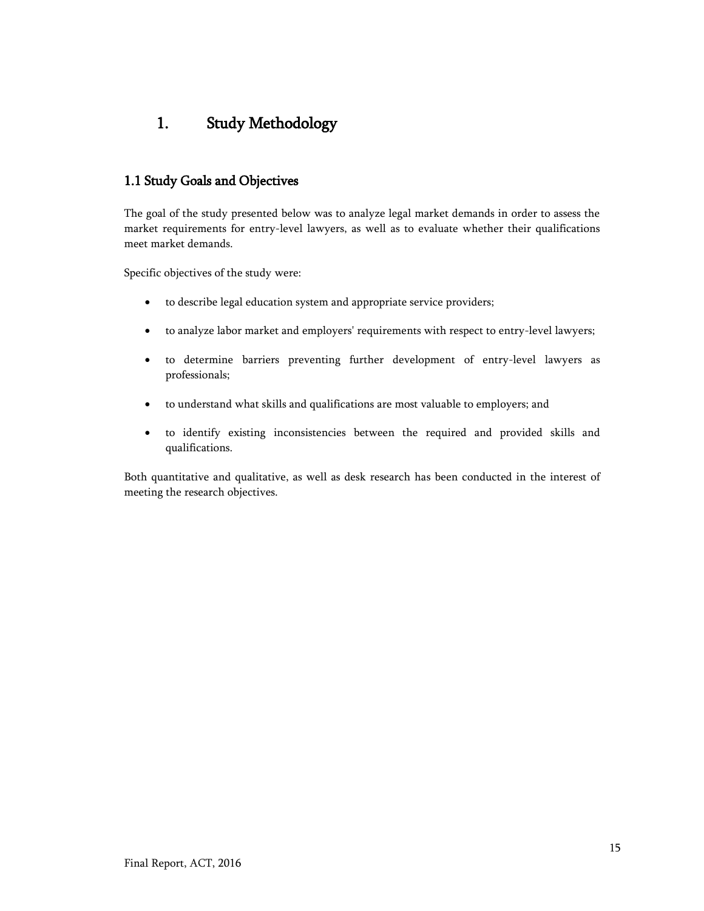# <span id="page-14-0"></span>1. Study Methodology

## <span id="page-14-1"></span>1.1 Study Goals and Objectives

The goal of the study presented below was to analyze legal market demands in order to assess the market requirements for entry-level lawyers, as well as to evaluate whether their qualifications meet market demands.

Specific objectives of the study were:

- to describe legal education system and appropriate service providers;
- to analyze labor market and employers' requirements with respect to entry-level lawyers;
- to determine barriers preventing further development of entry-level lawyers as professionals;
- to understand what skills and qualifications are most valuable to employers; and
- to identify existing inconsistencies between the required and provided skills and qualifications.

Both quantitative and qualitative, as well as desk research has been conducted in the interest of meeting the research objectives.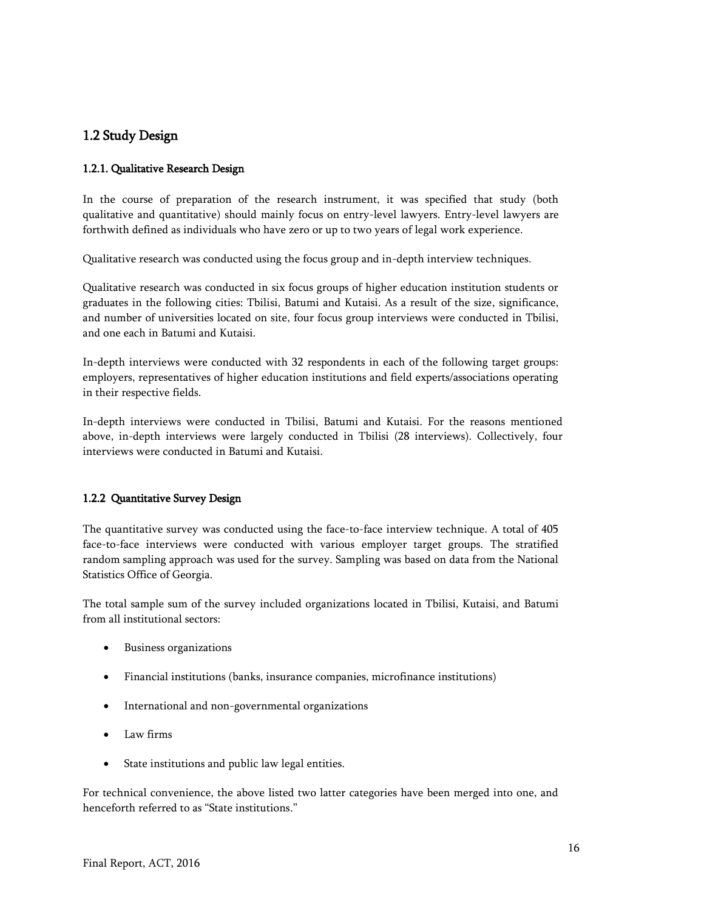## <span id="page-15-0"></span>1.2 Study Design

## <span id="page-15-1"></span>1.2.1. Qualitative Research Design

In the course of preparation of the research instrument, it was specified that study (both qualitative and quantitative) should mainly focus on entry-level lawyers. Entry-level lawyers are forthwith defined as individuals who have zero or up to two years of legal work experience.

Qualitative research was conducted using the focus group and in-depth interview techniques.

Qualitative research was conducted in six focus groups of higher education institution students or graduates in the following cities: Tbilisi, Batumi and Kutaisi. As a result of the size, significance, and number of universities located on site, four focus group interviews were conducted in Tbilisi, and one each in Batumi and Kutaisi.

In-depth interviews were conducted with 32 respondents in each of the following target groups: employers, representatives of higher education institutions and field experts/associations operating in their respective fields.

In-depth interviews were conducted in Tbilisi, Batumi and Kutaisi. For the reasons mentioned above, in-depth interviews were largely conducted in Tbilisi (28 interviews). Collectively, four interviews were conducted in Batumi and Kutaisi.

## <span id="page-15-2"></span>1.2.2 Quantitative Survey Design

The quantitative survey was conducted using the face-to-face interview technique. A total of 405 face-to-face interviews were conducted with various employer target groups. The stratified random sampling approach was used for the survey. Sampling was based on data from the National Statistics Office of Georgia.

The total sample sum of the survey included organizations located in Tbilisi, Kutaisi, and Batumi from all institutional sectors:

- Business organizations
- Financial institutions (banks, insurance companies, microfinance institutions)
- International and non-governmental organizations
- Law firms
- State institutions and public law legal entities.

For technical convenience, the above listed two latter categories have been merged into one, and henceforth referred to as "State institutions."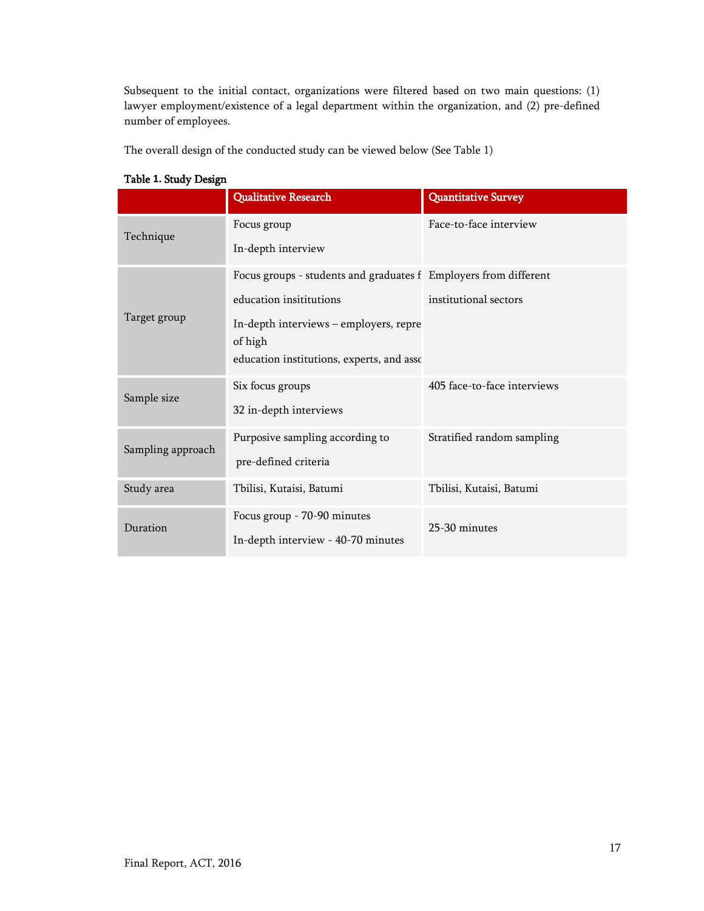Subsequent to the initial contact, organizations were filtered based on two main questions: (1) lawyer employment/existence of a legal department within the organization, and (2) pre-defined number of employees.

The overall design of the conducted study can be viewed below (See Table 1)

|                   | <b>Qualitative Research</b>                                                                                                                                                                   | <b>Quantitative Survey</b>  |
|-------------------|-----------------------------------------------------------------------------------------------------------------------------------------------------------------------------------------------|-----------------------------|
| Technique         | Focus group<br>In-depth interview                                                                                                                                                             | Face-to-face interview      |
| Target group      | Focus groups - students and graduates f Employers from different<br>education insititutions<br>In-depth interviews - employers, repre<br>of high<br>education institutions, experts, and asso | institutional sectors       |
| Sample size       | Six focus groups<br>32 in-depth interviews                                                                                                                                                    | 405 face-to-face interviews |
| Sampling approach | Purposive sampling according to<br>pre-defined criteria                                                                                                                                       | Stratified random sampling  |
| Study area        | Tbilisi, Kutaisi, Batumi                                                                                                                                                                      | Tbilisi, Kutaisi, Batumi    |
| Duration          | Focus group - 70-90 minutes<br>In-depth interview - 40-70 minutes                                                                                                                             | 25-30 minutes               |

#### <span id="page-16-0"></span>Table **1.** Study Design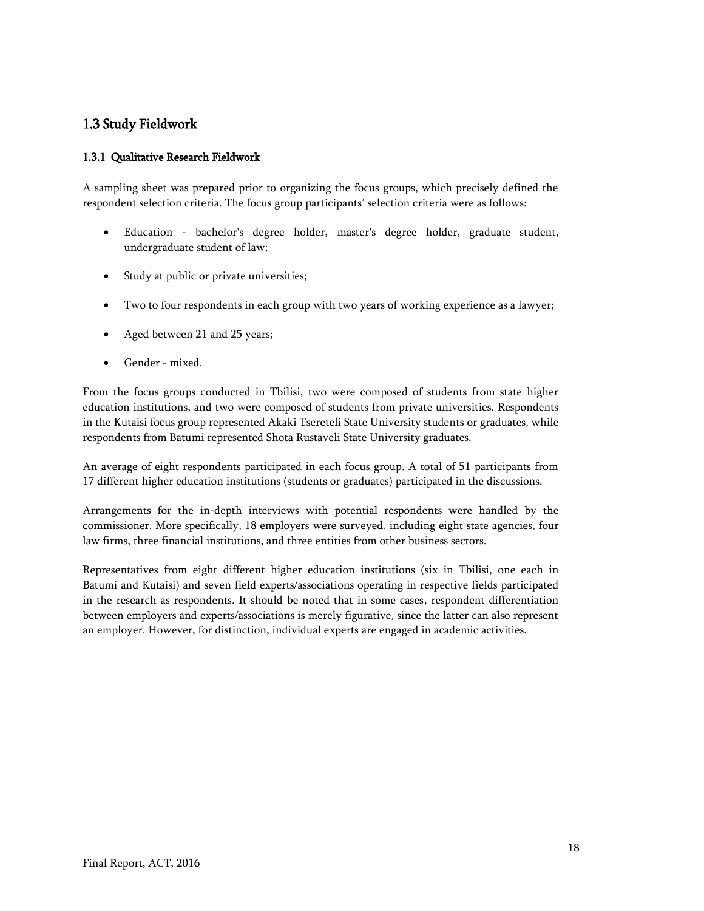## <span id="page-17-0"></span>1.3 Study Fieldwork

## <span id="page-17-1"></span>1.3.1 Qualitative Research Fieldwork

A sampling sheet was prepared prior to organizing the focus groups, which precisely defined the respondent selection criteria. The focus group participants' selection criteria were as follows:

- Education bachelor's degree holder, master's degree holder, graduate student, undergraduate student of law;
- Study at public or private universities;
- Two to four respondents in each group with two years of working experience as a lawyer;
- Aged between 21 and 25 years;
- Gender mixed.

From the focus groups conducted in Tbilisi, two were composed of students from state higher education institutions, and two were composed of students from private universities. Respondents in the Kutaisi focus group represented Akaki Tsereteli State University students or graduates, while respondents from Batumi represented Shota Rustaveli State University graduates.

An average of eight respondents participated in each focus group. A total of 51 participants from 17 different higher education institutions (students or graduates) participated in the discussions.

Arrangements for the in-depth interviews with potential respondents were handled by the commissioner. More specifically, 18 employers were surveyed, including eight state agencies, four law firms, three financial institutions, and three entities from other business sectors.

Representatives from eight different higher education institutions (six in Tbilisi, one each in Batumi and Kutaisi) and seven field experts/associations operating in respective fields participated in the research as respondents. It should be noted that in some cases, respondent differentiation between employers and experts/associations is merely figurative, since the latter can also represent an employer. However, for distinction, individual experts are engaged in academic activities.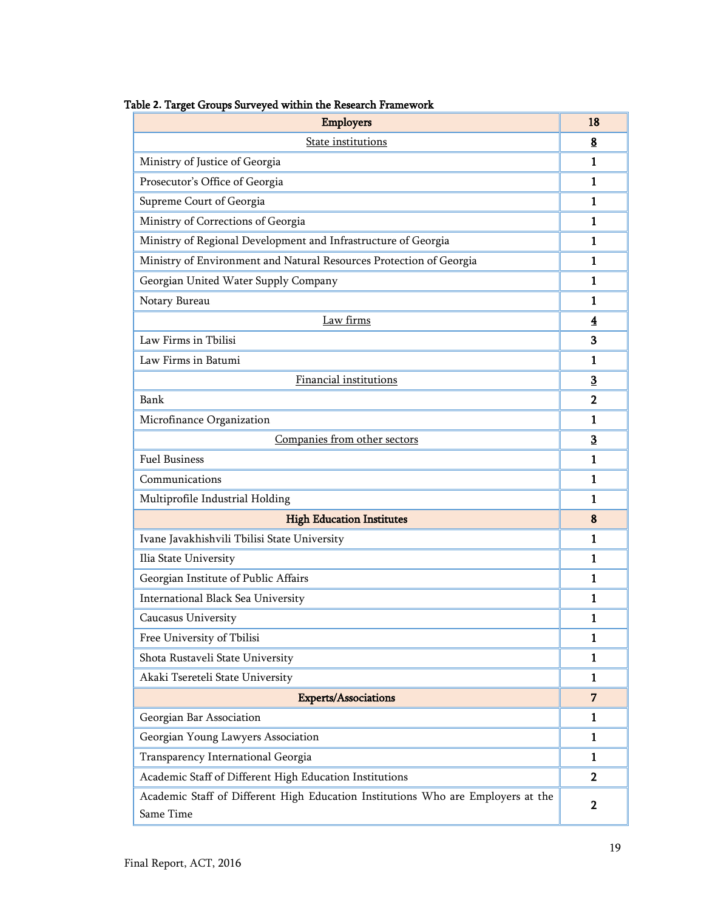| <b>Employers</b>                                                                              | 18                      |
|-----------------------------------------------------------------------------------------------|-------------------------|
| <b>State institutions</b>                                                                     | 8                       |
| Ministry of Justice of Georgia                                                                | 1                       |
| Prosecutor's Office of Georgia                                                                | 1                       |
| Supreme Court of Georgia                                                                      | 1                       |
| Ministry of Corrections of Georgia                                                            | 1                       |
| Ministry of Regional Development and Infrastructure of Georgia                                | 1                       |
| Ministry of Environment and Natural Resources Protection of Georgia                           | 1                       |
| Georgian United Water Supply Company                                                          | 1                       |
| Notary Bureau                                                                                 | 1                       |
| Law firms                                                                                     | $\overline{\mathbf{4}}$ |
| Law Firms in Tbilisi                                                                          | 3                       |
| Law Firms in Batumi                                                                           | 1                       |
| <b>Financial institutions</b>                                                                 | $\overline{\mathbf{3}}$ |
| Bank                                                                                          | $\overline{2}$          |
| Microfinance Organization                                                                     | 1                       |
| Companies from other sectors                                                                  | 3                       |
| <b>Fuel Business</b>                                                                          | 1                       |
| Communications                                                                                | 1                       |
| Multiprofile Industrial Holding                                                               | 1                       |
| <b>High Education Institutes</b>                                                              | 8                       |
| Ivane Javakhishvili Tbilisi State University                                                  | 1                       |
| Ilia State University                                                                         | 1                       |
| Georgian Institute of Public Affairs                                                          | 1                       |
| International Black Sea University                                                            | 1                       |
| <b>Caucasus University</b>                                                                    | 1                       |
| Free University of Tbilisi                                                                    | 1                       |
| Shota Rustaveli State University                                                              | 1                       |
| Akaki Tsereteli State University                                                              | 1                       |
| <b>Experts/Associations</b>                                                                   | 7                       |
| Georgian Bar Association                                                                      | 1                       |
| Georgian Young Lawyers Association                                                            | 1                       |
| Transparency International Georgia                                                            | 1                       |
| Academic Staff of Different High Education Institutions                                       | $\mathbf 2$             |
| Academic Staff of Different High Education Institutions Who are Employers at the<br>Same Time | $\mathbf 2$             |

## <span id="page-18-0"></span>Table **2.** Target Groups Surveyed within the Research Framework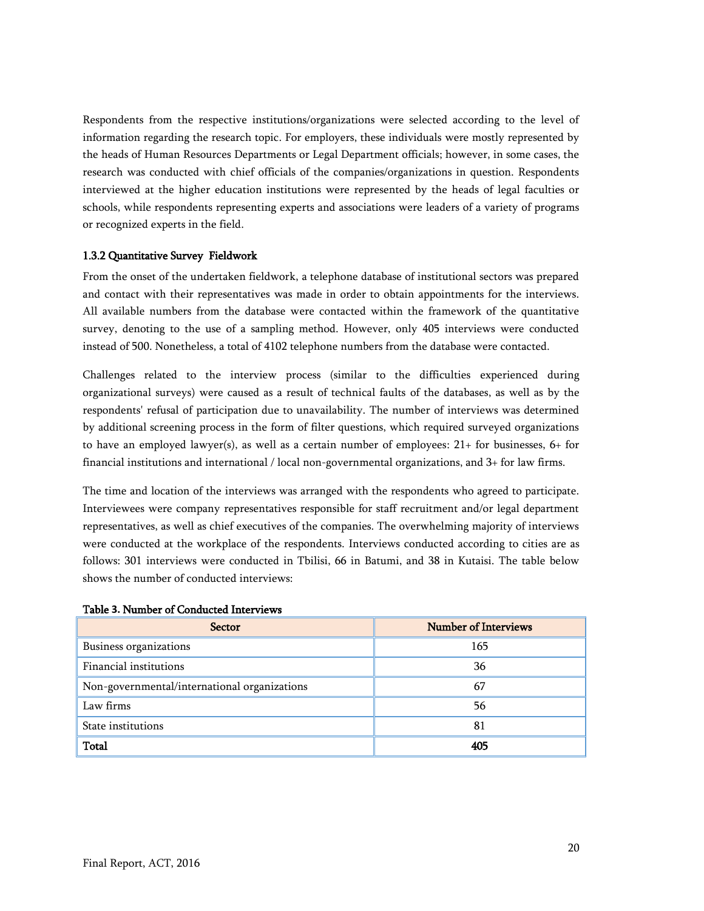Respondents from the respective institutions/organizations were selected according to the level of information regarding the research topic. For employers, these individuals were mostly represented by the heads of Human Resources Departments or Legal Department officials; however, in some cases, the research was conducted with chief officials of the companies/organizations in question. Respondents interviewed at the higher education institutions were represented by the heads of legal faculties or schools, while respondents representing experts and associations were leaders of a variety of programs or recognized experts in the field.

#### <span id="page-19-0"></span>1.3.2 Quantitative Survey Fieldwork

From the onset of the undertaken fieldwork, a telephone database of institutional sectors was prepared and contact with their representatives was made in order to obtain appointments for the interviews. All available numbers from the database were contacted within the framework of the quantitative survey, denoting to the use of a sampling method. However, only 405 interviews were conducted instead of 500. Nonetheless, a total of 4102 telephone numbers from the database were contacted.

Challenges related to the interview process (similar to the difficulties experienced during organizational surveys) were caused as a result of technical faults of the databases, as well as by the respondents' refusal of participation due to unavailability. The number of interviews was determined by additional screening process in the form of filter questions, which required surveyed organizations to have an employed lawyer(s), as well as a certain number of employees: 21+ for businesses, 6+ for financial institutions and international / local non-governmental organizations, and 3+ for law firms.

The time and location of the interviews was arranged with the respondents who agreed to participate. Interviewees were company representatives responsible for staff recruitment and/or legal department representatives, as well as chief executives of the companies. The overwhelming majority of interviews were conducted at the workplace of the respondents. Interviews conducted according to cities are as follows: 301 interviews were conducted in Tbilisi, 66 in Batumi, and 38 in Kutaisi. The table below shows the number of conducted interviews:

| <b>Sector</b>                                | <b>Number of Interviews</b> |
|----------------------------------------------|-----------------------------|
| Business organizations                       | 165                         |
| Financial institutions                       | 36                          |
| Non-governmental/international organizations | 67                          |
| Law firms                                    | 56                          |
| State institutions                           | 81                          |
| <b>Total</b>                                 | 405                         |

#### <span id="page-19-1"></span>Table **3.** Number of Conducted Interviews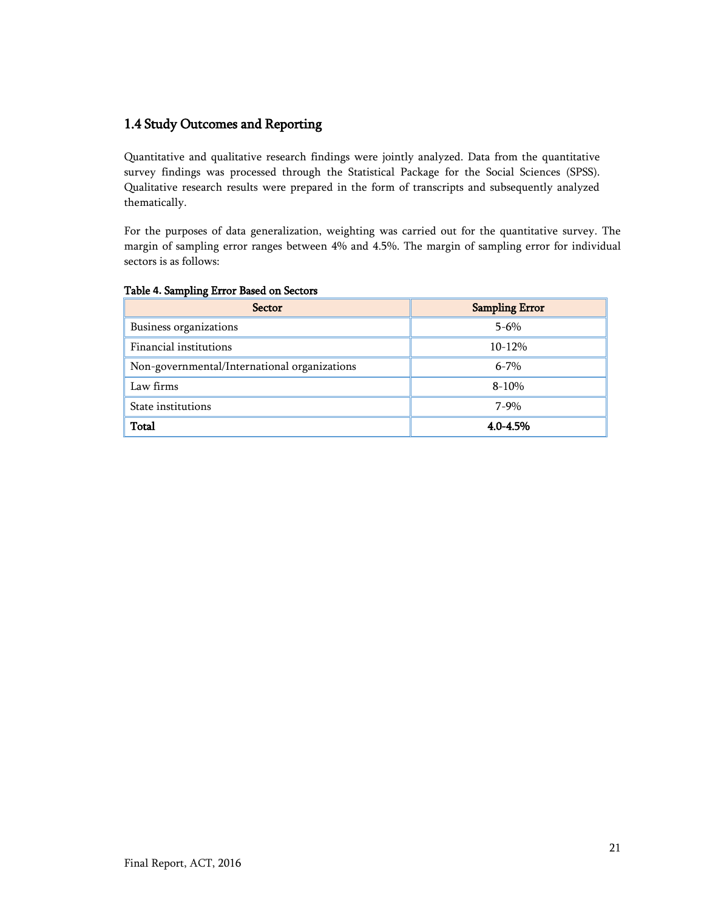## <span id="page-20-0"></span>1.4 Study Outcomes and Reporting

Quantitative and qualitative research findings were jointly analyzed. Data from the quantitative survey findings was processed through the Statistical Package for the Social Sciences (SPSS). Qualitative research results were prepared in the form of transcripts and subsequently analyzed thematically.

For the purposes of data generalization, weighting was carried out for the quantitative survey. The margin of sampling error ranges between 4% and 4.5%. The margin of sampling error for individual sectors is as follows:

| <b>Sector</b>                                | <b>Sampling Error</b> |
|----------------------------------------------|-----------------------|
| Business organizations                       | $5 - 6\%$             |
| Financial institutions                       | $10 - 12%$            |
| Non-governmental/International organizations | $6 - 7\%$             |
| Law firms                                    | $8 - 10%$             |
| State institutions                           | 7-9%                  |
| Total                                        | 4.0-4.5%              |

## <span id="page-20-1"></span>Table **4.** Sampling Error Based on Sectors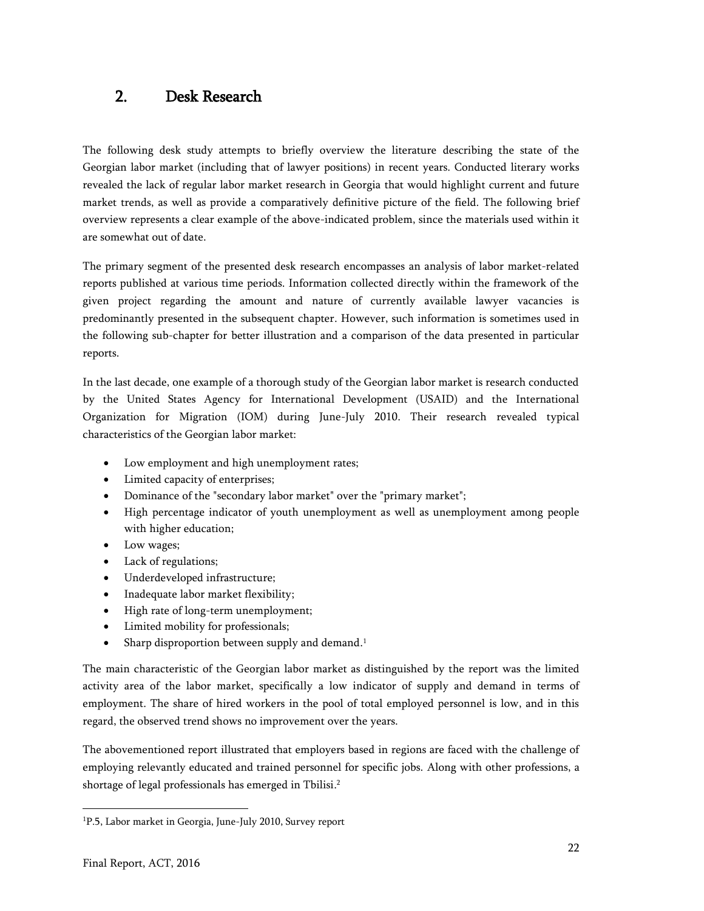# <span id="page-21-0"></span>2. Desk Research

The following desk study attempts to briefly overview the literature describing the state of the Georgian labor market (including that of lawyer positions) in recent years. Conducted literary works revealed the lack of regular labor market research in Georgia that would highlight current and future market trends, as well as provide a comparatively definitive picture of the field. The following brief overview represents a clear example of the above-indicated problem, since the materials used within it are somewhat out of date.

The primary segment of the presented desk research encompasses an analysis of labor market-related reports published at various time periods. Information collected directly within the framework of the given project regarding the amount and nature of currently available lawyer vacancies is predominantly presented in the subsequent chapter. However, such information is sometimes used in the following sub-chapter for better illustration and a comparison of the data presented in particular reports.

In the last decade, one example of a thorough study of the Georgian labor market is research conducted by the United States Agency for International Development (USAID) and the International Organization for Migration (IOM) during June-July 2010. Their research revealed typical characteristics of the Georgian labor market:

- Low employment and high unemployment rates;
- Limited capacity of enterprises;
- Dominance of the "secondary labor market" over the "primary market";
- High percentage indicator of youth unemployment as well as unemployment among people with higher education;
- Low wages;
- Lack of regulations;
- Underdeveloped infrastructure;
- Inadequate labor market flexibility;
- High rate of long-term unemployment;
- Limited mobility for professionals;
- Sharp disproportion between supply and demand.<sup>1</sup>

The main characteristic of the Georgian labor market as distinguished by the report was the limited activity area of the labor market, specifically a low indicator of supply and demand in terms of employment. The share of hired workers in the pool of total employed personnel is low, and in this regard, the observed trend shows no improvement over the years.

The abovementioned report illustrated that employers based in regions are faced with the challenge of employing relevantly educated and trained personnel for specific jobs. Along with other professions, a shortage of legal professionals has emerged in Tbilisi. 2

<sup>&</sup>lt;sup>1</sup>P.5, Labor market in Georgia, June-July 2010, Survey report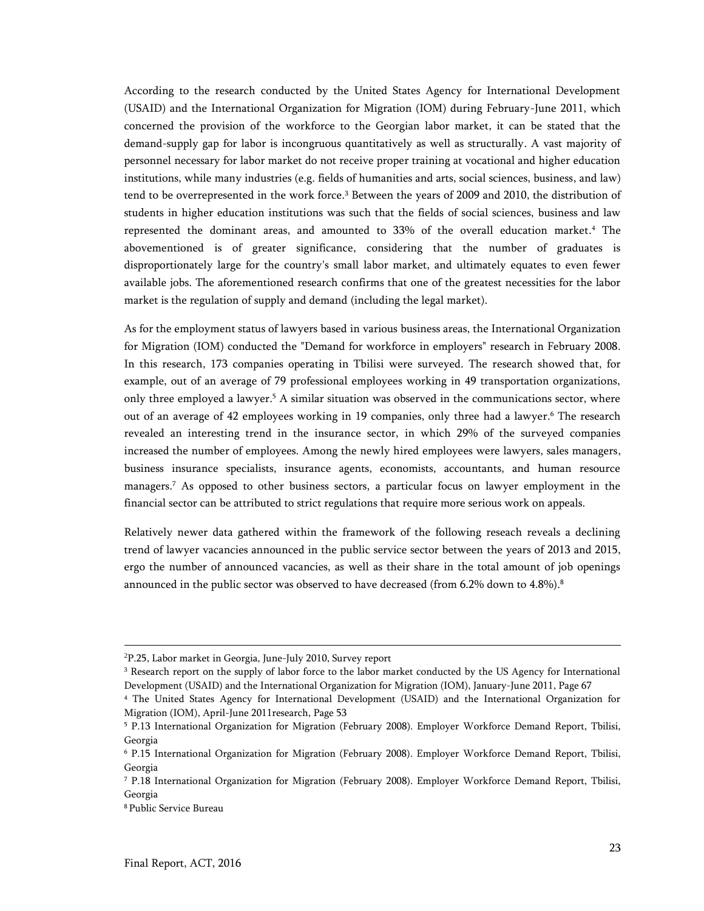According to the research conducted by the United States Agency for International Development (USAID) and the International Organization for Migration (IOM) during February-June 2011, which concerned the provision of the workforce to the Georgian labor market, it can be stated that the demand-supply gap for labor is incongruous quantitatively as well as structurally. A vast majority of personnel necessary for labor market do not receive proper training at vocational and higher education institutions, while many industries (e.g. fields of humanities and arts, social sciences, business, and law) tend to be overrepresented in the work force. <sup>3</sup> Between the years of 2009 and 2010, the distribution of students in higher education institutions was such that the fields of social sciences, business and law represented the dominant areas, and amounted to 33% of the overall education market. <sup>4</sup> The abovementioned is of greater significance, considering that the number of graduates is disproportionately large for the country's small labor market, and ultimately equates to even fewer available jobs. The aforementioned research confirms that one of the greatest necessities for the labor market is the regulation of supply and demand (including the legal market).

As for the employment status of lawyers based in various business areas, the International Organization for Migration (IOM) conducted the "Demand for workforce in employers" research in February 2008. In this research, 173 companies operating in Tbilisi were surveyed. The research showed that, for example, out of an average of 79 professional employees working in 49 transportation organizations, only three employed a lawyer. <sup>5</sup> A similar situation was observed in the communications sector, where out of an average of 42 employees working in 19 companies, only three had a lawyer. <sup>6</sup> The research revealed an interesting trend in the insurance sector, in which 29% of the surveyed companies increased the number of employees. Among the newly hired employees were lawyers, sales managers, business insurance specialists, insurance agents, economists, accountants, and human resource managers. <sup>7</sup> As opposed to other business sectors, a particular focus on lawyer employment in the financial sector can be attributed to strict regulations that require more serious work on appeals.

Relatively newer data gathered within the framework of the following reseach reveals a declining trend of lawyer vacancies announced in the public service sector between the years of 2013 and 2015, ergo the number of announced vacancies, as well as their share in the total amount of job openings announced in the public sector was observed to have decreased (from 6.2% down to 4.8%). 8

<sup>2</sup>P.25, Labor market in Georgia, June-July 2010, Survey report

<sup>&</sup>lt;sup>3</sup> Research report on the supply of labor force to the labor market conducted by the US Agency for International Development (USAID) and the International Organization for Migration (IOM), January-June 2011, Page 67

<sup>4</sup> The United States Agency for International Development (USAID) and the International Organization for Migration (IOM), April-June 2011research, Page 53

<sup>5</sup> P.13 International Organization for Migration (February 2008). Employer Workforce Demand Report, Tbilisi, Georgia

<sup>6</sup> P.15 International Organization for Migration (February 2008). Employer Workforce Demand Report, Tbilisi, Georgia

<sup>7</sup> P.18 International Organization for Migration (February 2008). Employer Workforce Demand Report, Tbilisi, Georgia

<sup>8</sup> Public Service Bureau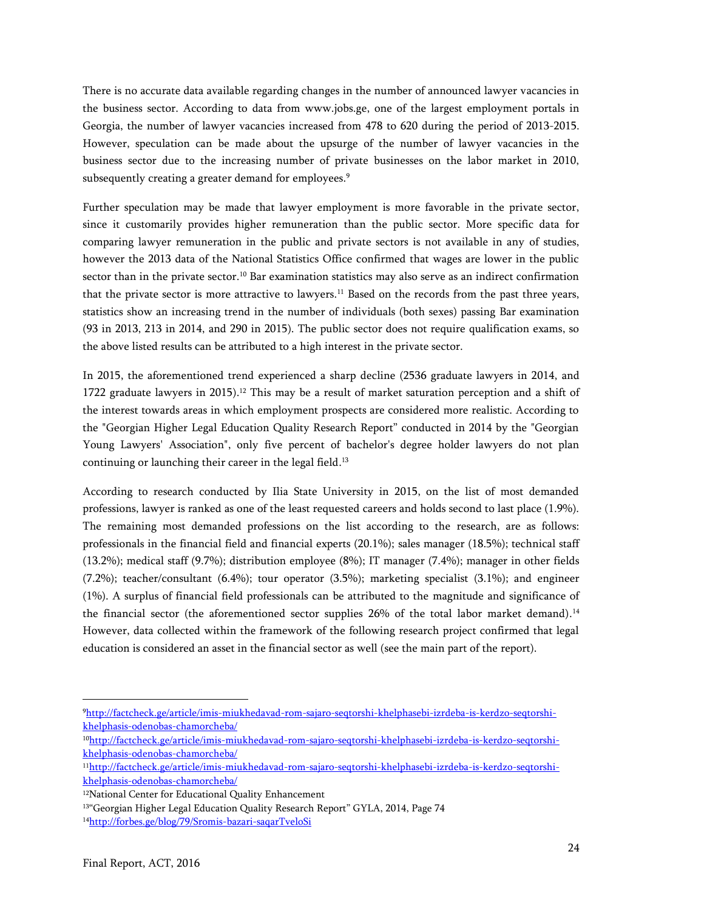There is no accurate data available regarding changes in the number of announced lawyer vacancies in the business sector. According to data from www.jobs.ge, one of the largest employment portals in Georgia, the number of lawyer vacancies increased from 478 to 620 during the period of 2013-2015. However, speculation can be made about the upsurge of the number of lawyer vacancies in the business sector due to the increasing number of private businesses on the labor market in 2010, subsequently creating a greater demand for employees. 9

Further speculation may be made that lawyer employment is more favorable in the private sector, since it customarily provides higher remuneration than the public sector. More specific data for comparing lawyer remuneration in the public and private sectors is not available in any of studies, however the 2013 data of the National Statistics Office confirmed that wages are lower in the public sector than in the private sector.<sup>10</sup> Bar examination statistics may also serve as an indirect confirmation that the private sector is more attractive to lawyers. <sup>11</sup> Based on the records from the past three years, statistics show an increasing trend in the number of individuals (both sexes) passing Bar examination (93 in 2013, 213 in 2014, and 290 in 2015). The public sector does not require qualification exams, so the above listed results can be attributed to a high interest in the private sector.

In 2015, the aforementioned trend experienced a sharp decline (2536 graduate lawyers in 2014, and 1722 graduate lawyers in 2015).<sup>12</sup> This may be a result of market saturation perception and a shift of the interest towards areas in which employment prospects are considered more realistic. According to the "Georgian Higher Legal Education Quality Research Report" conducted in 2014 by the "Georgian Young Lawyers' Association", only five percent of bachelor's degree holder lawyers do not plan continuing or launching their career in the legal field. 13

According to research conducted by Ilia State University in 2015, on the list of most demanded professions, lawyer is ranked as one of the least requested careers and holds second to last place (1.9%). The remaining most demanded professions on the list according to the research, are as follows: professionals in the financial field and financial experts (20.1%); sales manager (18.5%); technical staff (13.2%); medical staff (9.7%); distribution employee (8%); IT manager (7.4%); manager in other fields (7.2%); teacher/consultant (6.4%); tour operator (3.5%); marketing specialist (3.1%); and engineer (1%). A surplus of financial field professionals can be attributed to the magnitude and significance of the financial sector (the aforementioned sector supplies 26% of the total labor market demand).<sup>14</sup> However, data collected within the framework of the following research project confirmed that legal education is considered an asset in the financial sector as well (see the main part of the report).

<sup>9</sup>[http://factcheck.ge/article/imis-miukhedavad-rom-sajaro-seqtorshi-khelphasebi-izrdeba-is-kerdzo-seqtorshi](http://factcheck.ge/article/imis-miukhedavad-rom-sajaro-seqtorshi-khelphasebi-izrdeba-is-kerdzo-seqtorshi-khelphasis-odenobas-chamorcheba/)[khelphasis-odenobas-chamorcheba/](http://factcheck.ge/article/imis-miukhedavad-rom-sajaro-seqtorshi-khelphasebi-izrdeba-is-kerdzo-seqtorshi-khelphasis-odenobas-chamorcheba/)

<sup>10</sup>[http://factcheck.ge/article/imis-miukhedavad-rom-sajaro-seqtorshi-khelphasebi-izrdeba-is-kerdzo-seqtorshi](http://factcheck.ge/article/imis-miukhedavad-rom-sajaro-seqtorshi-khelphasebi-izrdeba-is-kerdzo-seqtorshi-khelphasis-odenobas-chamorcheba/)[khelphasis-odenobas-chamorcheba/](http://factcheck.ge/article/imis-miukhedavad-rom-sajaro-seqtorshi-khelphasebi-izrdeba-is-kerdzo-seqtorshi-khelphasis-odenobas-chamorcheba/)

<sup>11</sup>[http://factcheck.ge/article/imis-miukhedavad-rom-sajaro-seqtorshi-khelphasebi-izrdeba-is-kerdzo-seqtorshi](http://factcheck.ge/article/imis-miukhedavad-rom-sajaro-seqtorshi-khelphasebi-izrdeba-is-kerdzo-seqtorshi-khelphasis-odenobas-chamorcheba/)[khelphasis-odenobas-chamorcheba/](http://factcheck.ge/article/imis-miukhedavad-rom-sajaro-seqtorshi-khelphasebi-izrdeba-is-kerdzo-seqtorshi-khelphasis-odenobas-chamorcheba/)

<sup>&</sup>lt;sup>12</sup>National Center for Educational Quality Enhancement

<sup>&</sup>lt;sup>13"</sup>Georgian Higher Legal Education Quality Research Report" GYLA, 2014, Page 74 14<http://forbes.ge/blog/79/Sromis-bazari-saqarTveloSi>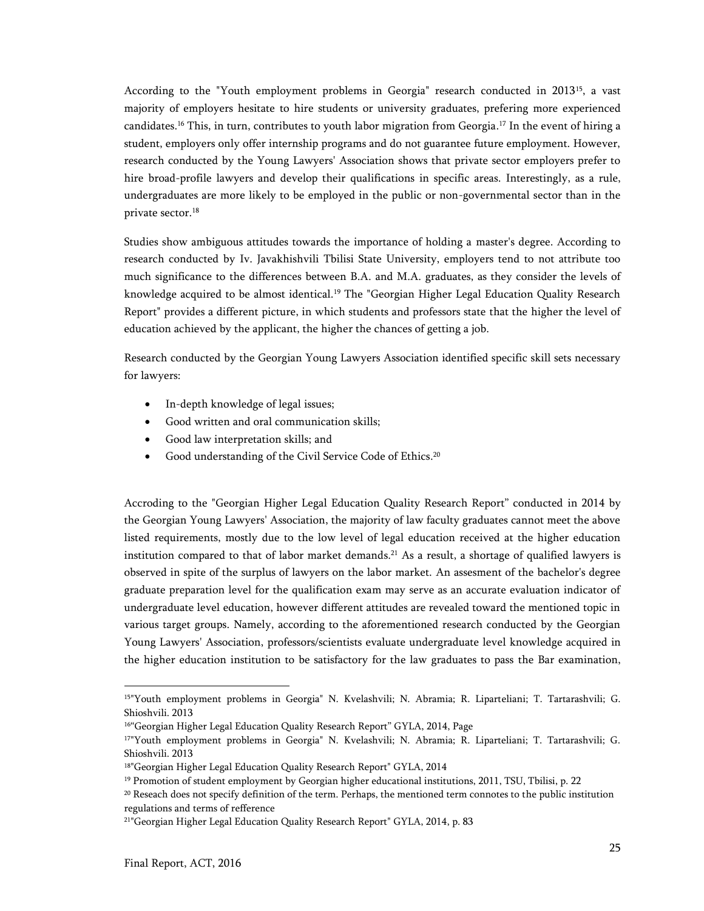According to the "Youth employment problems in Georgia" research conducted in 2013<sup>15</sup>, a vast majority of employers hesitate to hire students or university graduates, prefering more experienced candidates. <sup>16</sup> This, in turn, contributes to youth labor migration from Georgia. <sup>17</sup> In the event of hiring a student, employers only offer internship programs and do not guarantee future employment. However, research conducted by the Young Lawyers' Association shows that private sector employers prefer to hire broad-profile lawyers and develop their qualifications in specific areas. Interestingly, as a rule, undergraduates are more likely to be employed in the public or non-governmental sector than in the private sector. 18

Studies show ambiguous attitudes towards the importance of holding a master's degree. According to research conducted by Iv. Javakhishvili Tbilisi State University, employers tend to not attribute too much significance to the differences between B.A. and M.A. graduates, as they consider the levels of knowledge acquired to be almost identical.<sup>19</sup> The "Georgian Higher Legal Education Quality Research Report" provides a different picture, in which students and professors state that the higher the level of education achieved by the applicant, the higher the chances of getting a job.

Research conducted by the Georgian Young Lawyers Association identified specific skill sets necessary for lawyers:

- In-depth knowledge of legal issues;
- Good written and oral communication skills;
- Good law interpretation skills; and
- Good understanding of the Civil Service Code of Ethics. 20

Accroding to the "Georgian Higher Legal Education Quality Research Report" conducted in 2014 by the Georgian Young Lawyers' Association, the majority of law faculty graduates cannot meet the above listed requirements, mostly due to the low level of legal education received at the higher education institution compared to that of labor market demands. <sup>21</sup> As a result, a shortage of qualified lawyers is observed in spite of the surplus of lawyers on the labor market. An assesment of the bachelor's degree graduate preparation level for the qualification exam may serve as an accurate evaluation indicator of undergraduate level education, however different attitudes are revealed toward the mentioned topic in various target groups. Namely, according to the aforementioned research conducted by the Georgian Young Lawyers' Association, professors/scientists evaluate undergraduate level knowledge acquired in the higher education institution to be satisfactory for the law graduates to pass the Bar examination,

<sup>15</sup>"Youth employment problems in Georgia" N. Kvelashvili; N. Abramia; R. Liparteliani; T. Tartarashvili; G. Shioshvili. 2013

<sup>&</sup>lt;sup>16"</sup>Georgian Higher Legal Education Quality Research Report" GYLA, 2014, Page

<sup>17</sup>"Youth employment problems in Georgia" N. Kvelashvili; N. Abramia; R. Liparteliani; T. Tartarashvili; G. Shioshvili. 2013

<sup>18</sup>"Georgian Higher Legal Education Quality Research Report" GYLA, 2014

<sup>19</sup> Promotion of student employment by Georgian higher educational institutions, 2011, TSU, Tbilisi, p. 22

 $20$  Reseach does not specify definition of the term. Perhaps, the mentioned term connotes to the public institution regulations and terms of refference

<sup>21</sup>"Georgian Higher Legal Education Quality Research Report" GYLA, 2014, p. 83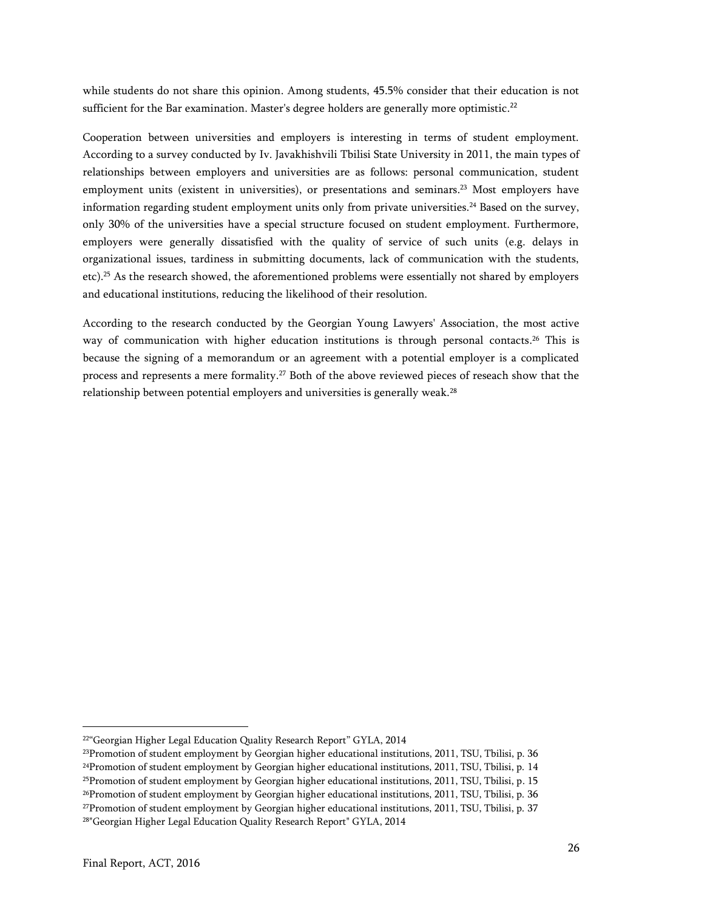while students do not share this opinion. Among students, 45.5% consider that their education is not sufficient for the Bar examination. Master's degree holders are generally more optimistic. $^{22}$ 

Cooperation between universities and employers is interesting in terms of student employment. According to a survey conducted by Iv. Javakhishvili Tbilisi State University in 2011, the main types of relationships between employers and universities are as follows: personal communication, student employment units (existent in universities), or presentations and seminars. <sup>23</sup> Most employers have information regarding student employment units only from private universities. <sup>24</sup> Based on the survey, only 30% of the universities have a special structure focused on student employment. Furthermore, employers were generally dissatisfied with the quality of service of such units (e.g. delays in organizational issues, tardiness in submitting documents, lack of communication with the students, etc).<sup>25</sup> As the research showed, the aforementioned problems were essentially not shared by employers and educational institutions, reducing the likelihood of their resolution.

According to the research conducted by the Georgian Young Lawyers' Association, the most active way of communication with higher education institutions is through personal contacts. <sup>26</sup> This is because the signing of a memorandum or an agreement with a potential employer is a complicated process and represents a mere formality. <sup>27</sup> Both of the above reviewed pieces of reseach show that the relationship between potential employers and universities is generally weak.<sup>28</sup>

<sup>&</sup>lt;sup>22"</sup>Georgian Higher Legal Education Quality Research Report" GYLA, 2014

<sup>23</sup>Promotion of student employment by Georgian higher educational institutions, 2011, TSU, Tbilisi, p. 36

 $24$ Promotion of student employment by Georgian higher educational institutions, 2011, TSU, Tbilisi, p. 14

 $25$ Promotion of student employment by Georgian higher educational institutions, 2011, TSU, Tbilisi, p. 15

<sup>26</sup>Promotion of student employment by Georgian higher educational institutions, 2011, TSU, Tbilisi, p. 36

<sup>27</sup>Promotion of student employment by Georgian higher educational institutions, 2011, TSU, Tbilisi, p. 37

<sup>28</sup>"Georgian Higher Legal Education Quality Research Report" GYLA, 2014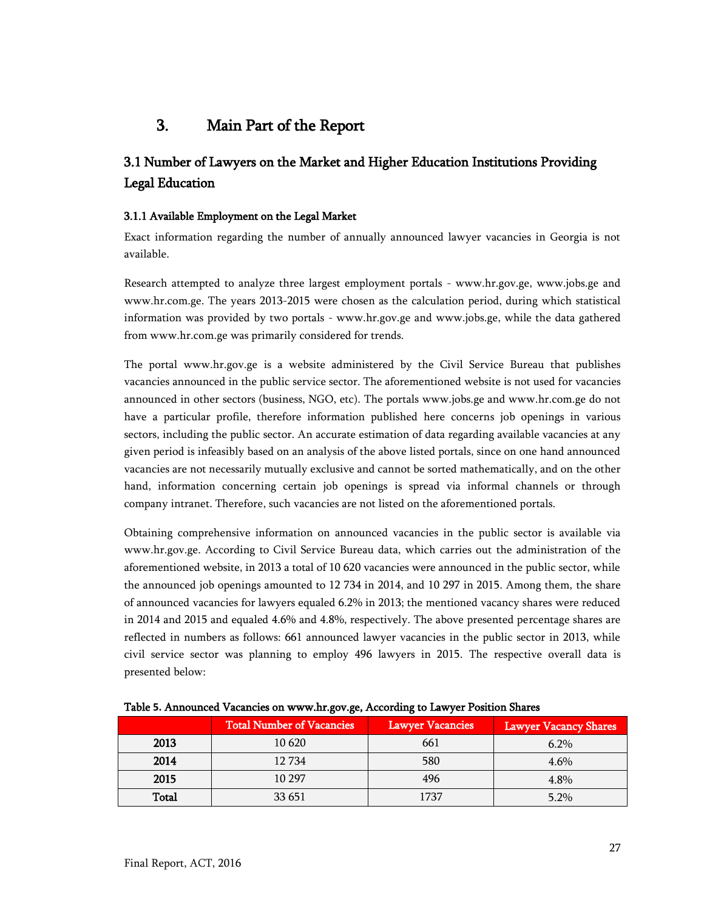# <span id="page-26-0"></span>3. Main Part of the Report

## <span id="page-26-1"></span>3.1 Number of Lawyers on the Market and Higher Education Institutions Providing Legal Education

## <span id="page-26-2"></span>3.1.1 Available Employment on the Legal Market

Exact information regarding the number of annually announced lawyer vacancies in Georgia is not available.

Research attempted to analyze three largest employment portals - www.hr.gov.ge, www.jobs.ge and www.hr.com.ge. The years 2013-2015 were chosen as the calculation period, during which statistical information was provided by two portals - www.hr.gov.ge and www.jobs.ge, while the data gathered from www.hr.com.ge was primarily considered for trends.

The portal www.hr.gov.ge is a website administered by the Civil Service Bureau that publishes vacancies announced in the public service sector. The aforementioned website is not used for vacancies announced in other sectors (business, NGO, etc). The portals www.jobs.ge and www.hr.com.ge do not have a particular profile, therefore information published here concerns job openings in various sectors, including the public sector. An accurate estimation of data regarding available vacancies at any given period is infeasibly based on an analysis of the above listed portals, since on one hand announced vacancies are not necessarily mutually exclusive and cannot be sorted mathematically, and on the other hand, information concerning certain job openings is spread via informal channels or through company intranet. Therefore, such vacancies are not listed on the aforementioned portals.

Obtaining comprehensive information on announced vacancies in the public sector is available via www.hr.gov.ge. According to Civil Service Bureau data, which carries out the administration of the aforementioned website, in 2013 a total of 10 620 vacancies were announced in the public sector, while the announced job openings amounted to 12 734 in 2014, and 10 297 in 2015. Among them, the share of announced vacancies for lawyers equaled 6.2% in 2013; the mentioned vacancy shares were reduced in 2014 and 2015 and equaled 4.6% and 4.8%, respectively. The above presented percentage shares are reflected in numbers as follows: 661 announced lawyer vacancies in the public sector in 2013, while civil service sector was planning to employ 496 lawyers in 2015. The respective overall data is presented below:

|       | <b>Total Number of Vacancies</b> | <b>Lawyer Vacancies</b> | <b>Lawyer Vacancy Shares</b> |  |  |  |  |  |  |  |
|-------|----------------------------------|-------------------------|------------------------------|--|--|--|--|--|--|--|
| 2013  | 10 620                           | 661                     | $6.2\%$                      |  |  |  |  |  |  |  |
| 2014  | 12 7 34                          | 580                     | 4.6%                         |  |  |  |  |  |  |  |
| 2015  | 10 297                           | 496                     | 4.8%                         |  |  |  |  |  |  |  |
| Total | 33 651                           | 1737                    | 5.2%                         |  |  |  |  |  |  |  |

<span id="page-26-3"></span>Table **5.** Announced Vacancies on www.hr.gov.ge, According to Lawyer Position Shares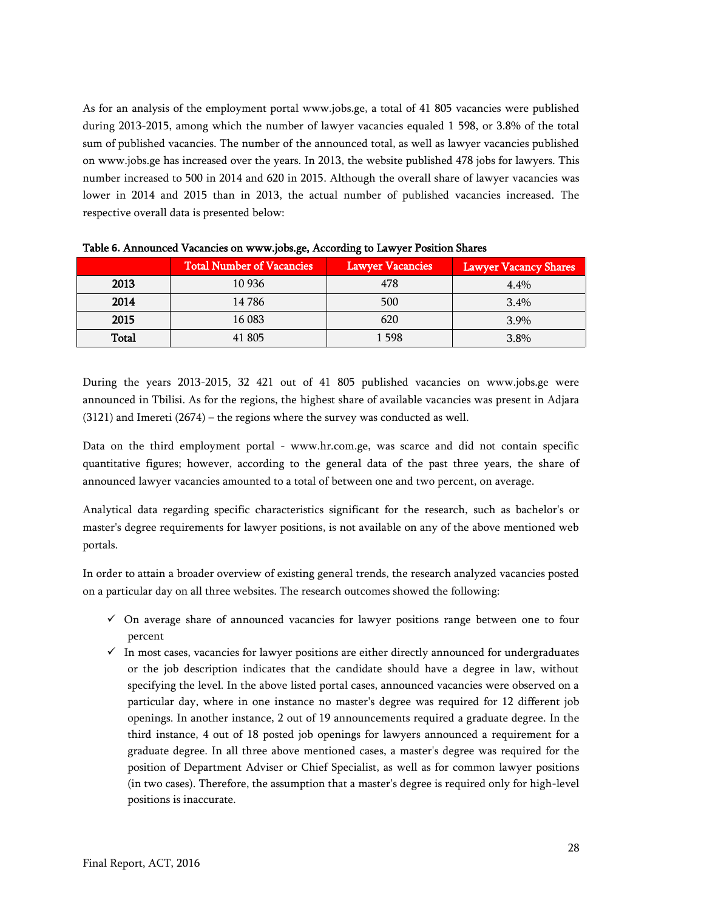As for an analysis of the employment portal www.jobs.ge, a total of 41 805 vacancies were published during 2013-2015, among which the number of lawyer vacancies equaled 1 598, or 3.8% of the total sum of published vacancies. The number of the announced total, as well as lawyer vacancies published on www.jobs.ge has increased over the years. In 2013, the website published 478 jobs for lawyers. This number increased to 500 in 2014 and 620 in 2015. Although the overall share of lawyer vacancies was lower in 2014 and 2015 than in 2013, the actual number of published vacancies increased. The respective overall data is presented below:

|       | <b>Total Number of Vacancies</b> | <b>Lawyer Vacancies</b> | <b>Lawyer Vacancy Shares</b> |
|-------|----------------------------------|-------------------------|------------------------------|
| 2013  | 10 9 36                          | 478                     | $4.4\%$                      |
| 2014  | 14 786                           | 500                     | $3.4\%$                      |
| 2015  | 16 083                           | 620                     | $3.9\%$                      |
| Total | 41 805                           | 1 598                   | 3.8%                         |

<span id="page-27-0"></span>Table **6.** Announced Vacancies on www.jobs.ge, According to Lawyer Position Shares

During the years 2013-2015, 32 421 out of 41 805 published vacancies on www.jobs.ge were announced in Tbilisi. As for the regions, the highest share of available vacancies was present in Adjara (3121) and Imereti (2674) – the regions where the survey was conducted as well.

Data on the third employment portal - www.hr.com.ge, was scarce and did not contain specific quantitative figures; however, according to the general data of the past three years, the share of announced lawyer vacancies amounted to a total of between one and two percent, on average.

Analytical data regarding specific characteristics significant for the research, such as bachelor's or master's degree requirements for lawyer positions, is not available on any of the above mentioned web portals.

In order to attain a broader overview of existing general trends, the research analyzed vacancies posted on a particular day on all three websites. The research outcomes showed the following:

- $\checkmark$  On average share of announced vacancies for lawyer positions range between one to four percent
- $\checkmark$  In most cases, vacancies for lawyer positions are either directly announced for undergraduates or the job description indicates that the candidate should have a degree in law, without specifying the level. In the above listed portal cases, announced vacancies were observed on a particular day, where in one instance no master's degree was required for 12 different job openings. In another instance, 2 out of 19 announcements required a graduate degree. In the third instance, 4 out of 18 posted job openings for lawyers announced a requirement for a graduate degree. In all three above mentioned cases, a master's degree was required for the position of Department Adviser or Chief Specialist, as well as for common lawyer positions (in two cases). Therefore, the assumption that a master's degree is required only for high-level positions is inaccurate.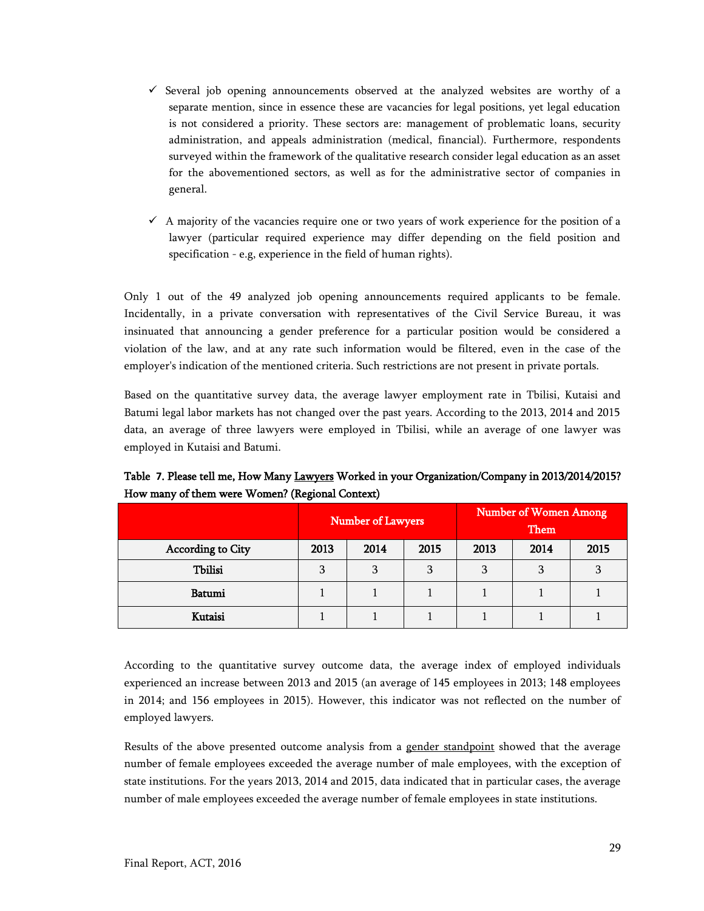- $\checkmark$  Several job opening announcements observed at the analyzed websites are worthy of a separate mention, since in essence these are vacancies for legal positions, yet legal education is not considered a priority. These sectors are: management of problematic loans, security administration, and appeals administration (medical, financial). Furthermore, respondents surveyed within the framework of the qualitative research consider legal education as an asset for the abovementioned sectors, as well as for the administrative sector of companies in general.
- $\checkmark$  A majority of the vacancies require one or two years of work experience for the position of a lawyer (particular required experience may differ depending on the field position and specification - e.g, experience in the field of human rights).

Only 1 out of the 49 analyzed job opening announcements required applicants to be female. Incidentally, in a private conversation with representatives of the Civil Service Bureau, it was insinuated that announcing a gender preference for a particular position would be considered a violation of the law, and at any rate such information would be filtered, even in the case of the employer's indication of the mentioned criteria. Such restrictions are not present in private portals.

Based on the quantitative survey data, the average lawyer employment rate in Tbilisi, Kutaisi and Batumi legal labor markets has not changed over the past years. According to the 2013, 2014 and 2015 data, an average of three lawyers were employed in Tbilisi, while an average of one lawyer was employed in Kutaisi and Batumi.

|                   |      | <b>Number of Lawyers</b> |      |      | <b>Number of Women Among</b> |      |
|-------------------|------|--------------------------|------|------|------------------------------|------|
| According to City | 2013 | 2014                     | 2015 | 2013 | 2014                         | 2015 |
| <b>Tbilisi</b>    |      | 3                        | 3    | 3    |                              |      |
| Batumi            |      |                          |      |      |                              |      |
| Kutaisi           |      |                          |      |      |                              |      |

<span id="page-28-0"></span>Table **7**. Please tell me, How Many Lawyers Worked in your Organization/Company in 2013/2014/2015? How many of them were Women? (Regional Context)

According to the quantitative survey outcome data, the average index of employed individuals experienced an increase between 2013 and 2015 (an average of 145 employees in 2013; 148 employees in 2014; and 156 employees in 2015). However, this indicator was not reflected on the number of employed lawyers.

Results of the above presented outcome analysis from a gender standpoint showed that the average number of female employees exceeded the average number of male employees, with the exception of state institutions. For the years 2013, 2014 and 2015, data indicated that in particular cases, the average number of male employees exceeded the average number of female employees in state institutions.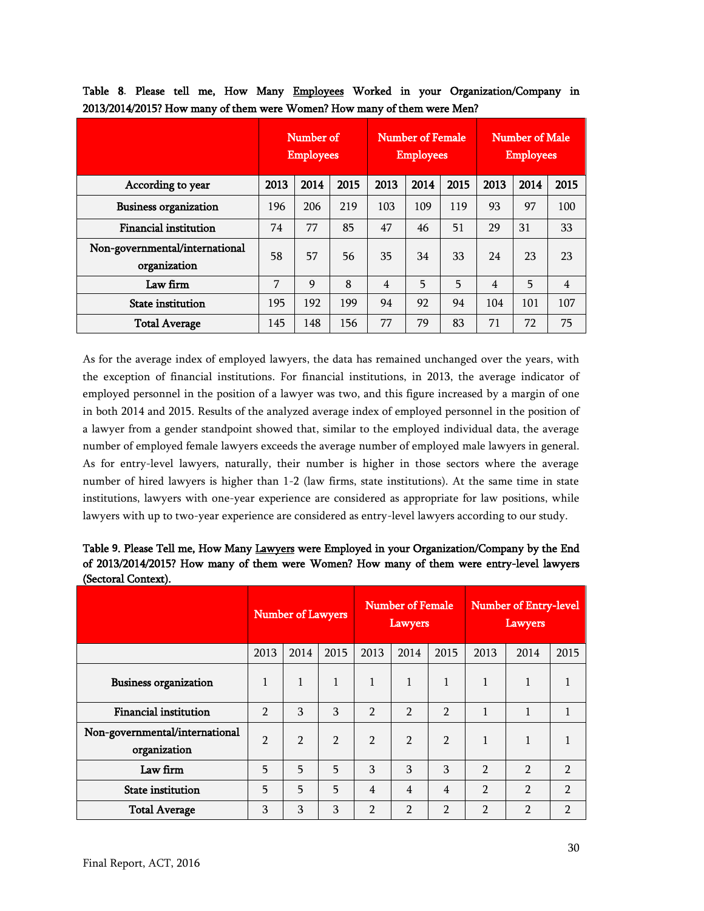|                                                | Number of<br><b>Employees</b> |      |      | <b>Number of Female</b><br><b>Employees</b> |      |      | Number of Male<br><b>Employees</b> |      |                |
|------------------------------------------------|-------------------------------|------|------|---------------------------------------------|------|------|------------------------------------|------|----------------|
| According to year                              | 2013                          | 2014 | 2015 | 2013                                        | 2014 | 2015 | 2013                               | 2014 | 2015           |
| <b>Business organization</b>                   | 196                           | 206  | 219  | 103                                         | 109  | 119  | 93                                 | 97   | 100            |
| Financial institution                          | 74                            | 77   | 85   | 47                                          | 46   | 51   | 29                                 | 31   | 33             |
| Non-governmental/international<br>organization | 58                            | 57   | 56   | 35                                          | 34   | 33   | 24                                 | 23   | 23             |
| Law firm                                       | 7                             | 9    | 8    | $\overline{4}$                              | 5    | 5    | $\overline{4}$                     | 5    | $\overline{4}$ |
| <b>State institution</b>                       | 195                           | 192  | 199  | 94                                          | 92   | 94   | 104                                | 101  | 107            |
| <b>Total Average</b>                           | 145                           | 148  | 156  | 77                                          | 79   | 83   | 71                                 | 72   | 75             |

<span id="page-29-0"></span>Table 8. Please tell me, How Many Employees Worked in your Organization/Company in 2013/2014/2015? How many of them were Women? How many of them were Men?

As for the average index of employed lawyers, the data has remained unchanged over the years, with the exception of financial institutions. For financial institutions, in 2013, the average indicator of employed personnel in the position of a lawyer was two, and this figure increased by a margin of one in both 2014 and 2015. Results of the analyzed average index of employed personnel in the position of a lawyer from a gender standpoint showed that, similar to the employed individual data, the average number of employed female lawyers exceeds the average number of employed male lawyers in general. As for entry-level lawyers, naturally, their number is higher in those sectors where the average number of hired lawyers is higher than 1-2 (law firms, state institutions). At the same time in state institutions, lawyers with one-year experience are considered as appropriate for law positions, while lawyers with up to two-year experience are considered as entry-level lawyers according to our study.

<span id="page-29-1"></span>Table **9**. Please Tell me, How Many Lawyers were Employed in your Organization/Company by the End of 2013/2014/2015? How many of them were Women? How many of them were entry-level lawyers (Sectoral Context).

|                                                | <b>Number of Lawyers</b> |               | <b>Number of Female</b><br>Lawyers |                |                | Number of Entry-level<br>Lawyers |                |                |                |
|------------------------------------------------|--------------------------|---------------|------------------------------------|----------------|----------------|----------------------------------|----------------|----------------|----------------|
|                                                | 2013                     | 2014          | 2015                               | 2013           | 2014           | 2015                             | 2013           | 2014           | 2015           |
| <b>Business organization</b>                   | 1                        |               | 1                                  | 1              | $\mathbf{1}$   | 1                                | 1              | 1              |                |
| <b>Financial institution</b>                   | $\mathfrak{p}$           | 3             | 3                                  | $\mathfrak{p}$ | $\mathcal{P}$  | $\mathcal{P}$                    | 1              | 1              |                |
| Non-governmental/international<br>organization | $\overline{2}$           | $\mathcal{P}$ | $\mathfrak{p}$                     | $\overline{2}$ | $\mathcal{P}$  | $\mathcal{P}$                    | 1              | 1              |                |
| Law firm                                       | 5                        | 5             | 5                                  | 3              | 3              | 3                                | $\overline{2}$ | $\mathcal{P}$  | $\mathfrak{p}$ |
| <b>State</b> institution                       | 5                        | 5             | 5                                  | $\overline{4}$ | $\overline{4}$ | $\overline{4}$                   | $\mathfrak{D}$ | $\mathfrak{p}$ | 2              |
| <b>Total Average</b>                           | 3                        | 3             | 3                                  | $\overline{2}$ | $\mathfrak{p}$ | $\mathfrak{p}$                   | $\mathcal{P}$  | $\mathfrak{p}$ | 2              |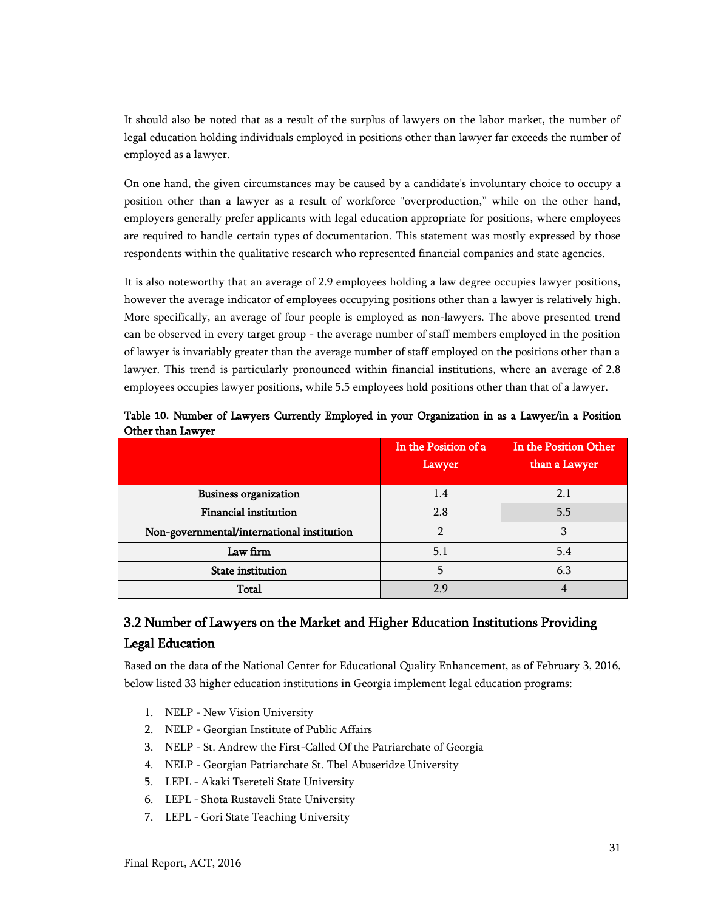It should also be noted that as a result of the surplus of lawyers on the labor market, the number of legal education holding individuals employed in positions other than lawyer far exceeds the number of employed as a lawyer.

On one hand, the given circumstances may be caused by a candidate's involuntary choice to occupy a position other than a lawyer as a result of workforce "overproduction," while on the other hand, employers generally prefer applicants with legal education appropriate for positions, where employees are required to handle certain types of documentation. This statement was mostly expressed by those respondents within the qualitative research who represented financial companies and state agencies.

It is also noteworthy that an average of 2.9 employees holding a law degree occupies lawyer positions, however the average indicator of employees occupying positions other than a lawyer is relatively high. More specifically, an average of four people is employed as non-lawyers. The above presented trend can be observed in every target group - the average number of staff members employed in the position of lawyer is invariably greater than the average number of staff employed on the positions other than a lawyer. This trend is particularly pronounced within financial institutions, where an average of 2.8 employees occupies lawyer positions, while 5.5 employees hold positions other than that of a lawyer.

|                                            | In the Position of a<br>Lawyer | In the Position Other<br>than a Lawyer |
|--------------------------------------------|--------------------------------|----------------------------------------|
| <b>Business organization</b>               | 1.4                            | 2.1                                    |
| <b>Financial institution</b>               | 2.8                            | 5.5                                    |
| Non-governmental/international institution |                                |                                        |
| Law firm                                   | 5.1                            | 5.4                                    |
| <b>State</b> institution                   |                                | 6.3                                    |
| Total                                      | 2 Q                            |                                        |

<span id="page-30-1"></span>Table **10.** Number of Lawyers Currently Employed in your Organization in as a Lawyer/in a Position Other than Lawyer

## <span id="page-30-0"></span>3.2 Number of Lawyers on the Market and Higher Education Institutions Providing Legal Education

Based on the data of the National Center for Educational Quality Enhancement, as of February 3, 2016, below listed 33 higher education institutions in Georgia implement legal education programs:

- 1. NELP New Vision University
- 2. NELP Georgian Institute of Public Affairs
- 3. NELP St. Andrew the First-Called Of the Patriarchate of Georgia
- 4. NELP Georgian Patriarchate St. Tbel Abuseridze University
- 5. LEPL Akaki Tsereteli State University
- 6. LEPL Shota Rustaveli State University
- 7. LEPL Gori State Teaching University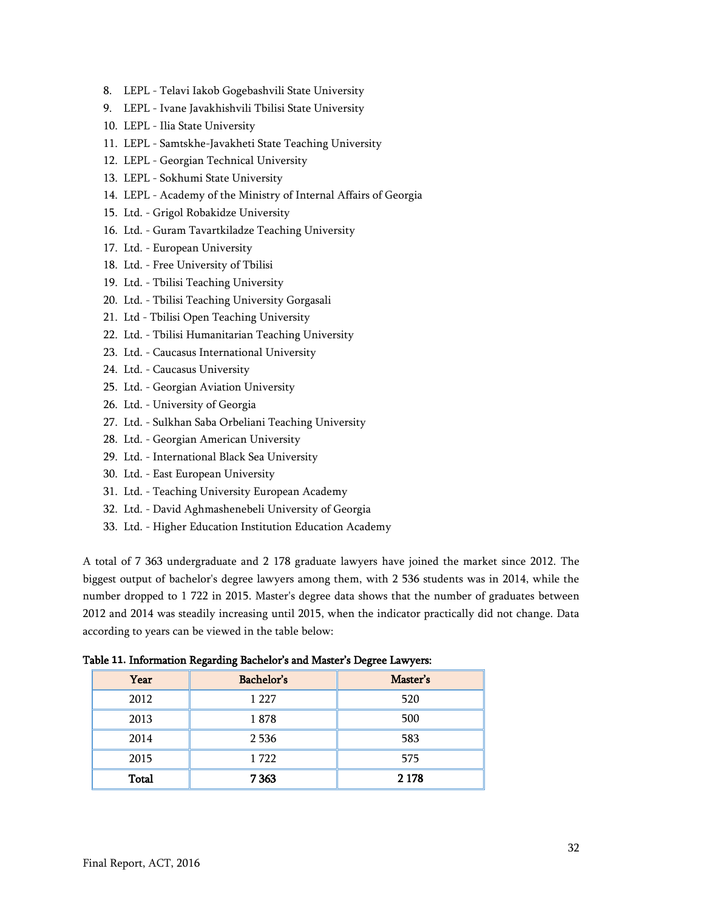- 8. LEPL Telavi Iakob Gogebashvili State University
- 9. LEPL Ivane Javakhishvili Tbilisi State University
- 10. LEPL Ilia State University
- 11. LEPL Samtskhe-Javakheti State Teaching University
- 12. LEPL Georgian Technical University
- 13. LEPL Sokhumi State University
- 14. LEPL Academy of the Ministry of Internal Affairs of Georgia
- 15. Ltd. Grigol Robakidze University
- 16. Ltd. Guram Tavartkiladze Teaching University
- 17. Ltd. European University
- 18. Ltd. Free University of Tbilisi
- 19. Ltd. Tbilisi Teaching University
- 20. Ltd. Tbilisi Teaching University Gorgasali
- 21. Ltd Tbilisi Open Teaching University
- 22. Ltd. Tbilisi Humanitarian Teaching University
- 23. Ltd. Caucasus International University
- 24. Ltd. Caucasus University
- 25. Ltd. Georgian Aviation University
- 26. Ltd. University of Georgia
- 27. Ltd. Sulkhan Saba Orbeliani Teaching University
- 28. Ltd. Georgian American University
- 29. Ltd. International Black Sea University
- 30. Ltd. East European University
- 31. Ltd. Teaching University European Academy
- 32. Ltd. David Aghmashenebeli University of Georgia
- 33. Ltd. Higher Education Institution Education Academy

A total of 7 363 undergraduate and 2 178 graduate lawyers have joined the market since 2012. The biggest output of bachelor's degree lawyers among them, with 2 536 students was in 2014, while the number dropped to 1 722 in 2015. Master's degree data shows that the number of graduates between 2012 and 2014 was steadily increasing until 2015, when the indicator practically did not change. Data according to years can be viewed in the table below:

<span id="page-31-0"></span>Table **11.** Information Regarding Bachelor's and Master's Degree Lawyers:

| Year         | Bachelor's | Master's |
|--------------|------------|----------|
| 2012         | 1 2 2 7    | 520      |
| 2013         | 1878       | 500      |
| 2014         | 2 5 3 6    | 583      |
| 2015         | 1722       | 575      |
| <b>Total</b> | 7 3 6 3    | 2 1 7 8  |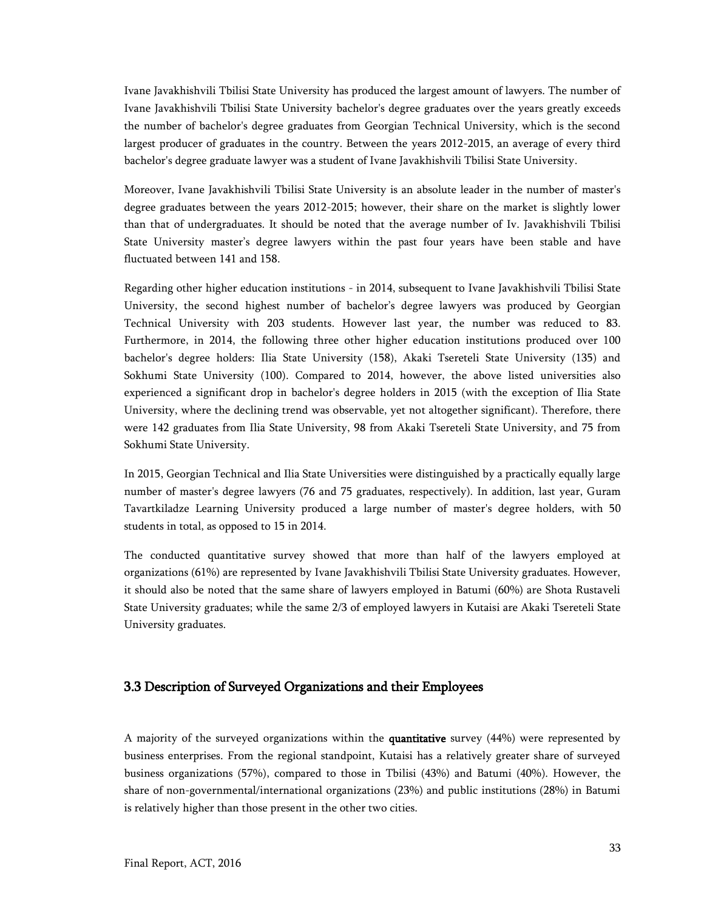Ivane Javakhishvili Tbilisi State University has produced the largest amount of lawyers. The number of Ivane Javakhishvili Tbilisi State University bachelor's degree graduates over the years greatly exceeds the number of bachelor's degree graduates from Georgian Technical University, which is the second largest producer of graduates in the country. Between the years 2012-2015, an average of every third bachelor's degree graduate lawyer was a student of Ivane Javakhishvili Tbilisi State University.

Moreover, Ivane Javakhishvili Tbilisi State University is an absolute leader in the number of master's degree graduates between the years 2012-2015; however, their share on the market is slightly lower than that of undergraduates. It should be noted that the average number of Iv. Javakhishvili Tbilisi State University master's degree lawyers within the past four years have been stable and have fluctuated between 141 and 158.

Regarding other higher education institutions - in 2014, subsequent to Ivane Javakhishvili Tbilisi State University, the second highest number of bachelor's degree lawyers was produced by Georgian Technical University with 203 students. However last year, the number was reduced to 83. Furthermore, in 2014, the following three other higher education institutions produced over 100 bachelor's degree holders: Ilia State University (158), Akaki Tsereteli State University (135) and Sokhumi State University (100). Compared to 2014, however, the above listed universities also experienced a significant drop in bachelor's degree holders in 2015 (with the exception of Ilia State University, where the declining trend was observable, yet not altogether significant). Therefore, there were 142 graduates from Ilia State University, 98 from Akaki Tsereteli State University, and 75 from Sokhumi State University.

In 2015, Georgian Technical and Ilia State Universities were distinguished by a practically equally large number of master's degree lawyers (76 and 75 graduates, respectively). In addition, last year, Guram Tavartkiladze Learning University produced a large number of master's degree holders, with 50 students in total, as opposed to 15 in 2014.

The conducted quantitative survey showed that more than half of the lawyers employed at organizations (61%) are represented by Ivane Javakhishvili Tbilisi State University graduates. However, it should also be noted that the same share of lawyers employed in Batumi (60%) are Shota Rustaveli State University graduates; while the same 2/3 of employed lawyers in Kutaisi are Akaki Tsereteli State University graduates.

## <span id="page-32-0"></span>3.3 Description of Surveyed Organizations and their Employees

A majority of the surveyed organizations within the quantitative survey (44%) were represented by business enterprises. From the regional standpoint, Kutaisi has a relatively greater share of surveyed business organizations (57%), compared to those in Tbilisi (43%) and Batumi (40%). However, the share of non-governmental/international organizations (23%) and public institutions (28%) in Batumi is relatively higher than those present in the other two cities.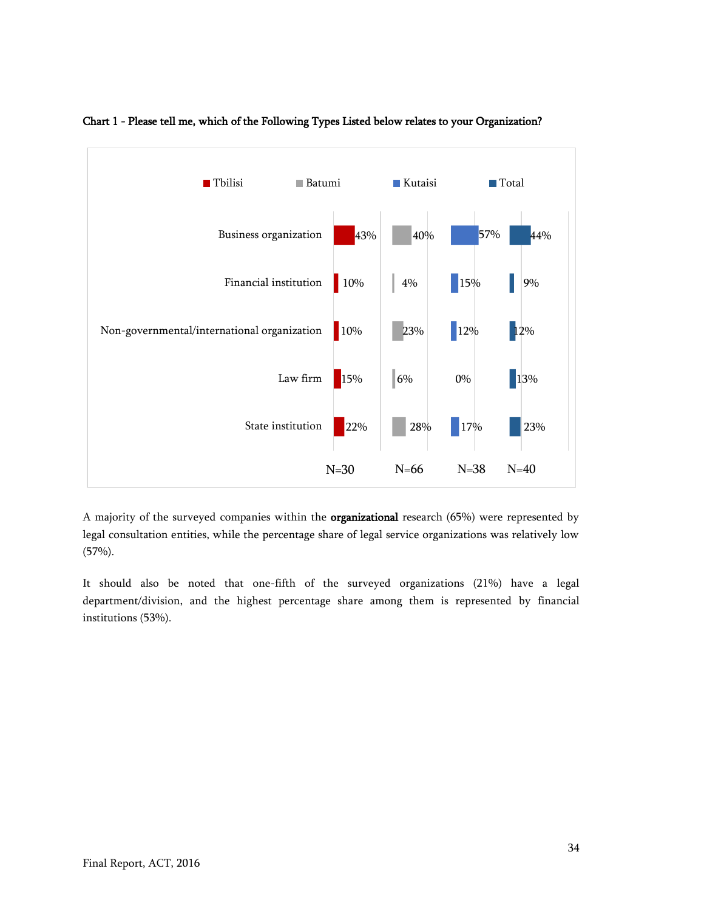

## <span id="page-33-0"></span>Chart 1 - Please tell me, which of the Following Types Listed below relates to your Organization?

A majority of the surveyed companies within the organizational research (65%) were represented by legal consultation entities, while the percentage share of legal service organizations was relatively low  $(57%)$ .

It should also be noted that one-fifth of the surveyed organizations (21%) have a legal department/division, and the highest percentage share among them is represented by financial institutions (53%).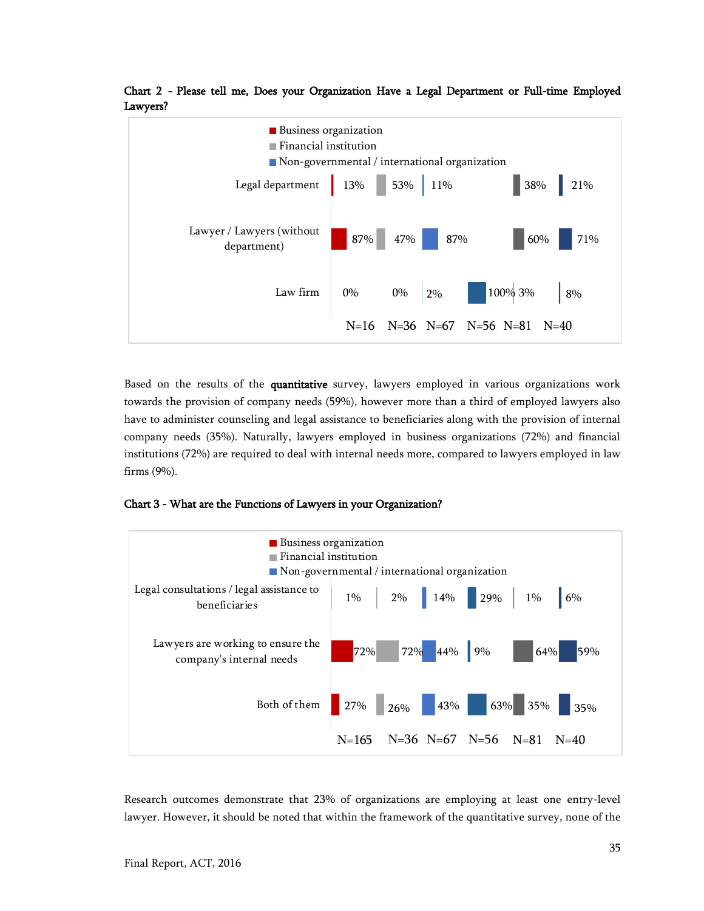

<span id="page-34-0"></span>Chart 2 - Please tell me, Does your Organization Have a Legal Department or Full-time Employed Lawyers?

Based on the results of the quantitative survey, lawyers employed in various organizations work towards the provision of company needs (59%), however more than a third of employed lawyers also have to administer counseling and legal assistance to beneficiaries along with the provision of internal company needs (35%). Naturally, lawyers employed in business organizations (72%) and financial institutions (72%) are required to deal with internal needs more, compared to lawyers employed in law firms (9%).

<span id="page-34-1"></span>Chart 3 - What are the Functions of Lawyers in your Organization?



Research outcomes demonstrate that 23% of organizations are employing at least one entry-level lawyer. However, it should be noted that within the framework of the quantitative survey, none of the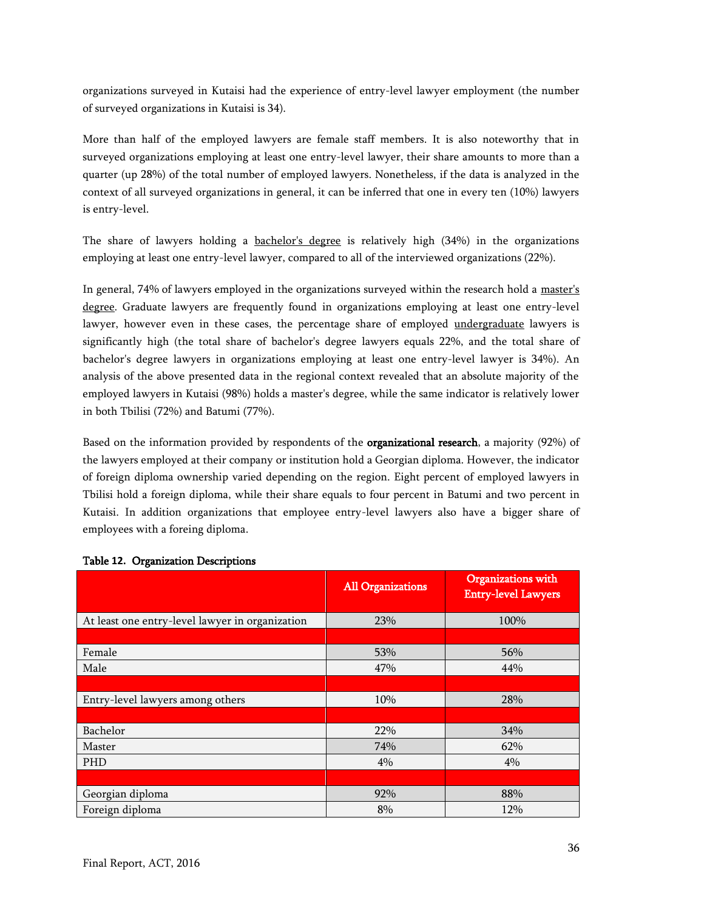organizations surveyed in Kutaisi had the experience of entry-level lawyer employment (the number of surveyed organizations in Kutaisi is 34).

More than half of the employed lawyers are female staff members. It is also noteworthy that in surveyed organizations employing at least one entry-level lawyer, their share amounts to more than a quarter (up 28%) of the total number of employed lawyers. Nonetheless, if the data is analyzed in the context of all surveyed organizations in general, it can be inferred that one in every ten (10%) lawyers is entry-level.

The share of lawyers holding a bachelor's degree is relatively high (34%) in the organizations employing at least one entry-level lawyer, compared to all of the interviewed organizations (22%).

In general, 74% of lawyers employed in the organizations surveyed within the research hold a master's degree. Graduate lawyers are frequently found in organizations employing at least one entry-level lawyer, however even in these cases, the percentage share of employed undergraduate lawyers is significantly high (the total share of bachelor's degree lawyers equals 22%, and the total share of bachelor's degree lawyers in organizations employing at least one entry-level lawyer is 34%). An analysis of the above presented data in the regional context revealed that an absolute majority of the employed lawyers in Kutaisi (98%) holds a master's degree, while the same indicator is relatively lower in both Tbilisi (72%) and Batumi (77%).

Based on the information provided by respondents of the organizational research, a majority (92%) of the lawyers employed at their company or institution hold a Georgian diploma. However, the indicator of foreign diploma ownership varied depending on the region. Eight percent of employed lawyers in Tbilisi hold a foreign diploma, while their share equals to four percent in Batumi and two percent in Kutaisi. In addition organizations that employee entry-level lawyers also have a bigger share of employees with a foreing diploma.

|                                                 | <b>All Organizations</b> | Organizations with<br><b>Entry-level Lawyers</b> |
|-------------------------------------------------|--------------------------|--------------------------------------------------|
| At least one entry-level lawyer in organization | 23%                      | 100%                                             |
|                                                 |                          |                                                  |
| Female                                          | 53%                      | 56%                                              |
| Male                                            | 47%                      | 44%                                              |
|                                                 |                          |                                                  |
| Entry-level lawyers among others                | 10%                      | 28%                                              |
|                                                 |                          |                                                  |
| Bachelor                                        | 22%                      | 34%                                              |
| Master                                          | 74%                      | 62%                                              |
| PHD                                             | 4%                       | 4%                                               |
|                                                 |                          |                                                  |
| Georgian diploma                                | 92%                      | 88%                                              |
| Foreign diploma                                 | 8%                       | 12%                                              |

#### <span id="page-35-0"></span>Table **12.** Organization Descriptions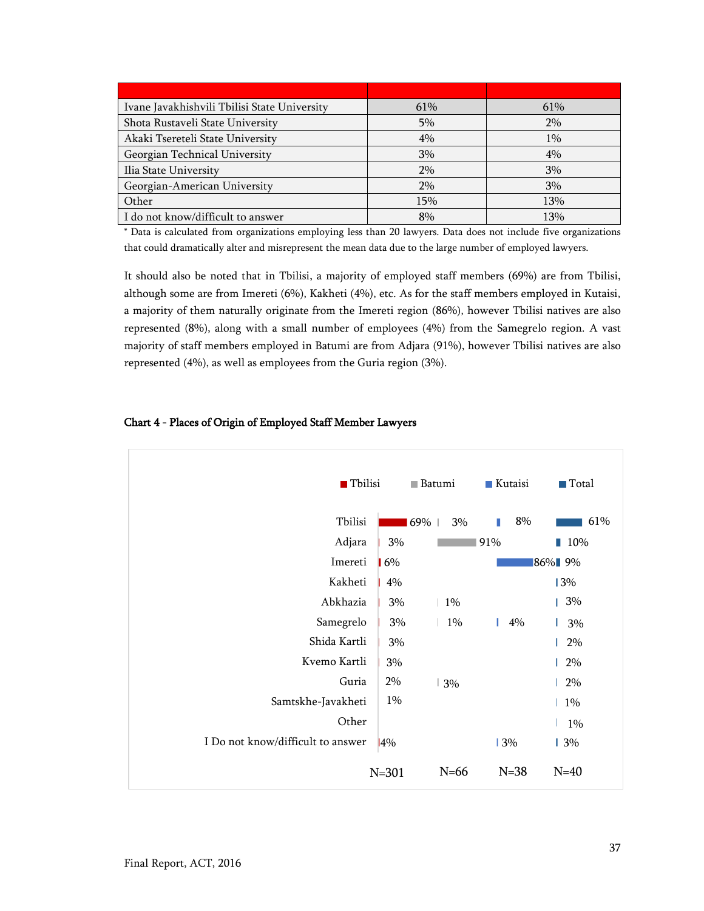| Ivane Javakhishvili Tbilisi State University | 61% | 61%   |
|----------------------------------------------|-----|-------|
| Shota Rustaveli State University             | 5%  | 2%    |
| Akaki Tsereteli State University             | 4%  | $1\%$ |
| Georgian Technical University                | 3%  | 4%    |
| Ilia State University                        | 2%  | 3%    |
| Georgian-American University                 | 2%  | 3%    |
| Other                                        | 15% | 13%   |
| I do not know/difficult to answer            | 8%  | 13%   |

\* Data is calculated from organizations employing less than 20 lawyers. Data does not include five organizations that could dramatically alter and misrepresent the mean data due to the large number of employed lawyers.

It should also be noted that in Tbilisi, a majority of employed staff members (69%) are from Tbilisi, although some are from Imereti (6%), Kakheti (4%), etc. As for the staff members employed in Kutaisi, a majority of them naturally originate from the Imereti region (86%), however Tbilisi natives are also represented (8%), along with a small number of employees (4%) from the Samegrelo region. A vast majority of staff members employed in Batumi are from Adjara (91%), however Tbilisi natives are also represented (4%), as well as employees from the Guria region (3%).

## <span id="page-36-0"></span>Chart 4 - Places of Origin of Employed Staff Member Lawyers

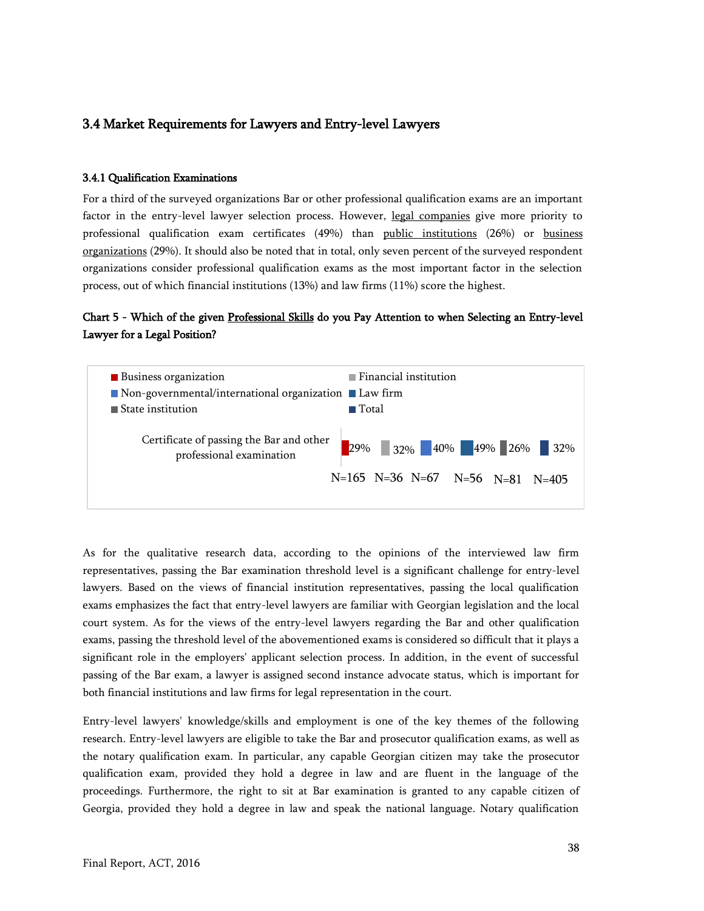## <span id="page-37-0"></span>3.4 Market Requirements for Lawyers and Entry-level Lawyers

#### <span id="page-37-1"></span>3.4.1 Qualification Examinations

For a third of the surveyed organizations Bar or other professional qualification exams are an important factor in the entry-level lawyer selection process. However, legal companies give more priority to professional qualification exam certificates (49%) than public institutions (26%) or business organizations (29%). It should also be noted that in total, only seven percent of the surveyed respondent organizations consider professional qualification exams as the most important factor in the selection process, out of which financial institutions (13%) and law firms (11%) score the highest.

## <span id="page-37-2"></span>Chart 5 - Which of the given Professional Skills do you Pay Attention to when Selecting an Entry-level Lawyer for a Legal Position?



As for the qualitative research data, according to the opinions of the interviewed law firm representatives, passing the Bar examination threshold level is a significant challenge for entry-level lawyers. Based on the views of financial institution representatives, passing the local qualification exams emphasizes the fact that entry-level lawyers are familiar with Georgian legislation and the local court system. As for the views of the entry-level lawyers regarding the Bar and other qualification exams, passing the threshold level of the abovementioned exams is considered so difficult that it plays a significant role in the employers' applicant selection process. In addition, in the event of successful passing of the Bar exam, a lawyer is assigned second instance advocate status, which is important for both financial institutions and law firms for legal representation in the court.

Entry-level lawyers' knowledge/skills and employment is one of the key themes of the following research. Entry-level lawyers are eligible to take the Bar and prosecutor qualification exams, as well as the notary qualification exam. In particular, any capable Georgian citizen may take the prosecutor qualification exam, provided they hold a degree in law and are fluent in the language of the proceedings. Furthermore, the right to sit at Bar examination is granted to any capable citizen of Georgia, provided they hold a degree in law and speak the national language. Notary qualification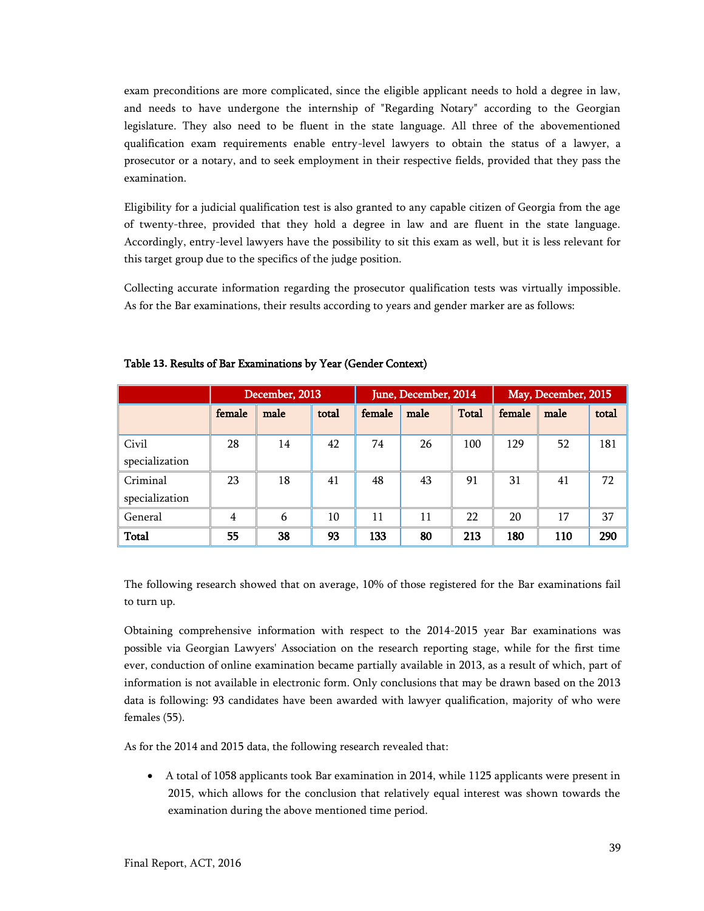exam preconditions are more complicated, since the eligible applicant needs to hold a degree in law, and needs to have undergone the internship of "Regarding Notary" according to the Georgian legislature. They also need to be fluent in the state language. All three of the abovementioned qualification exam requirements enable entry-level lawyers to obtain the status of a lawyer, a prosecutor or a notary, and to seek employment in their respective fields, provided that they pass the examination.

Eligibility for a judicial qualification test is also granted to any capable citizen of Georgia from the age of twenty-three, provided that they hold a degree in law and are fluent in the state language. Accordingly, entry-level lawyers have the possibility to sit this exam as well, but it is less relevant for this target group due to the specifics of the judge position.

Collecting accurate information regarding the prosecutor qualification tests was virtually impossible. As for the Bar examinations, their results according to years and gender marker are as follows:

|                            |                | December, 2013 |       |        | June, December, 2014 |              | May, December, 2015 |      |       |  |
|----------------------------|----------------|----------------|-------|--------|----------------------|--------------|---------------------|------|-------|--|
|                            | female         | male           | total | female | male                 | <b>Total</b> | female              | male | total |  |
| Civil<br>specialization    | 28             | 14             | 42    | 74     | 26                   | 100          | 129                 | 52   | 181   |  |
| Criminal<br>specialization | 23             | 18             | 41    | 48     | 43                   | 91           | 31                  | 41   | 72    |  |
| General                    | $\overline{4}$ | 6              | 10    | 11     | 11                   | 22           | 20                  | 17   | 37    |  |
| <b>Total</b>               | 55             | 38             | 93    | 133    | 80                   | 213          | 180                 | 110  | 290   |  |

#### <span id="page-38-0"></span>Table **13.** Results of Bar Examinations by Year (Gender Context)

The following research showed that on average, 10% of those registered for the Bar examinations fail to turn up.

Obtaining comprehensive information with respect to the 2014-2015 year Bar examinations was possible via Georgian Lawyers' Association on the research reporting stage, while for the first time ever, conduction of online examination became partially available in 2013, as a result of which, part of information is not available in electronic form. Only conclusions that may be drawn based on the 2013 data is following: 93 candidates have been awarded with lawyer qualification, majority of who were females (55).

As for the 2014 and 2015 data, the following research revealed that:

 A total of 1058 applicants took Bar examination in 2014, while 1125 applicants were present in 2015, which allows for the conclusion that relatively equal interest was shown towards the examination during the above mentioned time period.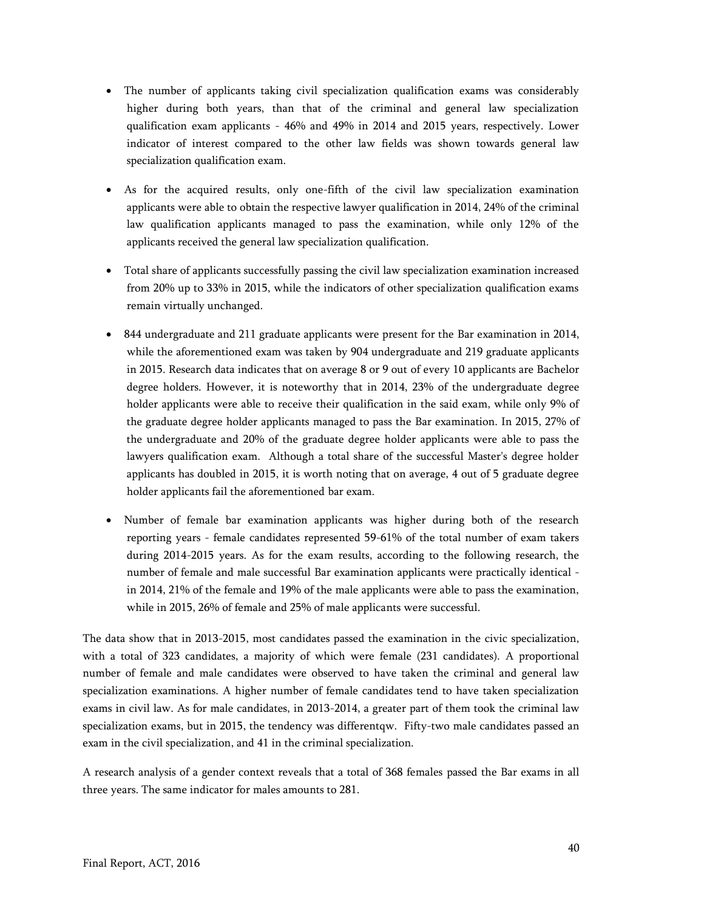- The number of applicants taking civil specialization qualification exams was considerably higher during both years, than that of the criminal and general law specialization qualification exam applicants - 46% and 49% in 2014 and 2015 years, respectively. Lower indicator of interest compared to the other law fields was shown towards general law specialization qualification exam.
- As for the acquired results, only one-fifth of the civil law specialization examination applicants were able to obtain the respective lawyer qualification in 2014, 24% of the criminal law qualification applicants managed to pass the examination, while only 12% of the applicants received the general law specialization qualification.
- Total share of applicants successfully passing the civil law specialization examination increased from 20% up to 33% in 2015, while the indicators of other specialization qualification exams remain virtually unchanged.
- 844 undergraduate and 211 graduate applicants were present for the Bar examination in 2014, while the aforementioned exam was taken by 904 undergraduate and 219 graduate applicants in 2015. Research data indicates that on average 8 or 9 out of every 10 applicants are Bachelor degree holders. However, it is noteworthy that in 2014, 23% of the undergraduate degree holder applicants were able to receive their qualification in the said exam, while only 9% of the graduate degree holder applicants managed to pass the Bar examination. In 2015, 27% of the undergraduate and 20% of the graduate degree holder applicants were able to pass the lawyers qualification exam. Although a total share of the successful Master's degree holder applicants has doubled in 2015, it is worth noting that on average, 4 out of 5 graduate degree holder applicants fail the aforementioned bar exam.
- Number of female bar examination applicants was higher during both of the research reporting years - female candidates represented 59-61% of the total number of exam takers during 2014-2015 years. As for the exam results, according to the following research, the number of female and male successful Bar examination applicants were practically identical in 2014, 21% of the female and 19% of the male applicants were able to pass the examination, while in 2015, 26% of female and 25% of male applicants were successful.

The data show that in 2013-2015, most candidates passed the examination in the civic specialization, with a total of 323 candidates, a majority of which were female (231 candidates). A proportional number of female and male candidates were observed to have taken the criminal and general law specialization examinations. A higher number of female candidates tend to have taken specialization exams in civil law. As for male candidates, in 2013-2014, a greater part of them took the criminal law specialization exams, but in 2015, the tendency was differentqw. Fifty-two male candidates passed an exam in the civil specialization, and 41 in the criminal specialization.

A research analysis of a gender context reveals that a total of 368 females passed the Bar exams in all three years. The same indicator for males amounts to 281.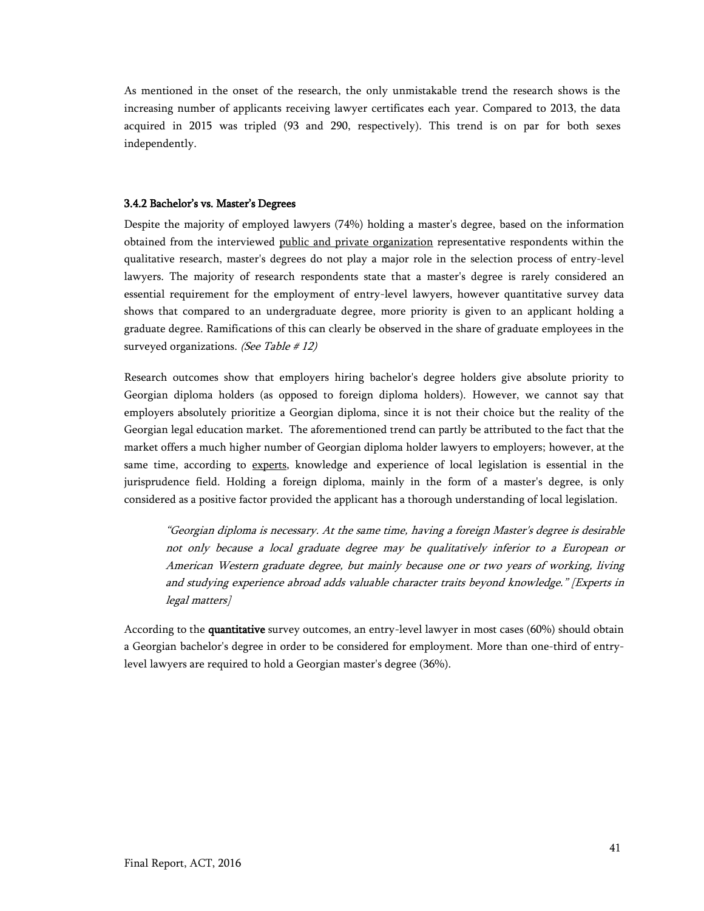As mentioned in the onset of the research, the only unmistakable trend the research shows is the increasing number of applicants receiving lawyer certificates each year. Compared to 2013, the data acquired in 2015 was tripled (93 and 290, respectively). This trend is on par for both sexes independently.

#### <span id="page-40-0"></span>3.4.2 Bachelor's vs. Master's Degrees

Despite the majority of employed lawyers (74%) holding a master's degree, based on the information obtained from the interviewed public and private organization representative respondents within the qualitative research, master's degrees do not play a major role in the selection process of entry-level lawyers. The majority of research respondents state that a master's degree is rarely considered an essential requirement for the employment of entry-level lawyers, however quantitative survey data shows that compared to an undergraduate degree, more priority is given to an applicant holding a graduate degree. Ramifications of this can clearly be observed in the share of graduate employees in the surveyed organizations. (See Table  $\# 12$ )

Research outcomes show that employers hiring bachelor's degree holders give absolute priority to Georgian diploma holders (as opposed to foreign diploma holders). However, we cannot say that employers absolutely prioritize a Georgian diploma, since it is not their choice but the reality of the Georgian legal education market. The aforementioned trend can partly be attributed to the fact that the market offers a much higher number of Georgian diploma holder lawyers to employers; however, at the same time, according to experts, knowledge and experience of local legislation is essential in the jurisprudence field. Holding a foreign diploma, mainly in the form of a master's degree, is only considered as a positive factor provided the applicant has a thorough understanding of local legislation.

"Georgian diploma is necessary. At the same time, having a foreign Master's degree is desirable not only because a local graduate degree may be qualitatively inferior to a European or American Western graduate degree, but mainly because one or two years of working, living and studying experience abroad adds valuable character traits beyond knowledge." [Experts in legal matters]

<span id="page-40-1"></span>According to the quantitative survey outcomes, an entry-level lawyer in most cases (60%) should obtain a Georgian bachelor's degree in order to be considered for employment. More than one-third of entrylevel lawyers are required to hold a Georgian master's degree (36%).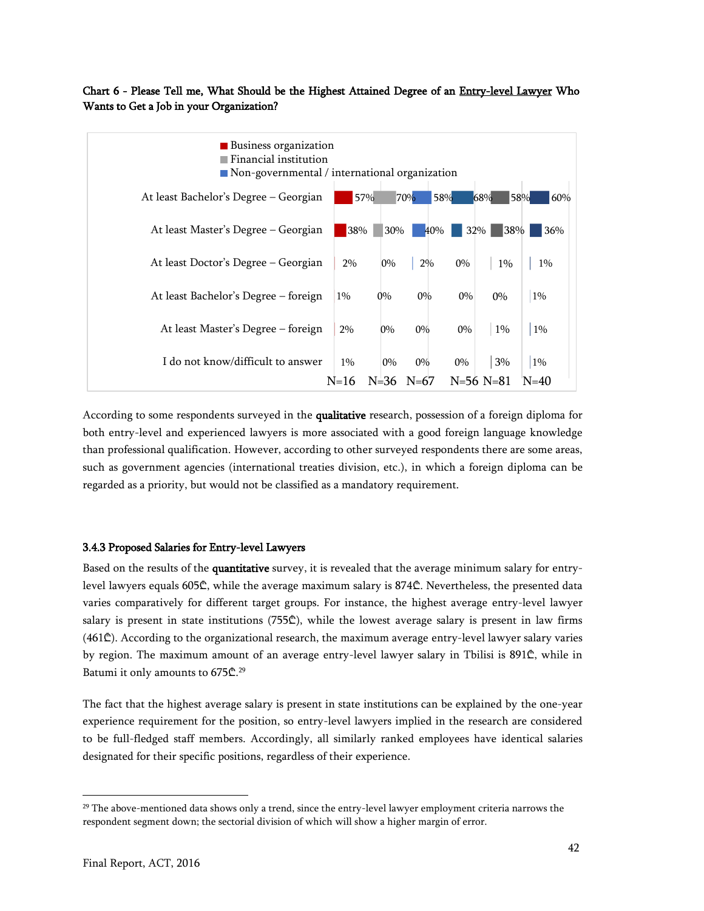## Chart 6 - Please Tell me, What Should be the Highest Attained Degree of an Entry-level Lawyer Who Wants to Get a Job in your Organization?



According to some respondents surveyed in the qualitative research, possession of a foreign diploma for both entry-level and experienced lawyers is more associated with a good foreign language knowledge than professional qualification. However, according to other surveyed respondents there are some areas, such as government agencies (international treaties division, etc.), in which a foreign diploma can be regarded as a priority, but would not be classified as a mandatory requirement.

#### <span id="page-41-0"></span>3.4.3 Proposed Salaries for Entry-level Lawyers

Based on the results of the quantitative survey, it is revealed that the average minimum salary for entrylevel lawyers equals 605₾, while the average maximum salary is 874₾. Nevertheless, the presented data varies comparatively for different target groups. For instance, the highest average entry-level lawyer salary is present in state institutions (755₾), while the lowest average salary is present in law firms (461₾). According to the organizational research, the maximum average entry-level lawyer salary varies by region. The maximum amount of an average entry-level lawyer salary in Tbilisi is 891₾, while in Batumi it only amounts to 675₾.<sup>29</sup>

The fact that the highest average salary is present in state institutions can be explained by the one-year experience requirement for the position, so entry-level lawyers implied in the research are considered to be full-fledged staff members. Accordingly, all similarly ranked employees have identical salaries designated for their specific positions, regardless of their experience.

<sup>&</sup>lt;sup>29</sup> The above-mentioned data shows only a trend, since the entry-level lawyer employment criteria narrows the respondent segment down; the sectorial division of which will show a higher margin of error.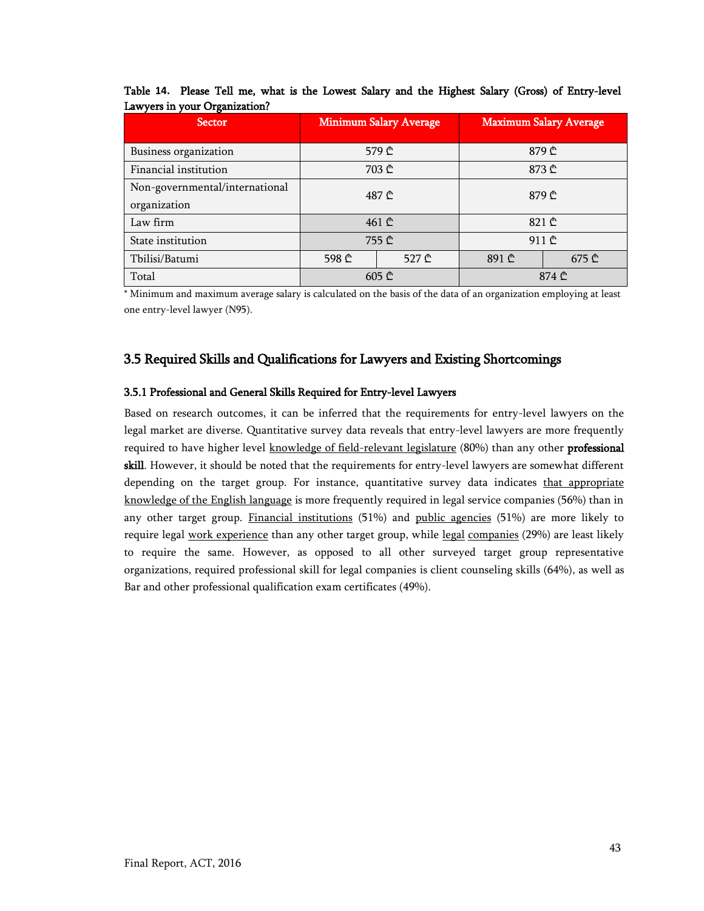| <b>Sector</b>                                  |       | <b>Minimum Salary Average</b>               | <b>Maximum Salary Average</b> |       |  |  |
|------------------------------------------------|-------|---------------------------------------------|-------------------------------|-------|--|--|
| Business organization                          |       | 579 ₾                                       | 879 ₾                         |       |  |  |
| Financial institution                          |       | 703 ₾                                       | 873 ₾                         |       |  |  |
| Non-governmental/international<br>organization |       | 487 ₾                                       | 879 ₾                         |       |  |  |
| Law firm                                       |       | 461 <sup><sup><math>\Phi</math></sup></sup> | 821 $\mathbb{C}$              |       |  |  |
| State institution                              |       | 755 ₾                                       | 911 ₾                         |       |  |  |
| Tbilisi/Batumi                                 | 598 ₾ | 527 ₾                                       |                               | 675 ₾ |  |  |
| Total                                          |       | $605 \oplus$                                | 874 ₾                         |       |  |  |

<span id="page-42-2"></span>Table **14.** Please Tell me, what is the Lowest Salary and the Highest Salary (Gross) of Entry-level Lawyers in your Organization?

\* Minimum and maximum average salary is calculated on the basis of the data of an organization employing at least one entry-level lawyer (N95).

## <span id="page-42-0"></span>3.5 Required Skills and Qualifications for Lawyers and Existing Shortcomings

## <span id="page-42-1"></span>3.5.1 Professional and General Skills Required for Entry-level Lawyers

<span id="page-42-3"></span>Based on research outcomes, it can be inferred that the requirements for entry-level lawyers on the legal market are diverse. Quantitative survey data reveals that entry-level lawyers are more frequently required to have higher level knowledge of field-relevant legislature (80%) than any other **professional** skill. However, it should be noted that the requirements for entry-level lawyers are somewhat different depending on the target group. For instance, quantitative survey data indicates that appropriate knowledge of the English language is more frequently required in legal service companies (56%) than in any other target group. Financial institutions (51%) and public agencies (51%) are more likely to require legal work experience than any other target group, while legal companies (29%) are least likely to require the same. However, as opposed to all other surveyed target group representative organizations, required professional skill for legal companies is client counseling skills (64%), as well as Bar and other professional qualification exam certificates (49%).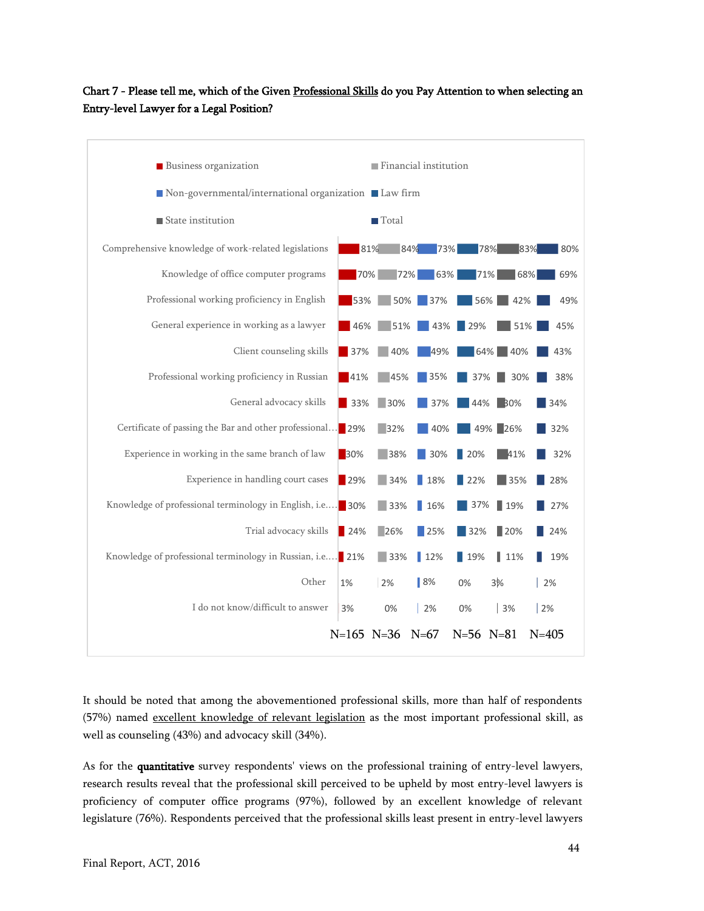## Chart 7 - Please tell me, which of the Given Professional Skills do you Pay Attention to when selecting an Entry-level Lawyer for a Legal Position?



It should be noted that among the abovementioned professional skills, more than half of respondents (57%) named excellent knowledge of relevant legislation as the most important professional skill, as well as counseling (43%) and advocacy skill (34%).

As for the quantitative survey respondents' views on the professional training of entry-level lawyers, research results reveal that the professional skill perceived to be upheld by most entry-level lawyers is proficiency of computer office programs (97%), followed by an excellent knowledge of relevant legislature (76%). Respondents perceived that the professional skills least present in entry-level lawyers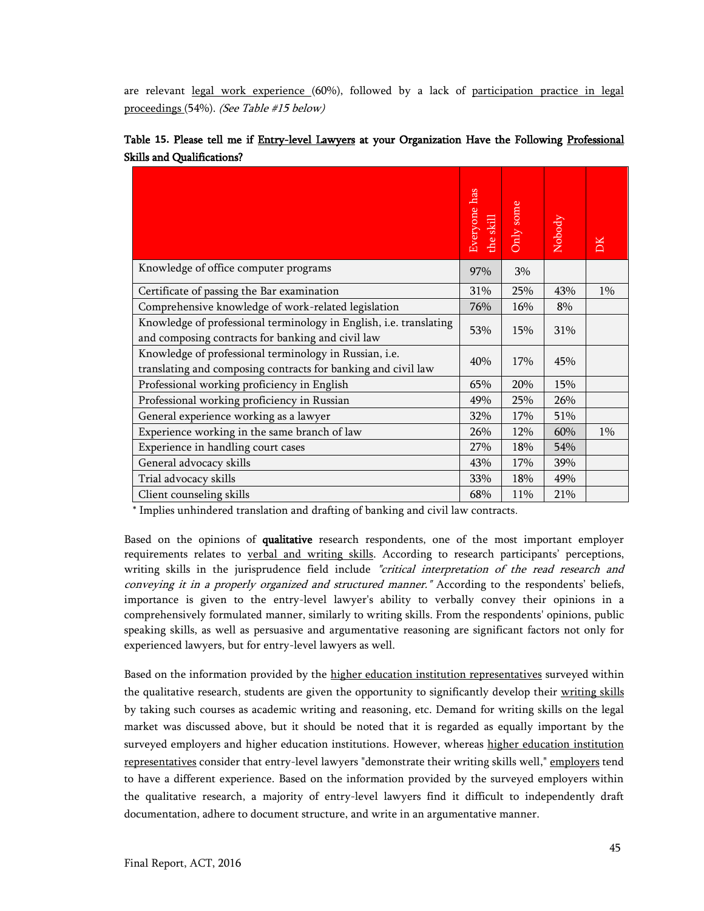are relevant legal work experience (60%), followed by a lack of participation practice in legal proceedings (54%). (See Table #15 below)

|                                                                                                                         | has<br>Everyone<br>the skill | Only some | Nobody | DK    |
|-------------------------------------------------------------------------------------------------------------------------|------------------------------|-----------|--------|-------|
| Knowledge of office computer programs                                                                                   | 97%                          | 3%        |        |       |
| Certificate of passing the Bar examination                                                                              | 31%                          | 25%       | 43%    | $1\%$ |
| Comprehensive knowledge of work-related legislation                                                                     | 76%                          | 16%       | 8%     |       |
| Knowledge of professional terminology in English, i.e. translating<br>and composing contracts for banking and civil law | 53%                          | 15%       | 31%    |       |
| Knowledge of professional terminology in Russian, i.e.<br>translating and composing contracts for banking and civil law | 40%                          | 17%       | 45%    |       |
| Professional working proficiency in English                                                                             | 65%                          | 20%       | 15%    |       |
| Professional working proficiency in Russian                                                                             | 49%                          | 25%       | 26%    |       |
| General experience working as a lawyer                                                                                  | 32%                          | 17%       | 51%    |       |
| Experience working in the same branch of law                                                                            | 26%                          | 12%       | 60%    | 1%    |
| Experience in handling court cases                                                                                      | 27%                          | 18%       | 54%    |       |
| General advocacy skills                                                                                                 | 43%                          | 17%       | 39%    |       |
| Trial advocacy skills                                                                                                   | 33%                          | 18%       | 49%    |       |
| Client counseling skills                                                                                                | 68%                          | 11%       | 21%    |       |

<span id="page-44-0"></span>

|                                   |  |  |  |  | Table 15. Please tell me if Entry-level Lawyers at your Organization Have the Following Professional |  |  |
|-----------------------------------|--|--|--|--|------------------------------------------------------------------------------------------------------|--|--|
| <b>Skills and Qualifications?</b> |  |  |  |  |                                                                                                      |  |  |

\* Implies unhindered translation and drafting of banking and civil law contracts.

Based on the opinions of qualitative research respondents, one of the most important employer requirements relates to verbal and writing skills. According to research participants' perceptions, writing skills in the jurisprudence field include "critical interpretation of the read research and conveying it in a properly organized and structured manner." According to the respondents' beliefs, importance is given to the entry-level lawyer's ability to verbally convey their opinions in a comprehensively formulated manner, similarly to writing skills. From the respondents' opinions, public speaking skills, as well as persuasive and argumentative reasoning are significant factors not only for experienced lawyers, but for entry-level lawyers as well.

Based on the information provided by the higher education institution representatives surveyed within the qualitative research, students are given the opportunity to significantly develop their writing skills by taking such courses as academic writing and reasoning, etc. Demand for writing skills on the legal market was discussed above, but it should be noted that it is regarded as equally important by the surveyed employers and higher education institutions. However, whereas higher education institution representatives consider that entry-level lawyers "demonstrate their writing skills well," employers tend to have a different experience. Based on the information provided by the surveyed employers within the qualitative research, a majority of entry-level lawyers find it difficult to independently draft documentation, adhere to document structure, and write in an argumentative manner.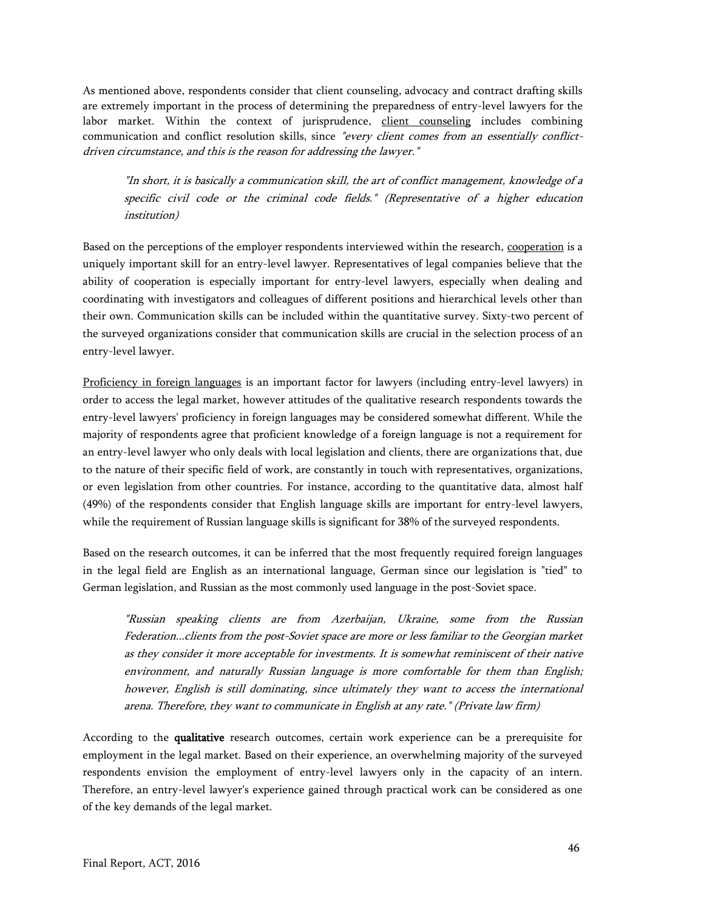As mentioned above, respondents consider that client counseling, advocacy and contract drafting skills are extremely important in the process of determining the preparedness of entry-level lawyers for the labor market. Within the context of jurisprudence, client counseling includes combining communication and conflict resolution skills, since "every client comes from an essentially conflictdriven circumstance, and this is the reason for addressing the lawyer."

"In short, it is basically a communication skill, the art of conflict management, knowledge of a specific civil code or the criminal code fields." (Representative of a higher education institution)

Based on the perceptions of the employer respondents interviewed within the research, cooperation is a uniquely important skill for an entry-level lawyer. Representatives of legal companies believe that the ability of cooperation is especially important for entry-level lawyers, especially when dealing and coordinating with investigators and colleagues of different positions and hierarchical levels other than their own. Communication skills can be included within the quantitative survey. Sixty-two percent of the surveyed organizations consider that communication skills are crucial in the selection process of an entry-level lawyer.

Proficiency in foreign languages is an important factor for lawyers (including entry-level lawyers) in order to access the legal market, however attitudes of the qualitative research respondents towards the entry-level lawyers' proficiency in foreign languages may be considered somewhat different. While the majority of respondents agree that proficient knowledge of a foreign language is not a requirement for an entry-level lawyer who only deals with local legislation and clients, there are organizations that, due to the nature of their specific field of work, are constantly in touch with representatives, organizations, or even legislation from other countries. For instance, according to the quantitative data, almost half (49%) of the respondents consider that English language skills are important for entry-level lawyers, while the requirement of Russian language skills is significant for 38% of the surveyed respondents.

Based on the research outcomes, it can be inferred that the most frequently required foreign languages in the legal field are English as an international language, German since our legislation is "tied" to German legislation, and Russian as the most commonly used language in the post-Soviet space.

"Russian speaking clients are from Azerbaijan, Ukraine, some from the Russian Federation...clients from the post-Soviet space are more or less familiar to the Georgian market as they consider it more acceptable for investments. It is somewhat reminiscent of their native environment, and naturally Russian language is more comfortable for them than English; however, English is still dominating, since ultimately they want to access the international arena. Therefore, they want to communicate in English at any rate." (Private law firm)

According to the qualitative research outcomes, certain work experience can be a prerequisite for employment in the legal market. Based on their experience, an overwhelming majority of the surveyed respondents envision the employment of entry-level lawyers only in the capacity of an intern. Therefore, an entry-level lawyer's experience gained through practical work can be considered as one of the key demands of the legal market.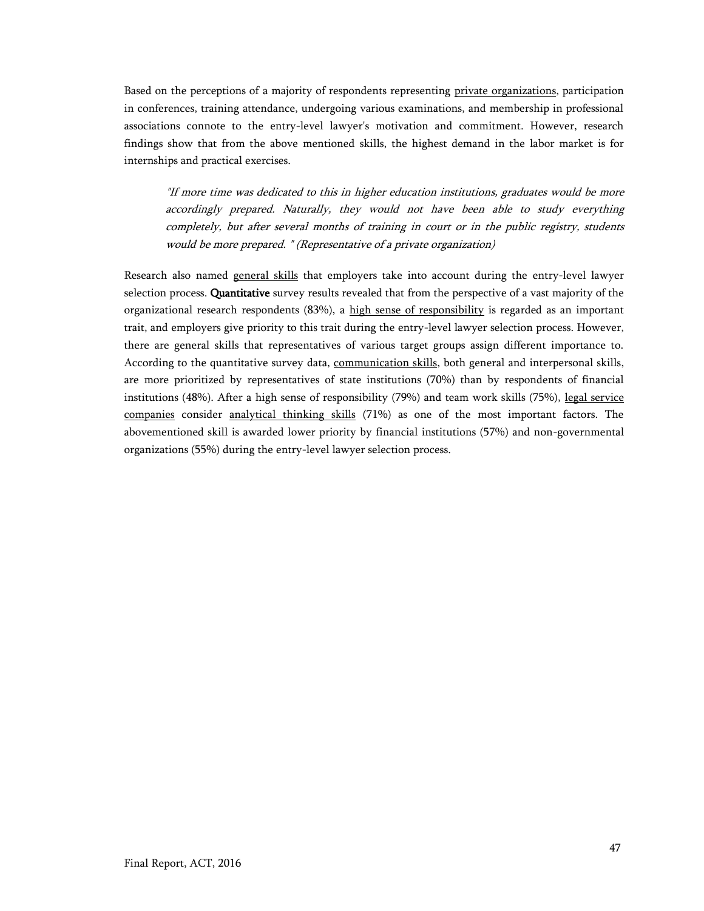Based on the perceptions of a majority of respondents representing private organizations, participation in conferences, training attendance, undergoing various examinations, and membership in professional associations connote to the entry-level lawyer's motivation and commitment. However, research findings show that from the above mentioned skills, the highest demand in the labor market is for internships and practical exercises.

"If more time was dedicated to this in higher education institutions, graduates would be more accordingly prepared. Naturally, they would not have been able to study everything completely, but after several months of training in court or in the public registry, students would be more prepared. " (Representative of a private organization)

<span id="page-46-0"></span>Research also named general skills that employers take into account during the entry-level lawyer selection process. Quantitative survey results revealed that from the perspective of a vast majority of the organizational research respondents (83%), a high sense of responsibility is regarded as an important trait, and employers give priority to this trait during the entry-level lawyer selection process. However, there are general skills that representatives of various target groups assign different importance to. According to the quantitative survey data, communication skills, both general and interpersonal skills, are more prioritized by representatives of state institutions (70%) than by respondents of financial institutions (48%). After a high sense of responsibility (79%) and team work skills (75%), legal service companies consider analytical thinking skills (71%) as one of the most important factors. The abovementioned skill is awarded lower priority by financial institutions (57%) and non-governmental organizations (55%) during the entry-level lawyer selection process.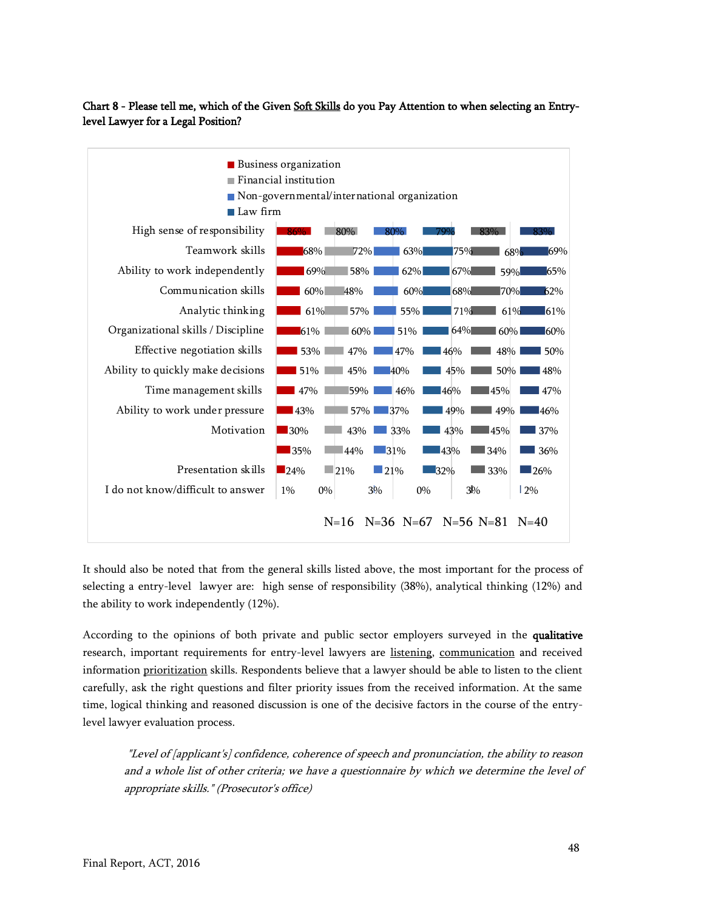## Chart 8 - Please tell me, which of the Given Soft Skills do you Pay Attention to when selecting an Entrylevel Lawyer for a Legal Position?



It should also be noted that from the general skills listed above, the most important for the process of selecting a entry-level lawyer are: high sense of responsibility (38%), analytical thinking (12%) and the ability to work independently (12%).

According to the opinions of both private and public sector employers surveyed in the qualitative research, important requirements for entry-level lawyers are listening, communication and received information prioritization skills. Respondents believe that a lawyer should be able to listen to the client carefully, ask the right questions and filter priority issues from the received information. At the same time, logical thinking and reasoned discussion is one of the decisive factors in the course of the entrylevel lawyer evaluation process.

"Level of [applicant's] confidence, coherence of speech and pronunciation, the ability to reason and a whole list of other criteria; we have a questionnaire by which we determine the level of appropriate skills." (Prosecutor's office)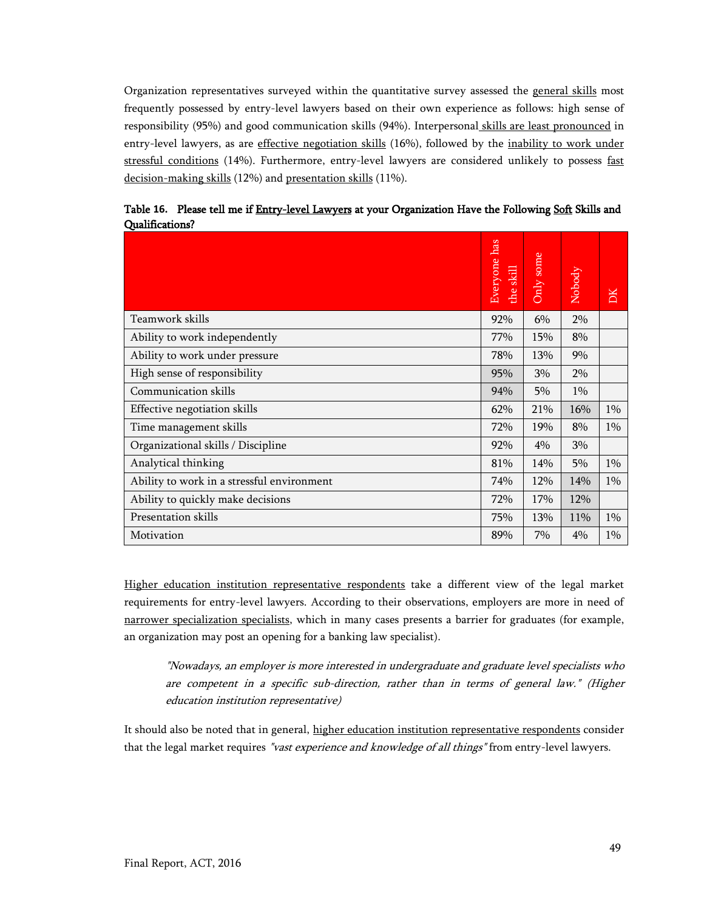Organization representatives surveyed within the quantitative survey assessed the general skills most frequently possessed by entry-level lawyers based on their own experience as follows: high sense of responsibility (95%) and good communication skills (94%). Interpersonal skills are least pronounced in entry-level lawyers, as are effective negotiation skills (16%), followed by the inability to work under stressful conditions (14%). Furthermore, entry-level lawyers are considered unlikely to possess fast decision-making skills (12%) and presentation skills (11%).

|                                            | Everyone has<br>the skill | Only some | Nobody | DK    |
|--------------------------------------------|---------------------------|-----------|--------|-------|
| Teamwork skills                            | 92%                       | 6%        | 2%     |       |
| Ability to work independently              | 77%                       | 15%       | 8%     |       |
| Ability to work under pressure             | 78%                       | 13%       | 9%     |       |
| High sense of responsibility               | 95%                       | 3%        | 2%     |       |
| Communication skills                       | 94%                       | 5%        | $1\%$  |       |
| Effective negotiation skills               | 62%                       | 21%       | 16%    | $1\%$ |
| Time management skills                     | 72%                       | 19%       | 8%     | $1\%$ |
| Organizational skills / Discipline         | 92%                       | 4%        | 3%     |       |
| Analytical thinking                        | 81%                       | 14%       | 5%     | $1\%$ |
| Ability to work in a stressful environment | 74%                       | 12%       | 14%    | 1%    |
| Ability to quickly make decisions          | 72%                       | 17%       | 12%    |       |
| Presentation skills                        | 75%                       | 13%       | 11%    | $1\%$ |
| Motivation                                 | 89%                       | 7%        | 4%     | $1\%$ |

<span id="page-48-0"></span>Table **16.** Please tell me if Entry-level Lawyers at your Organization Have the Following Soft Skills and Qualifications?

Higher education institution representative respondents take a different view of the legal market requirements for entry-level lawyers. According to their observations, employers are more in need of narrower specialization specialists, which in many cases presents a barrier for graduates (for example, an organization may post an opening for a banking law specialist).

"Nowadays, an employer is more interested in undergraduate and graduate level specialists who are competent in a specific sub-direction, rather than in terms of general law." (Higher education institution representative)

It should also be noted that in general, higher education institution representative respondents consider that the legal market requires "vast experience and knowledge of all things" from entry-level lawyers.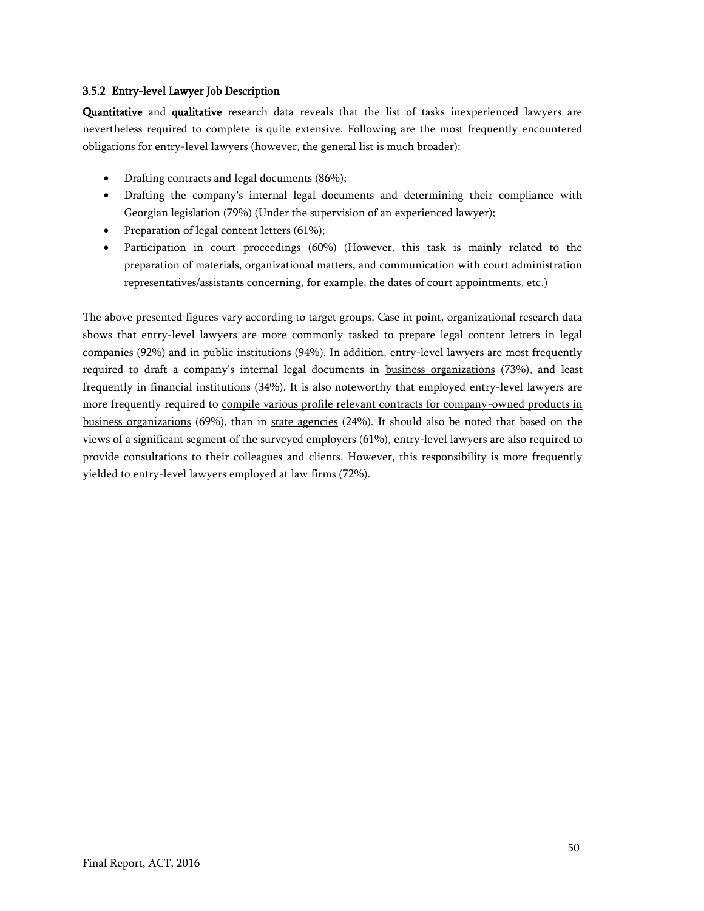#### <span id="page-49-0"></span>3.5.2 Entry-level Lawyer Job Description

Quantitative and qualitative research data reveals that the list of tasks inexperienced lawyers are nevertheless required to complete is quite extensive. Following are the most frequently encountered obligations for entry-level lawyers (however, the general list is much broader):

- Drafting contracts and legal documents (86%);
- Drafting the company's internal legal documents and determining their compliance with Georgian legislation (79%) (Under the supervision of an experienced lawyer);
- Preparation of legal content letters (61%);
- Participation in court proceedings (60%) (However, this task is mainly related to the preparation of materials, organizational matters, and communication with court administration representatives/assistants concerning, for example, the dates of court appointments, etc.)

The above presented figures vary according to target groups. Case in point, organizational research data shows that entry-level lawyers are more commonly tasked to prepare legal content letters in legal companies (92%) and in public institutions (94%). In addition, entry-level lawyers are most frequently required to draft a company's internal legal documents in business organizations (73%), and least frequently in financial institutions (34%). It is also noteworthy that employed entry-level lawyers are more frequently required to compile various profile relevant contracts for company-owned products in business organizations (69%), than in state agencies (24%). It should also be noted that based on the views of a significant segment of the surveyed employers (61%), entry-level lawyers are also required to provide consultations to their colleagues and clients. However, this responsibility is more frequently yielded to entry-level lawyers employed at law firms (72%).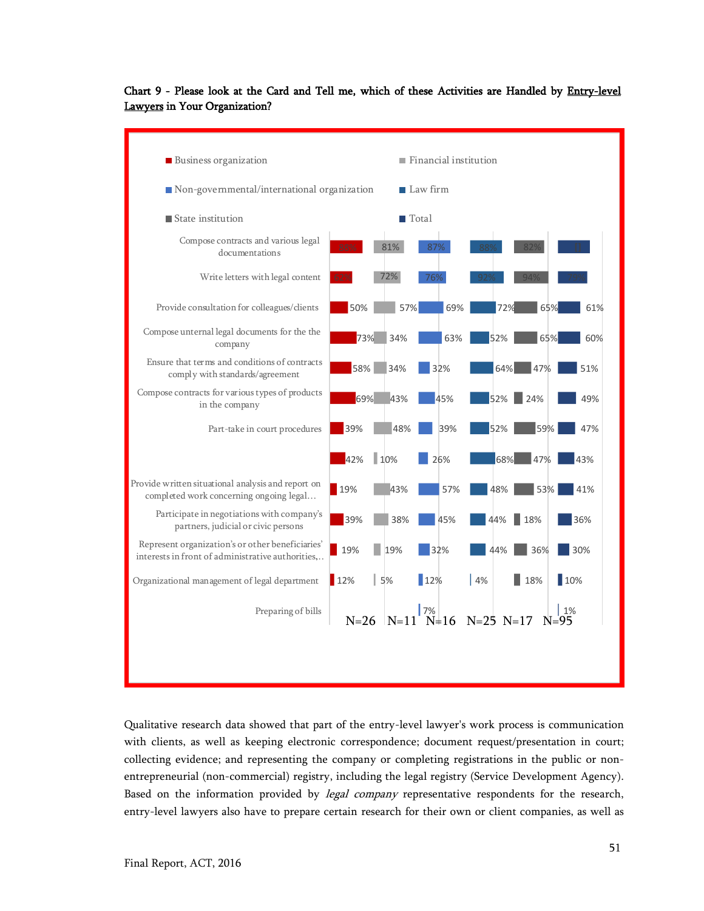

## <span id="page-50-0"></span>Chart 9 - Please look at the Card and Tell me, which of these Activities are Handled by Entry-level Lawyers in Your Organization?

Qualitative research data showed that part of the entry-level lawyer's work process is communication with clients, as well as keeping electronic correspondence; document request/presentation in court; collecting evidence; and representing the company or completing registrations in the public or nonentrepreneurial (non-commercial) registry, including the legal registry (Service Development Agency). Based on the information provided by *legal company* representative respondents for the research, entry-level lawyers also have to prepare certain research for their own or client companies, as well as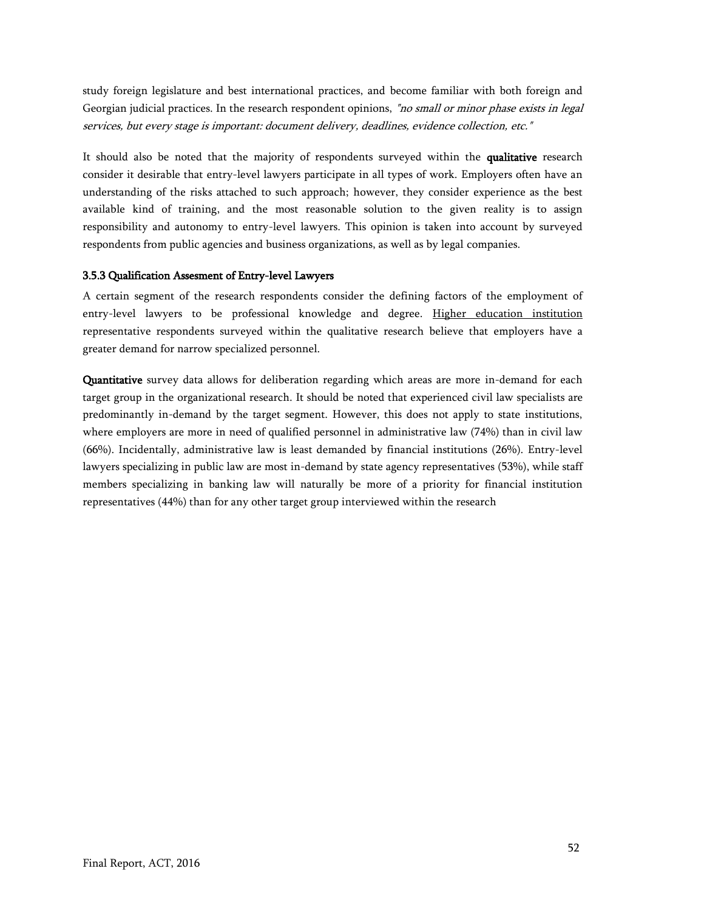study foreign legislature and best international practices, and become familiar with both foreign and Georgian judicial practices. In the research respondent opinions, "no small or minor phase exists in legal services, but every stage is important: document delivery, deadlines, evidence collection, etc."

It should also be noted that the majority of respondents surveyed within the qualitative research consider it desirable that entry-level lawyers participate in all types of work. Employers often have an understanding of the risks attached to such approach; however, they consider experience as the best available kind of training, and the most reasonable solution to the given reality is to assign responsibility and autonomy to entry-level lawyers. This opinion is taken into account by surveyed respondents from public agencies and business organizations, as well as by legal companies.

#### <span id="page-51-0"></span>3.5.3 Qualification Assesment of Entry-level Lawyers

A certain segment of the research respondents consider the defining factors of the employment of entry-level lawyers to be professional knowledge and degree. Higher education institution representative respondents surveyed within the qualitative research believe that employers have a greater demand for narrow specialized personnel.

Quantitative survey data allows for deliberation regarding which areas are more in-demand for each target group in the organizational research. It should be noted that experienced civil law specialists are predominantly in-demand by the target segment. However, this does not apply to state institutions, where employers are more in need of qualified personnel in administrative law (74%) than in civil law (66%). Incidentally, administrative law is least demanded by financial institutions (26%). Entry-level lawyers specializing in public law are most in-demand by state agency representatives (53%), while staff members specializing in banking law will naturally be more of a priority for financial institution representatives (44%) than for any other target group interviewed within the research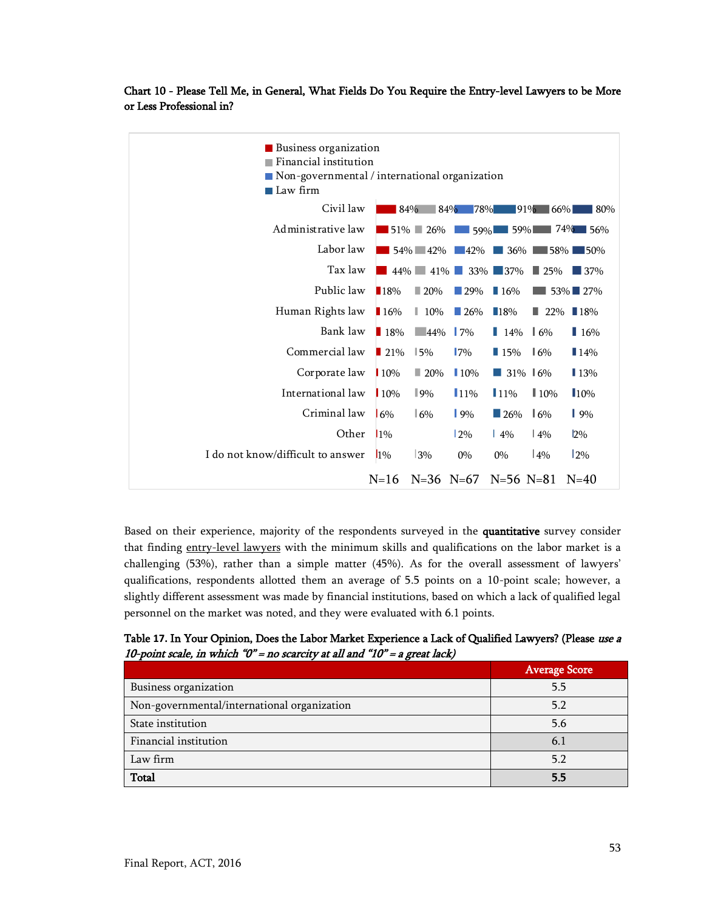<span id="page-52-1"></span>Chart 10 - Please Tell Me, in General, What Fields Do You Require the Entry-level Lawyers to be More or Less Professional in?

| <b>Business organization</b><br>Financial institution<br>$\blacksquare$ Non-governmental / international organization<br>Law firm |                    |                         |                    |                    |                    |                                       |
|-----------------------------------------------------------------------------------------------------------------------------------|--------------------|-------------------------|--------------------|--------------------|--------------------|---------------------------------------|
| Civil law                                                                                                                         |                    | 84%                     | $84\%$             | 78%                | $91\%$ 66%         | 80%                                   |
| Administrative law                                                                                                                |                    | 51% 26%                 | 159%               | $\Box$ 59% $\Box$  |                    | $74\%$ 56%                            |
| Labor law                                                                                                                         |                    | 54% 42%                 | $-42%$             | 36%                | ∎58% l             | $\Box$ 50%                            |
| Tax law                                                                                                                           | $44\%$             | $41\%$                  |                    | 33% 37%            | $\blacksquare$ 25% | 137%                                  |
| Public law                                                                                                                        | $\blacksquare$ 18% | $-20%$                  | $\blacksquare$ 29% | 16%                |                    | $53\%$ 27%                            |
| Human Rights law                                                                                                                  | ■ 16%              | $\parallel$ 10%         | $\Box$ 26%         | 18%                |                    | $\blacksquare$ 22% $\blacksquare$ 18% |
| Bank law                                                                                                                          | 18%                | $\blacksquare$ 44%   7% |                    | $14\%$ 16%         |                    | 16%                                   |
| Commercial law                                                                                                                    | $\blacksquare$ 21% | 15%                     | $17\%$             | $\blacksquare$ 15% | $\frac{1}{6}$      | 14%                                   |
| Corporate law                                                                                                                     | 10%                | $\Box$ 20%              | 10%                | a a s              | 31% 16%            | <b>13%</b>                            |
| International law                                                                                                                 | 10%                | $\parallel$ 9%          | $11\%$             | $11\%$             | $\parallel$ 10%    | 10%                                   |
| Criminal law                                                                                                                      | 16%                | 6%                      | $9\%$              | 126%               | 16%                | $\vert$ 9%                            |
| Other                                                                                                                             | 10 <sub>6</sub>    |                         | 12%                | $\frac{14\%}{6}$   | $\frac{14\%}{6}$   | $2\%$                                 |
| I do not know/difficult to answer                                                                                                 | $1\%$              | 3%                      | $0\%$              | $0\%$              | $ 4\%$             | $12\%$                                |
|                                                                                                                                   | $N = 16$           | $N=36$ $N=67$           |                    | $N=56$ $N=81$      |                    | $N = 40$                              |

Based on their experience, majority of the respondents surveyed in the quantitative survey consider that finding entry-level lawyers with the minimum skills and qualifications on the labor market is a challenging (53%), rather than a simple matter (45%). As for the overall assessment of lawyers' qualifications, respondents allotted them an average of 5.5 points on a 10-point scale; however, a slightly different assessment was made by financial institutions, based on which a lack of qualified legal personnel on the market was noted, and they were evaluated with 6.1 points.

<span id="page-52-0"></span>Table **17.** In Your Opinion, Does the Labor Market Experience a Lack of Qualified Lawyers? (Please use a 10-point scale, in which " $0$ " = no scarcity at all and "10" = a great lack)

|                                             | <b>Average Score</b> |
|---------------------------------------------|----------------------|
| Business organization                       | 5.5                  |
| Non-governmental/international organization | 5.2                  |
| State institution                           | 5.6                  |
| Financial institution                       | 6.1                  |
| Law firm                                    | 5.2                  |
| Total                                       | 5.5                  |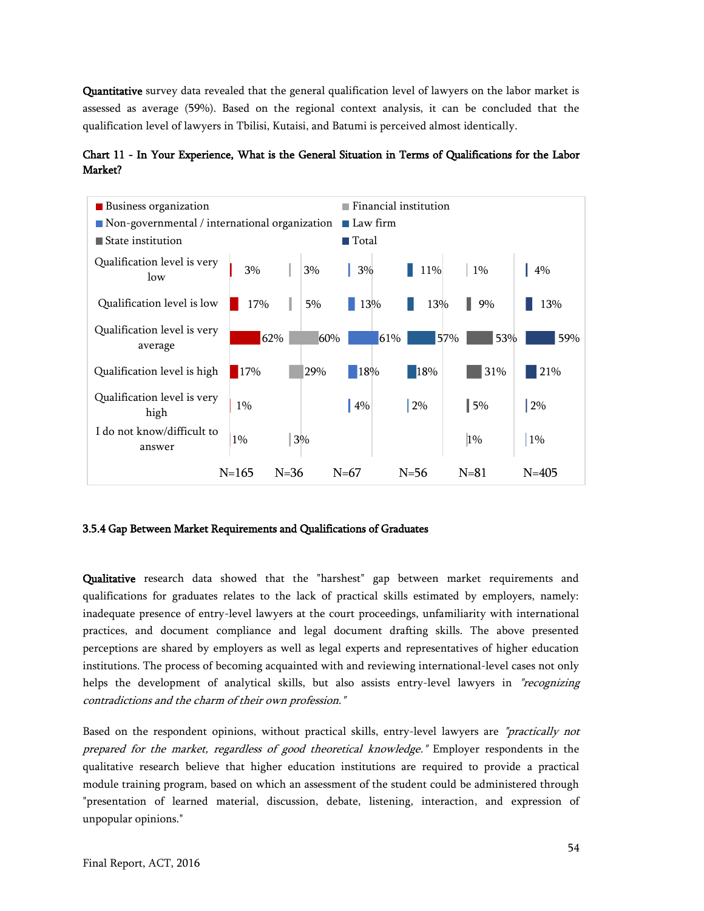Quantitative survey data revealed that the general qualification level of lawyers on the labor market is assessed as average (59%). Based on the regional context analysis, it can be concluded that the qualification level of lawyers in Tbilisi, Kutaisi, and Batumi is perceived almost identically.

<span id="page-53-1"></span>Chart 11 - In Your Experience, What is the General Situation in Terms of Qualifications for the Labor Market?



#### <span id="page-53-0"></span>3.5.4 Gap Between Market Requirements and Qualifications of Graduates

Qualitative research data showed that the "harshest" gap between market requirements and qualifications for graduates relates to the lack of practical skills estimated by employers, namely: inadequate presence of entry-level lawyers at the court proceedings, unfamiliarity with international practices, and document compliance and legal document drafting skills. The above presented perceptions are shared by employers as well as legal experts and representatives of higher education institutions. The process of becoming acquainted with and reviewing international-level cases not only helps the development of analytical skills, but also assists entry-level lawyers in "recognizing contradictions and the charm of their own profession."

Based on the respondent opinions, without practical skills, entry-level lawyers are "practically not prepared for the market, regardless of good theoretical knowledge." Employer respondents in the qualitative research believe that higher education institutions are required to provide a practical module training program, based on which an assessment of the student could be administered through "presentation of learned material, discussion, debate, listening, interaction, and expression of unpopular opinions."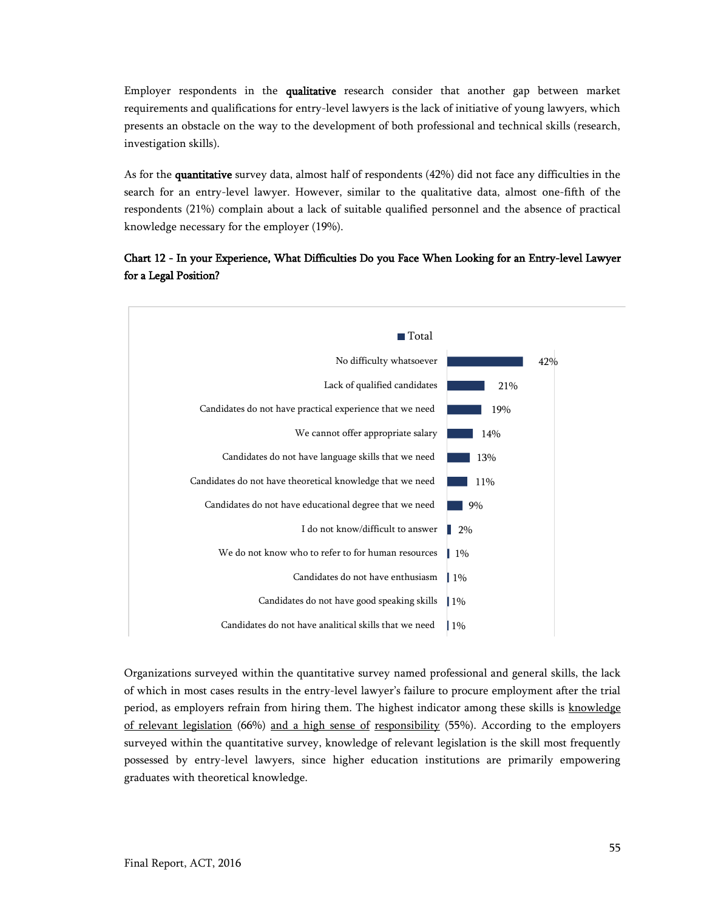Employer respondents in the qualitative research consider that another gap between market requirements and qualifications for entry-level lawyers is the lack of initiative of young lawyers, which presents an obstacle on the way to the development of both professional and technical skills (research, investigation skills).

As for the quantitative survey data, almost half of respondents (42%) did not face any difficulties in the search for an entry-level lawyer. However, similar to the qualitative data, almost one-fifth of the respondents (21%) complain about a lack of suitable qualified personnel and the absence of practical knowledge necessary for the employer (19%).

## <span id="page-54-0"></span>Chart 12 - In your Experience, What Difficulties Do you Face When Looking for an Entry-level Lawyer for a Legal Position?



Organizations surveyed within the quantitative survey named professional and general skills, the lack of which in most cases results in the entry-level lawyer's failure to procure employment after the trial period, as employers refrain from hiring them. The highest indicator among these skills is knowledge of relevant legislation (66%) and a high sense of responsibility (55%). According to the employers surveyed within the quantitative survey, knowledge of relevant legislation is the skill most frequently possessed by entry-level lawyers, since higher education institutions are primarily empowering graduates with theoretical knowledge.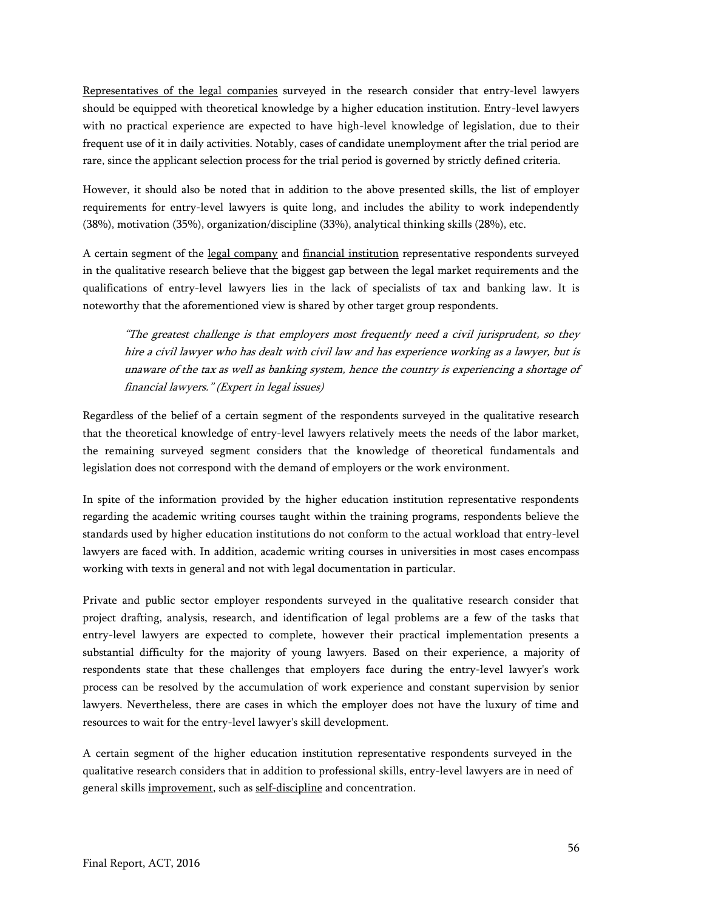Representatives of the legal companies surveyed in the research consider that entry-level lawyers should be equipped with theoretical knowledge by a higher education institution. Entry-level lawyers with no practical experience are expected to have high-level knowledge of legislation, due to their frequent use of it in daily activities. Notably, cases of candidate unemployment after the trial period are rare, since the applicant selection process for the trial period is governed by strictly defined criteria.

However, it should also be noted that in addition to the above presented skills, the list of employer requirements for entry-level lawyers is quite long, and includes the ability to work independently (38%), motivation (35%), organization/discipline (33%), analytical thinking skills (28%), etc.

A certain segment of the legal company and financial institution representative respondents surveyed in the qualitative research believe that the biggest gap between the legal market requirements and the qualifications of entry-level lawyers lies in the lack of specialists of tax and banking law. It is noteworthy that the aforementioned view is shared by other target group respondents.

"The greatest challenge is that employers most frequently need a civil jurisprudent, so they hire a civil lawyer who has dealt with civil law and has experience working as a lawyer, but is unaware of the tax as well as banking system, hence the country is experiencing a shortage of financial lawyers." (Expert in legal issues)

Regardless of the belief of a certain segment of the respondents surveyed in the qualitative research that the theoretical knowledge of entry-level lawyers relatively meets the needs of the labor market, the remaining surveyed segment considers that the knowledge of theoretical fundamentals and legislation does not correspond with the demand of employers or the work environment.

In spite of the information provided by the higher education institution representative respondents regarding the academic writing courses taught within the training programs, respondents believe the standards used by higher education institutions do not conform to the actual workload that entry-level lawyers are faced with. In addition, academic writing courses in universities in most cases encompass working with texts in general and not with legal documentation in particular.

Private and public sector employer respondents surveyed in the qualitative research consider that project drafting, analysis, research, and identification of legal problems are a few of the tasks that entry-level lawyers are expected to complete, however their practical implementation presents a substantial difficulty for the majority of young lawyers. Based on their experience, a majority of respondents state that these challenges that employers face during the entry-level lawyer's work process can be resolved by the accumulation of work experience and constant supervision by senior lawyers. Nevertheless, there are cases in which the employer does not have the luxury of time and resources to wait for the entry-level lawyer's skill development.

A certain segment of the higher education institution representative respondents surveyed in the qualitative research considers that in addition to professional skills, entry-level lawyers are in need of general skills improvement, such as self-discipline and concentration.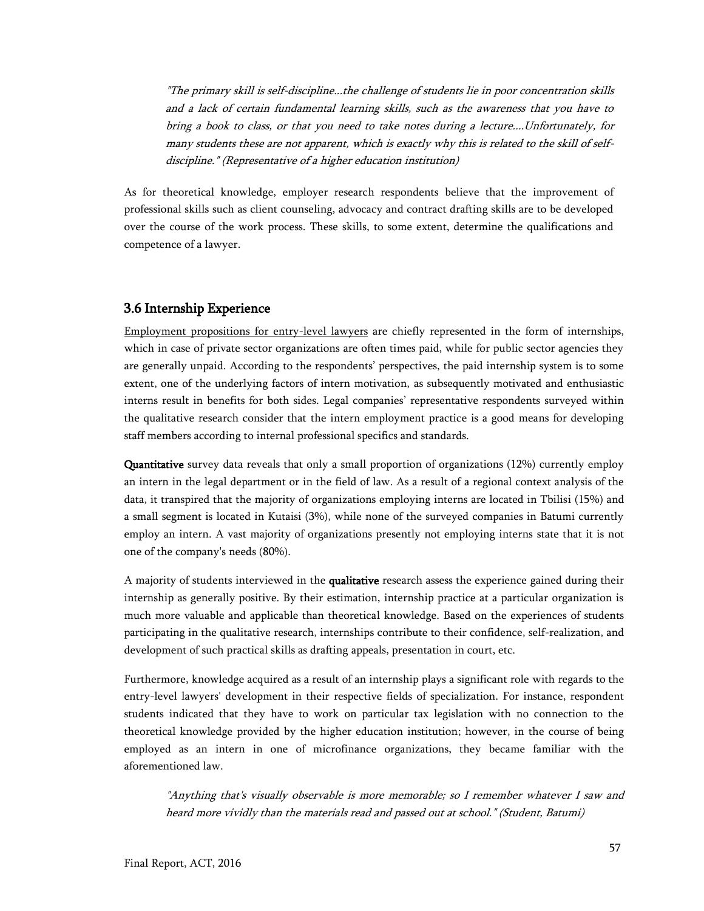"The primary skill is self-discipline...the challenge of students lie in poor concentration skills and a lack of certain fundamental learning skills, such as the awareness that you have to bring a book to class, or that you need to take notes during <sup>a</sup> lecture....Unfortunately, for many students these are not apparent, which is exactly why this is related to the skill of selfdiscipline." (Representative of a higher education institution)

As for theoretical knowledge, employer research respondents believe that the improvement of professional skills such as client counseling, advocacy and contract drafting skills are to be developed over the course of the work process. These skills, to some extent, determine the qualifications and competence of a lawyer.

## <span id="page-56-0"></span>3.6 Internship Experience

Employment propositions for entry-level lawyers are chiefly represented in the form of internships, which in case of private sector organizations are often times paid, while for public sector agencies they are generally unpaid. According to the respondents' perspectives, the paid internship system is to some extent, one of the underlying factors of intern motivation, as subsequently motivated and enthusiastic interns result in benefits for both sides. Legal companies' representative respondents surveyed within the qualitative research consider that the intern employment practice is a good means for developing staff members according to internal professional specifics and standards.

Quantitative survey data reveals that only a small proportion of organizations (12%) currently employ an intern in the legal department or in the field of law. As a result of a regional context analysis of the data, it transpired that the majority of organizations employing interns are located in Tbilisi (15%) and a small segment is located in Kutaisi (3%), while none of the surveyed companies in Batumi currently employ an intern. A vast majority of organizations presently not employing interns state that it is not one of the company's needs (80%).

A majority of students interviewed in the qualitative research assess the experience gained during their internship as generally positive. By their estimation, internship practice at a particular organization is much more valuable and applicable than theoretical knowledge. Based on the experiences of students participating in the qualitative research, internships contribute to their confidence, self-realization, and development of such practical skills as drafting appeals, presentation in court, etc.

Furthermore, knowledge acquired as a result of an internship plays a significant role with regards to the entry-level lawyers' development in their respective fields of specialization. For instance, respondent students indicated that they have to work on particular tax legislation with no connection to the theoretical knowledge provided by the higher education institution; however, in the course of being employed as an intern in one of microfinance organizations, they became familiar with the aforementioned law.

"Anything that's visually observable is more memorable; so I remember whatever I saw and heard more vividly than the materials read and passed out at school." (Student, Batumi)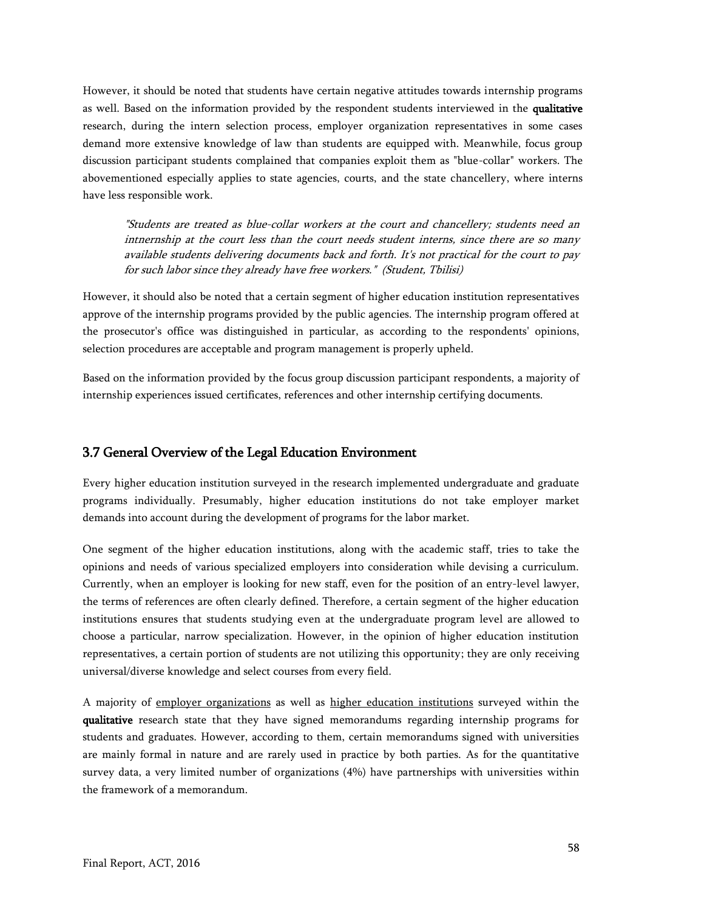However, it should be noted that students have certain negative attitudes towards internship programs as well. Based on the information provided by the respondent students interviewed in the qualitative research, during the intern selection process, employer organization representatives in some cases demand more extensive knowledge of law than students are equipped with. Meanwhile, focus group discussion participant students complained that companies exploit them as "blue-collar" workers. The abovementioned especially applies to state agencies, courts, and the state chancellery, where interns have less responsible work.

"Students are treated as blue-collar workers at the court and chancellery; students need an intnernship at the court less than the court needs student interns, since there are so many available students delivering documents back and forth. It's not practical for the court to pay for such labor since they already have free workers." (Student, Tbilisi)

However, it should also be noted that a certain segment of higher education institution representatives approve of the internship programs provided by the public agencies. The internship program offered at the prosecutor's office was distinguished in particular, as according to the respondents' opinions, selection procedures are acceptable and program management is properly upheld.

Based on the information provided by the focus group discussion participant respondents, a majority of internship experiences issued certificates, references and other internship certifying documents.

#### <span id="page-57-0"></span>3.7 General Overview of the Legal Education Environment

Every higher education institution surveyed in the research implemented undergraduate and graduate programs individually. Presumably, higher education institutions do not take employer market demands into account during the development of programs for the labor market.

One segment of the higher education institutions, along with the academic staff, tries to take the opinions and needs of various specialized employers into consideration while devising a curriculum. Currently, when an employer is looking for new staff, even for the position of an entry-level lawyer, the terms of references are often clearly defined. Therefore, a certain segment of the higher education institutions ensures that students studying even at the undergraduate program level are allowed to choose a particular, narrow specialization. However, in the opinion of higher education institution representatives, a certain portion of students are not utilizing this opportunity; they are only receiving universal/diverse knowledge and select courses from every field.

A majority of employer organizations as well as higher education institutions surveyed within the qualitative research state that they have signed memorandums regarding internship programs for students and graduates. However, according to them, certain memorandums signed with universities are mainly formal in nature and are rarely used in practice by both parties. As for the quantitative survey data, a very limited number of organizations (4%) have partnerships with universities within the framework of a memorandum.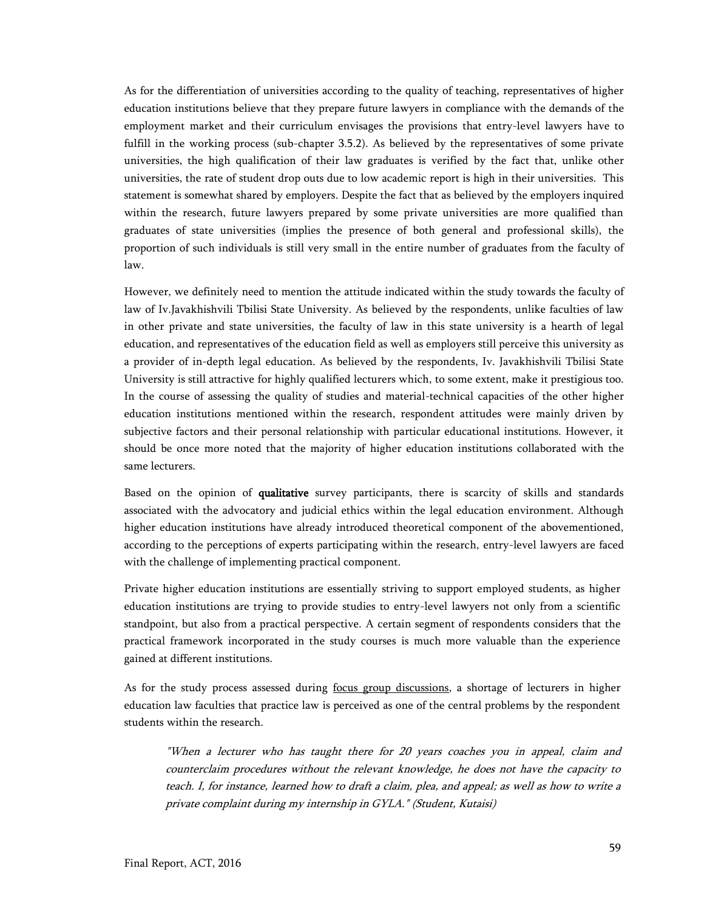As for the differentiation of universities according to the quality of teaching, representatives of higher education institutions believe that they prepare future lawyers in compliance with the demands of the employment market and their curriculum envisages the provisions that entry-level lawyers have to fulfill in the working process (sub-chapter 3.5.2). As believed by the representatives of some private universities, the high qualification of their law graduates is verified by the fact that, unlike other universities, the rate of student drop outs due to low academic report is high in their universities. This statement is somewhat shared by employers. Despite the fact that as believed by the employers inquired within the research, future lawyers prepared by some private universities are more qualified than graduates of state universities (implies the presence of both general and professional skills), the proportion of such individuals is still very small in the entire number of graduates from the faculty of law.

However, we definitely need to mention the attitude indicated within the study towards the faculty of law of Iv.Javakhishvili Tbilisi State University. As believed by the respondents, unlike faculties of law in other private and state universities, the faculty of law in this state university is a hearth of legal education, and representatives of the education field as well as employers still perceive this university as a provider of in-depth legal education. As believed by the respondents, Iv. Javakhishvili Tbilisi State University is still attractive for highly qualified lecturers which, to some extent, make it prestigious too. In the course of assessing the quality of studies and material-technical capacities of the other higher education institutions mentioned within the research, respondent attitudes were mainly driven by subjective factors and their personal relationship with particular educational institutions. However, it should be once more noted that the majority of higher education institutions collaborated with the same lecturers.

Based on the opinion of qualitative survey participants, there is scarcity of skills and standards associated with the advocatory and judicial ethics within the legal education environment. Although higher education institutions have already introduced theoretical component of the abovementioned, according to the perceptions of experts participating within the research, entry-level lawyers are faced with the challenge of implementing practical component.

Private higher education institutions are essentially striving to support employed students, as higher education institutions are trying to provide studies to entry-level lawyers not only from a scientific standpoint, but also from a practical perspective. A certain segment of respondents considers that the practical framework incorporated in the study courses is much more valuable than the experience gained at different institutions.

As for the study process assessed during focus group discussions, a shortage of lecturers in higher education law faculties that practice law is perceived as one of the central problems by the respondent students within the research.

"When a lecturer who has taught there for 20 years coaches you in appeal, claim and counterclaim procedures without the relevant knowledge, he does not have the capacity to teach. I, for instance, learned how to draft a claim, plea, and appeal; as well as how to write a private complaint during my internship in GYLA." (Student, Kutaisi)